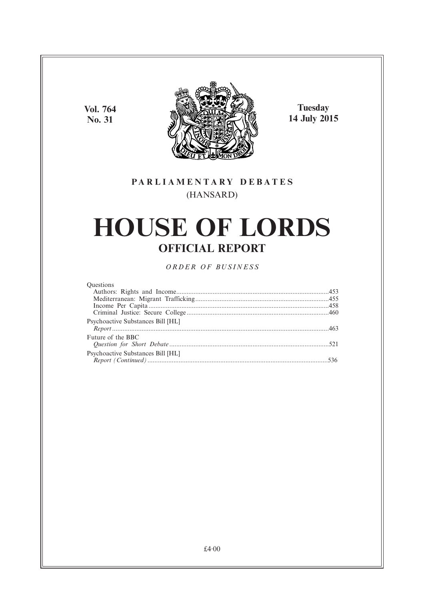**Vol. 764 No. 31**



**Tuesday 14 July 2015**

### **PARL IAMENTARY DEBATES** (HANSARD)

# **HOUSE OF LORDS OFFICIAL REPORT**

*ORDER OF BUSINESS*

| <b>Ouestions</b>                         |  |
|------------------------------------------|--|
|                                          |  |
|                                          |  |
|                                          |  |
|                                          |  |
| <b>Psychoactive Substances Bill [HL]</b> |  |
|                                          |  |
| Future of the BBC                        |  |
|                                          |  |
| Psychoactive Substances Bill [HL]        |  |
|                                          |  |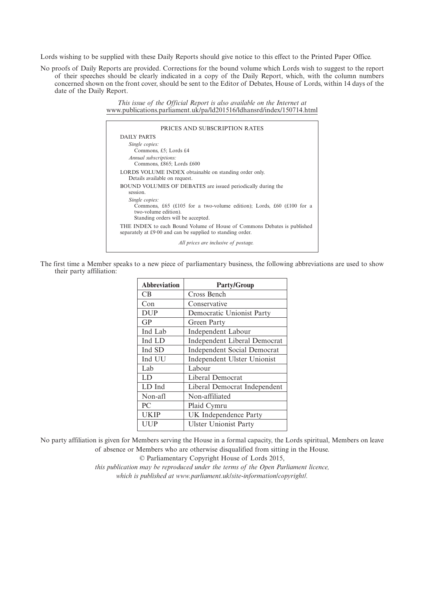Lords wishing to be supplied with these Daily Reports should give notice to this effect to the Printed Paper Office.

No proofs of Daily Reports are provided. Corrections for the bound volume which Lords wish to suggest to the report of their speeches should be clearly indicated in a copy of the Daily Report, which, with the column numbers concerned shown on the front cover, should be sent to the Editor of Debates, House of Lords, within 14 days of the date of the Daily Report.

> *This issue of the Official Report is also available on the Internet at* www.publications.parliament.uk/pa/ld201516/ldhansrd/index/150714.html

| PRICES AND SUBSCRIPTION RATES                                                                                                         |
|---------------------------------------------------------------------------------------------------------------------------------------|
| DAILY PARTS                                                                                                                           |
| Single copies:<br>Commons, £5; Lords £4                                                                                               |
| Annual subscriptions:<br>Commons, £865; Lords £600                                                                                    |
| LORDS VOLUME INDEX obtainable on standing order only.<br>Details available on request.                                                |
| BOUND VOLUMES OF DEBATES are issued periodically during the<br>session.                                                               |
| Single copies:<br>Commons, £65 (£105 for a two-volume edition); Lords, £60 (£100 for a<br>two-volume edition).                        |
| Standing orders will be accepted.                                                                                                     |
| THE INDEX to each Bound Volume of House of Commons Debates is published<br>separately at £9.00 and can be supplied to standing order. |
| All prices are inclusive of postage.                                                                                                  |

The first time a Member speaks to a new piece of parliamentary business, the following abbreviations are used to show their party affiliation:

| <b>Abbreviation</b> | <b>Party/Group</b>                  |
|---------------------|-------------------------------------|
| CB                  | Cross Bench                         |
| Con                 | Conservative                        |
| <b>DUP</b>          | Democratic Unionist Party           |
| GP                  | Green Party                         |
| Ind Lab             | Independent Labour                  |
| Ind LD              | <b>Independent Liberal Democrat</b> |
| Ind SD              | <b>Independent Social Democrat</b>  |
| Ind UU              | Independent Ulster Unionist         |
| Lab                 | Labour                              |
| LD                  | Liberal Democrat                    |
| LD Ind              | Liberal Democrat Independent        |
| Non-afl             | Non-affiliated                      |
| PC                  | Plaid Cymru                         |
| <b>UKIP</b>         | UK Independence Party               |
| <b>UUP</b>          | <b>Ulster Unionist Party</b>        |

No party affiliation is given for Members serving the House in a formal capacity, the Lords spiritual, Members on leave of absence or Members who are otherwise disqualified from sitting in the House.

© Parliamentary Copyright House of Lords 2015,

*this publication may be reproduced under the terms of the Open Parliament licence, which is published at www.parliament.uk/site-information/copyright/.*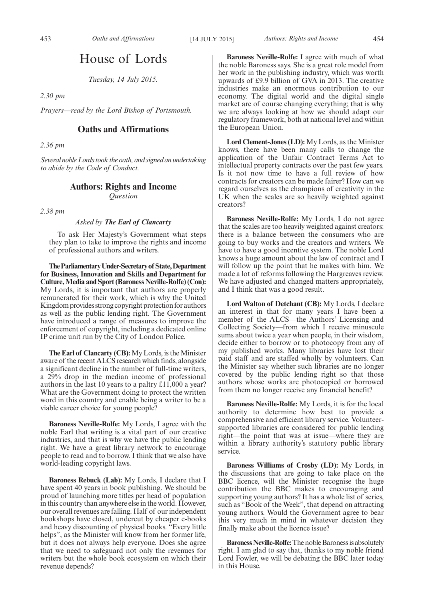## House of Lords

*Tuesday, 14 July 2015.*

*2.30 pm*

*Prayers—read by the Lord Bishop of Portsmouth.*

#### **Oaths and Affirmations**

*2.36 pm*

*Several noble Lords took the oath, and signed an undertaking to abide by the Code of Conduct.*

### **Authors: Rights and Income**

*Question*

*2.38 pm*

#### *Asked by The Earl of Clancarty*

To ask Her Majesty's Government what steps they plan to take to improve the rights and income of professional authors and writers.

**TheParliamentaryUnder-Secretaryof State,Department for Business, Innovation and Skills and Department for** Culture, Media and Sport (Baroness Neville-Rolfe) (Con): My Lords, it is important that authors are properly remunerated for their work, which is why the United Kingdom provides strong copyright protection for authors as well as the public lending right. The Government have introduced a range of measures to improve the enforcement of copyright, including a dedicated online IP crime unit run by the City of London Police.

**The Earl of Clancarty (CB):**My Lords, is the Minister aware of the recent ALCS research which finds, alongside a significant decline in the number of full-time writers, a 29% drop in the median income of professional authors in the last 10 years to a paltry £11,000 a year? What are the Government doing to protect the written word in this country and enable being a writer to be a viable career choice for young people?

**Baroness Neville-Rolfe:** My Lords, I agree with the noble Earl that writing is a vital part of our creative industries, and that is why we have the public lending right. We have a great library network to encourage people to read and to borrow. I think that we also have world-leading copyright laws.

**Baroness Rebuck (Lab):** My Lords, I declare that I have spent 40 years in book publishing. We should be proud of launching more titles per head of population in this country than anywhere else in the world. However, our overall revenues are falling. Half of our independent bookshops have closed, undercut by cheaper e-books and heavy discounting of physical books. "Every little helps", as the Minister will know from her former life, but it does not always help everyone. Does she agree that we need to safeguard not only the revenues for writers but the whole book ecosystem on which their revenue depends?

**Baroness Neville-Rolfe:** I agree with much of what the noble Baroness says. She is a great role model from her work in the publishing industry, which was worth upwards of £9.9 billion of GVA in 2013. The creative industries make an enormous contribution to our economy. The digital world and the digital single market are of course changing everything; that is why we are always looking at how we should adapt our regulatory framework, both at national level and within the European Union.

**Lord Clement-Jones (LD):** My Lords, as the Minister knows, there have been many calls to change the application of the Unfair Contract Terms Act to intellectual property contracts over the past few years. Is it not now time to have a full review of how contracts for creators can be made fairer? How can we regard ourselves as the champions of creativity in the UK when the scales are so heavily weighted against creators?

**Baroness Neville-Rolfe:** My Lords, I do not agree that the scales are too heavily weighted against creators: there is a balance between the consumers who are going to buy works and the creators and writers. We have to have a good incentive system. The noble Lord knows a huge amount about the law of contract and I will follow up the point that he makes with him. We made a lot of reforms following the Hargreaves review. We have adjusted and changed matters appropriately, and I think that was a good result.

**Lord Walton of Detchant (CB):** My Lords, I declare an interest in that for many years I have been a member of the ALCS—the Authors' Licensing and Collecting Society—from which I receive minuscule sums about twice a year when people, in their wisdom, decide either to borrow or to photocopy from any of my published works. Many libraries have lost their paid staff and are staffed wholly by volunteers. Can the Minister say whether such libraries are no longer covered by the public lending right so that those authors whose works are photocopied or borrowed from them no longer receive any financial benefit?

**Baroness Neville-Rolfe:** My Lords, it is for the local authority to determine how best to provide a comprehensive and efficient library service. Volunteersupported libraries are considered for public lending right—the point that was at issue—where they are within a library authority's statutory public library service.

**Baroness Williams of Crosby (LD):** My Lords, in the discussions that are going to take place on the BBC licence, will the Minister recognise the huge contribution the BBC makes to encouraging and supporting young authors? It has a whole list of series, such as "Book of the Week", that depend on attracting young authors. Would the Government agree to bear this very much in mind in whatever decision they finally make about the licence issue?

**Baroness Neville-Rolfe:** The noble Baroness is absolutely right. I am glad to say that, thanks to my noble friend Lord Fowler, we will be debating the BBC later today in this House.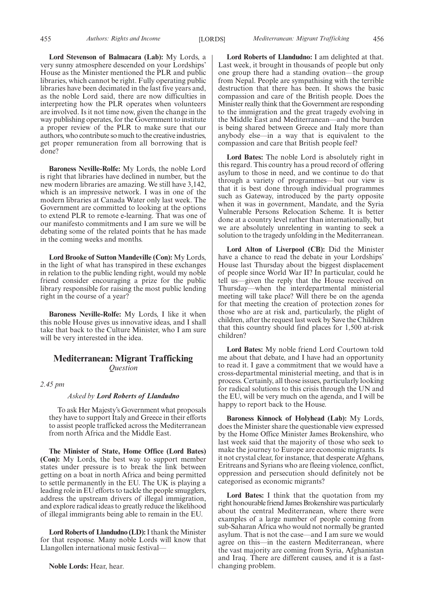**Lord Stevenson of Balmacara (Lab):** My Lords, a very sunny atmosphere descended on your Lordships' House as the Minister mentioned the PLR and public libraries, which cannot be right. Fully operating public libraries have been decimated in the last five years and, as the noble Lord said, there are now difficulties in interpreting how the PLR operates when volunteers are involved. Is it not time now, given the change in the way publishing operates, for the Government to institute a proper review of the PLR to make sure that our authors, who contribute so much to the creative industries, get proper remuneration from all borrowing that is done?

**Baroness Neville-Rolfe:** My Lords, the noble Lord is right that libraries have declined in number, but the new modern libraries are amazing. We still have 3,142, which is an impressive network. I was in one of the modern libraries at Canada Water only last week. The Government are committed to looking at the options to extend PLR to remote e-learning. That was one of our manifesto commitments and I am sure we will be debating some of the related points that he has made in the coming weeks and months.

**Lord Brooke of Sutton Mandeville (Con):** My Lords, in the light of what has transpired in these exchanges in relation to the public lending right, would my noble friend consider encouraging a prize for the public library responsible for raising the most public lending right in the course of a year?

**Baroness Neville-Rolfe:** My Lords, I like it when this noble House gives us innovative ideas, and I shall take that back to the Culture Minister, who I am sure will be very interested in the idea.

#### **Mediterranean: Migrant Trafficking** *Question*

*2.45 pm*

#### *Asked by Lord Roberts of Llandudno*

To ask Her Majesty's Government what proposals they have to support Italy and Greece in their efforts to assist people trafficked across the Mediterranean from north Africa and the Middle East.

**The Minister of State, Home Office (Lord Bates) (Con):** My Lords, the best way to support member states under pressure is to break the link between getting on a boat in north Africa and being permitted to settle permanently in the EU. The UK is playing a leading role in EU efforts to tackle the people smugglers, address the upstream drivers of illegal immigration, and explore radical ideas to greatly reduce the likelihood of illegal immigrants being able to remain in the EU.

**Lord Roberts of Llandudno (LD):**I thank the Minister for that response. Many noble Lords will know that Llangollen international music festival—

**Lord Roberts of Llandudno:** I am delighted at that. Last week, it brought in thousands of people but only one group there had a standing ovation—the group from Nepal. People are sympathising with the terrible destruction that there has been. It shows the basic compassion and care of the British people. Does the Minister really think that the Government are responding to the immigration and the great tragedy evolving in the Middle East and Mediterranean—and the burden is being shared between Greece and Italy more than anybody else—in a way that is equivalent to the compassion and care that British people feel?

**Lord Bates:** The noble Lord is absolutely right in this regard. This country has a proud record of offering asylum to those in need, and we continue to do that through a variety of programmes—but our view is that it is best done through individual programmes such as Gateway, introduced by the party opposite when it was in government, Mandate, and the Syria Vulnerable Persons Relocation Scheme. It is better done at a country level rather than internationally, but we are absolutely unrelenting in wanting to seek a solution to the tragedy unfolding in the Mediterranean.

**Lord Alton of Liverpool (CB):** Did the Minister have a chance to read the debate in your Lordships' House last Thursday about the biggest displacement of people since World War II? In particular, could he tell us—given the reply that the House received on Thursday—when the interdepartmental ministerial meeting will take place? Will there be on the agenda for that meeting the creation of protection zones for those who are at risk and, particularly, the plight of children, after the request last week by Save the Children that this country should find places for 1,500 at-risk children?

**Lord Bates:** My noble friend Lord Courtown told me about that debate, and I have had an opportunity to read it. I gave a commitment that we would have a cross-departmental ministerial meeting, and that is in process. Certainly, all those issues, particularly looking for radical solutions to this crisis through the UN and the EU, will be very much on the agenda, and I will be happy to report back to the House.

**Baroness Kinnock of Holyhead (Lab):** My Lords, does the Minister share the questionable view expressed by the Home Office Minister James Brokenshire, who last week said that the majority of those who seek to make the journey to Europe are economic migrants. Is it not crystal clear, for instance, that desperate Afghans, Eritreans and Syrians who are fleeing violence, conflict, oppression and persecution should definitely not be categorised as economic migrants?

**Lord Bates:** I think that the quotation from my right honourable friend James Brokenshire was particularly about the central Mediterranean, where there were examples of a large number of people coming from sub-Saharan Africa who would not normally be granted asylum. That is not the case—and I am sure we would agree on this—in the eastern Mediterranean, where the vast majority are coming from Syria, Afghanistan and Iraq. There are different causes, and it is a fastchanging problem.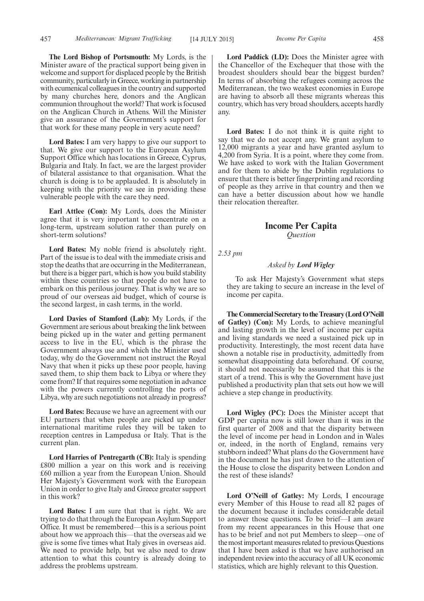**The Lord Bishop of Portsmouth:** My Lords, is the Minister aware of the practical support being given in welcome and support for displaced people by the British community, particularly in Greece, working in partnership with ecumenical colleagues in the country and supported by many churches here, donors and the Anglican communion throughout the world? That work is focused on the Anglican Church in Athens. Will the Minister give an assurance of the Government's support for that work for these many people in very acute need?

**Lord Bates:** I am very happy to give our support to that. We give our support to the European Asylum Support Office which has locations in Greece, Cyprus, Bulgaria and Italy. In fact, we are the largest provider of bilateral assistance to that organisation. What the church is doing is to be applauded. It is absolutely in keeping with the priority we see in providing these vulnerable people with the care they need.

**Earl Attlee (Con):** My Lords, does the Minister agree that it is very important to concentrate on a long-term, upstream solution rather than purely on short-term solutions?

**Lord Bates:** My noble friend is absolutely right. Part of the issue is to deal with the immediate crisis and stop the deaths that are occurring in the Mediterranean, but there is a bigger part, which is how you build stability within these countries so that people do not have to embark on this perilous journey. That is why we are so proud of our overseas aid budget, which of course is the second largest, in cash terms, in the world.

**Lord Davies of Stamford (Lab):** My Lords, if the Government are serious about breaking the link between being picked up in the water and getting permanent access to live in the EU, which is the phrase the Government always use and which the Minister used today, why do the Government not instruct the Royal Navy that when it picks up these poor people, having saved them, to ship them back to Libya or where they come from? If that requires some negotiation in advance with the powers currently controlling the ports of Libya, why are such negotiations not already in progress?

**Lord Bates:** Because we have an agreement with our EU partners that when people are picked up under international maritime rules they will be taken to reception centres in Lampedusa or Italy. That is the current plan.

**Lord Harries of Pentregarth (CB):** Italy is spending £800 million a year on this work and is receiving £60 million a year from the European Union. Should Her Majesty's Government work with the European Union in order to give Italy and Greece greater support in this work?

**Lord Bates:** I am sure that that is right. We are trying to do that through the European Asylum Support Office. It must be remembered—this is a serious point about how we approach this—that the overseas aid we give is some five times what Italy gives in overseas aid. We need to provide help, but we also need to draw attention to what this country is already doing to address the problems upstream.

Lord Paddick (LD): Does the Minister agree with the Chancellor of the Exchequer that those with the broadest shoulders should bear the biggest burden? In terms of absorbing the refugees coming across the Mediterranean, the two weakest economies in Europe are having to absorb all these migrants whereas this country, which has very broad shoulders, accepts hardly any.

**Lord Bates:** I do not think it is quite right to say that we do not accept any. We grant asylum to 12,000 migrants a year and have granted asylum to 4,200 from Syria. It is a point, where they come from. We have asked to work with the Italian Government and for them to abide by the Dublin regulations to ensure that there is better fingerprinting and recording of people as they arrive in that country and then we can have a better discussion about how we handle their relocation thereafter.

#### **Income Per Capita** *Question*

*2.53 pm*

#### *Asked by Lord Wigley*

To ask Her Majesty's Government what steps they are taking to secure an increase in the level of income per capita.

The Commercial Secretary to the Treasury (Lord O'Neill **of Gatley) (Con):** My Lords, to achieve meaningful and lasting growth in the level of income per capita and living standards we need a sustained pick up in productivity. Interestingly, the most recent data have shown a notable rise in productivity, admittedly from somewhat disappointing data beforehand. Of course, it should not necessarily be assumed that this is the start of a trend. This is why the Government have just published a productivity plan that sets out how we will achieve a step change in productivity.

**Lord Wigley (PC):** Does the Minister accept that GDP per capita now is still lower than it was in the first quarter of 2008 and that the disparity between the level of income per head in London and in Wales or, indeed, in the north of England, remains very stubborn indeed? What plans do the Government have in the document he has just drawn to the attention of the House to close the disparity between London and the rest of these islands?

**Lord O'Neill of Gatley:** My Lords, I encourage every Member of this House to read all 82 pages of the document because it includes considerable detail to answer those questions. To be brief—I am aware from my recent appearances in this House that one has to be brief and not put Members to sleep—one of the most important measures related to previous Questions that I have been asked is that we have authorised an independent review into the accuracy of all UK economic statistics, which are highly relevant to this Question.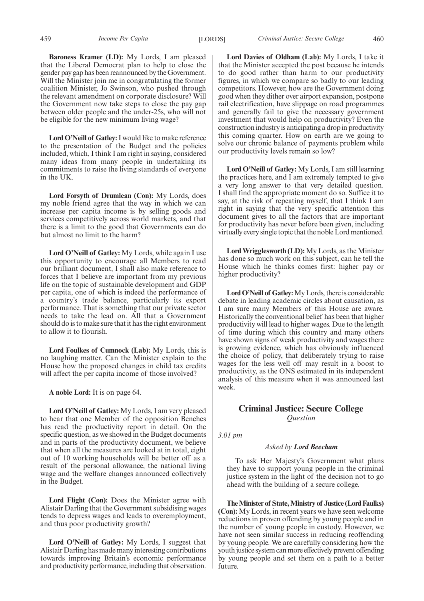**Baroness Kramer (LD):** My Lords, I am pleased that the Liberal Democrat plan to help to close the gender pay gap has been reannounced by theGovernment. Will the Minister join me in congratulating the former coalition Minister, Jo Swinson, who pushed through the relevant amendment on corporate disclosure? Will the Government now take steps to close the pay gap between older people and the under-25s, who will not be eligible for the new minimum living wage?

**Lord O'Neill of Gatley:**I would like to make reference to the presentation of the Budget and the policies included, which, I think I am right in saying, considered many ideas from many people in undertaking its commitments to raise the living standards of everyone in the UK.

**Lord Forsyth of Drumlean (Con):** My Lords, does my noble friend agree that the way in which we can increase per capita income is by selling goods and services competitively across world markets, and that there is a limit to the good that Governments can do but almost no limit to the harm?

**Lord O'Neill of Gatley:** My Lords, while again I use this opportunity to encourage all Members to read our brilliant document, I shall also make reference to forces that I believe are important from my previous life on the topic of sustainable development and GDP per capita, one of which is indeed the performance of a country's trade balance, particularly its export performance. That is something that our private sector needs to take the lead on. All that a Government should do is to make sure that it has the right environment to allow it to flourish.

**Lord Foulkes of Cumnock (Lab):** My Lords, this is no laughing matter. Can the Minister explain to the House how the proposed changes in child tax credits will affect the per capita income of those involved?

**A noble Lord:** It is on page 64.

**Lord O'Neill of Gatley:** My Lords, I am very pleased to hear that one Member of the opposition Benches has read the productivity report in detail. On the specific question, as we showed in the Budget documents and in parts of the productivity document, we believe that when all the measures are looked at in total, eight out of 10 working households will be better off as a result of the personal allowance, the national living wage and the welfare changes announced collectively in the Budget.

Lord Flight (Con): Does the Minister agree with Alistair Darling that the Government subsidising wages tends to depress wages and leads to overemployment, and thus poor productivity growth?

**Lord O'Neill of Gatley:** My Lords, I suggest that Alistair Darling has made many interesting contributions towards improving Britain's economic performance and productivity performance, including that observation.

459 *Income Per Capita* [LORDS] *Criminal Justice: Secure College* 460

**Lord Davies of Oldham (Lab):** My Lords, I take it that the Minister accepted the post because he intends to do good rather than harm to our productivity figures, in which we compare so badly to our leading competitors. However, how are the Government doing good when they dither over airport expansion, postpone rail electrification, have slippage on road programmes and generally fail to give the necessary government investment that would help on productivity? Even the construction industry is anticipating a drop in productivity this coming quarter. How on earth are we going to solve our chronic balance of payments problem while our productivity levels remain so low?

**Lord O'Neill of Gatley:** My Lords, I am still learning the practices here, and I am extremely tempted to give a very long answer to that very detailed question. I shall find the appropriate moment do so. Suffice it to say, at the risk of repeating myself, that I think I am right in saying that the very specific attention this document gives to all the factors that are important for productivity has never before been given, including virtually every single topic that the noble Lord mentioned.

**Lord Wrigglesworth (LD):** My Lords, as the Minister has done so much work on this subject, can he tell the House which he thinks comes first: higher pay or higher productivity?

**Lord O'Neill of Gatley:**My Lords, there is considerable debate in leading academic circles about causation, as I am sure many Members of this House are aware. Historically the conventional belief has been that higher productivity will lead to higher wages. Due to the length of time during which this country and many others have shown signs of weak productivity and wages there is growing evidence, which has obviously influenced the choice of policy, that deliberately trying to raise wages for the less well off may result in a boost to productivity, as the ONS estimated in its independent analysis of this measure when it was announced last week.

### **Criminal Justice: Secure College** *Question*

*3.01 pm*

#### *Asked by Lord Beecham*

To ask Her Majesty's Government what plans they have to support young people in the criminal justice system in the light of the decision not to go ahead with the building of a secure college.

**TheMinister of State,Ministry of Justice (Lord Faulks) (Con):** My Lords, in recent years we have seen welcome reductions in proven offending by young people and in the number of young people in custody. However, we have not seen similar success in reducing reoffending by young people. We are carefully considering how the youth justice system can more effectively prevent offending by young people and set them on a path to a better future.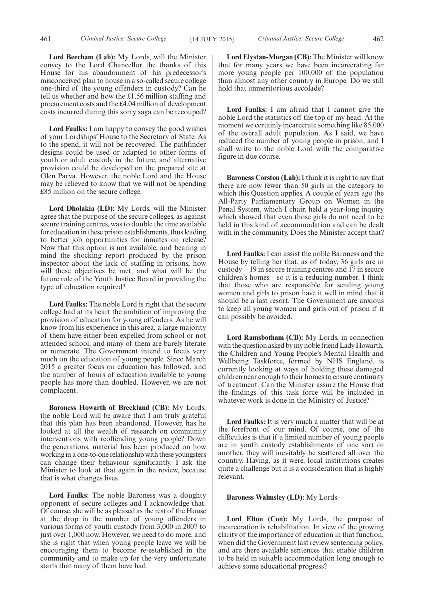**Lord Faulks:** I am happy to convey the good wishes of your Lordships' House to the Secretary of State. As to the spend, it will not be recovered. The pathfinder designs could be used or adapted to other forms of youth or adult custody in the future, and alternative provision could be developed on the prepared site at Glen Parva. However, the noble Lord and the House may be relieved to know that we will not be spending £85 million on the secure college.

**Lord Dholakia (LD):** My Lords, will the Minister agree that the purpose of the secure colleges, as against secure training centres, was to double the time available for education in these prison establishments, thus leading to better job opportunities for inmates on release? Now that this option is not available, and bearing in mind the shocking report produced by the prison inspector about the lack of staffing in prisons, how will these objectives be met, and what will be the future role of the Youth Justice Board in providing the type of education required?

**Lord Faulks:** The noble Lord is right that the secure college had at its heart the ambition of improving the provision of education for young offenders. As he will know from his experience in this area, a large majority of them have either been expelled from school or not attended school, and many of them are barely literate or numerate. The Government intend to focus very much on the education of young people. Since March 2015 a greater focus on education has followed, and the number of hours of education available to young people has more than doubled. However, we are not complacent.

**Baroness Howarth of Breckland (CB):** My Lords, the noble Lord will be aware that I am truly grateful that this plan has been abandoned. However, has he looked at all the wealth of research on community interventions with reoffending young people? Down the generations, material has been produced on how working in a one-to-one relationship with these youngsters can change their behaviour significantly. I ask the Minister to look at that again in the review, because that is what changes lives.

**Lord Faulks:** The noble Baroness was a doughty opponent of secure colleges and I acknowledge that. Of course, she will be as pleased as the rest of the House at the drop in the number of young offenders in various forms of youth custody from 3,000 in 2007 to just over 1,000 now. However, we need to do more, and she is right that when young people leave we will be encouraging them to become re-established in the community and to make up for the very unfortunate starts that many of them have had.

**Lord Elystan-Morgan (CB):** The Minister will know that for many years we have been incarcerating far more young people per 100,000 of the population than almost any other country in Europe. Do we still hold that unmeritorious accolade?

**Lord Faulks:** I am afraid that I cannot give the noble Lord the statistics off the top of my head. At the moment we certainly incarcerate something like 85,000 of the overall adult population. As I said, we have reduced the number of young people in prison, and I shall write to the noble Lord with the comparative figure in due course.

**Baroness Corston (Lab):** I think it is right to say that there are now fewer than 50 girls in the category to which this Question applies. A couple of years ago the All-Party Parliamentary Group on Women in the Penal System, which I chair, held a year-long inquiry which showed that even those girls do not need to be held in this kind of accommodation and can be dealt with in the community. Does the Minister accept that?

**Lord Faulks:** I can assist the noble Baroness and the House by telling her that, as of today, 36 girls are in custody—19 in secure training centres and 17 in secure children's homes—so it is a reducing number. I think that those who are responsible for sending young women and girls to prison have it well in mind that it should be a last resort. The Government are anxious to keep all young women and girls out of prison if it can possibly be avoided.

**Lord Ramsbotham (CB):** My Lords, in connection with the question asked by my noble friend Lady Howarth, the Children and Young People's Mental Health and Wellbeing Taskforce, formed by NHS England, is currently looking at ways of holding these damaged children near enough to their homes to ensure continuity of treatment. Can the Minister assure the House that the findings of this task force will be included in whatever work is done in the Ministry of Justice?

**Lord Faulks:** It is very much a matter that will be at the forefront of our mind. Of course, one of the difficulties is that if a limited number of young people are in youth custody establishments of one sort or another, they will inevitably be scattered all over the country. Having, as it were, local institutions creates quite a challenge but it is a consideration that is highly relevant.

#### **Baroness Walmsley (LD):** My Lords—

**Lord Elton (Con):** My Lords, the purpose of incarceration is rehabilitation. In view of the growing clarity of the importance of education in that function, when did the Government last review sentencing policy, and are there available sentences that enable children to be held in suitable accommodation long enough to achieve some educational progress?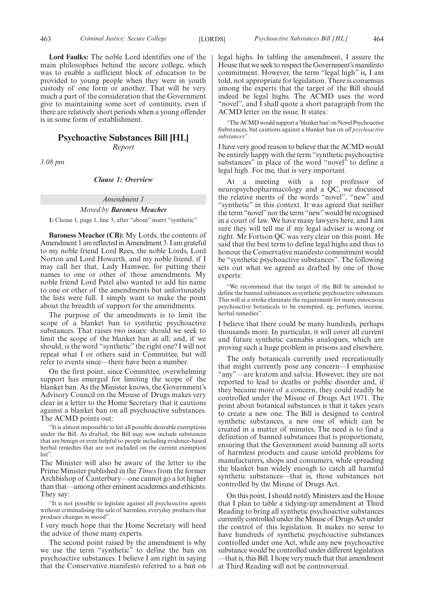**Lord Faulks:** The noble Lord identifies one of the main philosophies behind the secure college, which was to enable a sufficient block of education to be provided to young people when they were in youth custody of one form or another. That will be very much a part of the consideration that the Government give to maintaining some sort of continuity, even if there are relatively short periods when a young offender is in some form of establishment.

#### **Psychoactive Substances Bill [HL]**

*Report*

*3.08 pm*

#### *Clause 1: Overview*

#### *Amendment 1*

#### *Moved by Baroness Meacher*

**1:** Clause 1, page 1, line 3, after "about" insert "synthetic"

**Baroness Meacher (CB):** My Lords, the contents of Amendment 1 are reflected in Amendment 3. I am grateful to my noble friend Lord Rees, the noble Lords, Lord Norton and Lord Howarth, and my noble friend, if I may call her that, Lady Hamwee, for putting their names to one or other of those amendments. My noble friend Lord Patel also wanted to add his name to one or other of the amendments but unfortunately the lists were full. I simply want to make the point about the breadth of support for the amendments.

The purpose of the amendments is to limit the scope of a blanket ban to synthetic psychoactive substances. That raises two issues: should we seek to limit the scope of the blanket ban at all; and, if we should, is the word "synthetic" the right one? I will not repeat what I or others said in Committee, but will refer to events since—there have been a number.

On the first point, since Committee, overwhelming support has emerged for limiting the scope of the blanket ban. As the Minister knows, the Government's Advisory Council on the Misuse of Drugs makes very clear in a letter to the Home Secretary that it cautions against a blanket ban on all psychoactive substances. The ACMD points out:

"It is almost impossible to list all possible desirable exemptions under the Bill. As drafted, the Bill may now include substances that are benign or even helpful to people including evidence-based herbal remedies that are not included on the current exemption list".

The Minister will also be aware of the letter to the Prime Minister published in the *Times* from the former Archbishop of Canterbury—one cannot go a lot higher than that—among other eminent academics and ethicists. They say:

"It is not possible to legislate against all psychoactive agents without criminalising the sale of harmless, everyday products that produce changes in mood".

I very much hope that the Home Secretary will heed the advice of those many experts.

The second point raised by the amendment is why we use the term "synthetic" to define the ban on psychoactive substances. I believe I am right in saying that the Conservative manifesto referred to a ban on legal highs. In tabling the amendment, I assure the House that we seek to respect the Government's manifesto commitment. However, the term "legal high" is, I am told, not appropriate for legislation. There is consensus among the experts that the target of the Bill should indeed be legal highs. The ACMD uses the word "novel", and I shall quote a short paragraph from the ACMD letter on the issue. It states:

"The ACMD would support a 'blanket ban' on Novel Psychoactive Substances, but cautions against a blanket ban on *all psychoactive substances*".

I have very good reason to believe that the ACMD would be entirely happy with the term "synthetic psychoactive substances" in place of the word "novel" to define a legal high. For me, that is very important.

At a meeting with a top professor of neuropsychopharmacology and a QC, we discussed the relative merits of the words "novel", "new" and "synthetic" in this context. It was agreed that neither the term "novel" nor the term "new" would be recognised in a court of law. We have many lawyers here, and I am sure they will tell me if my legal adviser is wrong or right. Mr Fortson QC was very clear on this point. He said that the best term to define legal highs and thus to honour the Conservative manifesto commitment would be "synthetic psychoactive substances". The following sets out what we agreed as drafted by one of those experts:

"We recommend that the target of the Bill be amended to define the banned substances as synthetic psychoactive substances. This will at a stroke eliminate the requirement for many innocuous psychoactive botanicals to be exempted, eg, perfumes, incense, herbal remedies".

I believe that there could be many hundreds, perhaps thousands more. In particular, it will cover all current and future synthetic cannabis analogues, which are proving such a huge problem in prisons and elsewhere.

The only botanicals currently used recreationally that might currently pose any concern—I emphasise "any"—are kratom and salvia. However, they are not reported to lead to deaths or public disorder and, if they became more of a concern, they could readily be controlled under the Misuse of Drugs Act 1971. The point about botanical substances is that it takes years to create a new one. The Bill is designed to control synthetic substances, a new one of which can be created in a matter of minutes. The need is to find a definition of banned substances that is proportionate, ensuring that the Government avoid banning all sorts of harmless products and cause untold problems for manufacturers, shops and consumers, while spreading the blanket ban widely enough to catch all harmful synthetic substances—that is, those substances not controlled by the Misuse of Drugs Act.

On this point, I should notifyMinisters and the House that I plan to table a tidying-up amendment at Third Reading to bring all synthetic psychoactive substances currently controlled under the Misuse of Drugs Act under the control of this legislation. It makes no sense to have hundreds of synthetic psychoactive substances controlled under one Act, while any new psychoactive substance would be controlled under different legislation —that is, this Bill. I hope very much that that amendment at Third Reading will not be controversial.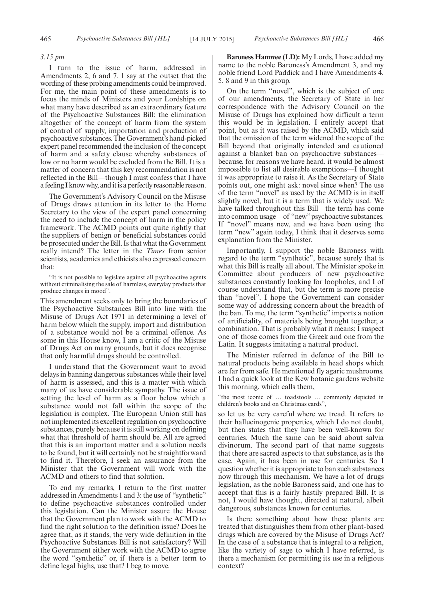#### *3.15 pm*

I turn to the issue of harm, addressed in Amendments 2, 6 and 7. I say at the outset that the wording of these probing amendments could be improved. For me, the main point of these amendments is to focus the minds of Ministers and your Lordships on what many have described as an extraordinary feature of the Psychoactive Substances Bill: the elimination altogether of the concept of harm from the system of control of supply, importation and production of psychoactive substances. The Government's hand-picked expert panel recommended the inclusion of the concept of harm and a safety clause whereby substances of low or no harm would be excluded from the Bill. It is a matter of concern that this key recommendation is not reflected in the Bill—though I must confess that I have a feeling I know why, and it is a perfectly reasonable reason.

The Government's Advisory Council on the Misuse of Drugs draws attention in its letter to the Home Secretary to the view of the expert panel concerning the need to include the concept of harm in the policy framework. The ACMD points out quite rightly that the suppliers of benign or beneficial substances could be prosecuted under the Bill. Is that what the Government really intend? The letter in the *Times* from senior scientists, academics and ethicists also expressed concern that:

"It is not possible to legislate against all psychoactive agents without criminalising the sale of harmless, everyday products that produce changes in mood".

This amendment seeks only to bring the boundaries of the Psychoactive Substances Bill into line with the Misuse of Drugs Act 1971 in determining a level of harm below which the supply, import and distribution of a substance would not be a criminal offence. As some in this House know, I am a critic of the Misuse of Drugs Act on many grounds, but it does recognise that only harmful drugs should be controlled.

I understand that the Government want to avoid delays in banning dangerous substances while their level of harm is assessed, and this is a matter with which many of us have considerable sympathy. The issue of setting the level of harm as a floor below which a substance would not fall within the scope of the legislation is complex. The European Union still has not implemented its excellent regulation on psychoactive substances, purely because it is still working on defining what that threshold of harm should be. All are agreed that this is an important matter and a solution needs to be found, but it will certainly not be straightforward to find it. Therefore, I seek an assurance from the Minister that the Government will work with the ACMD and others to find that solution.

To end my remarks, I return to the first matter addressed in Amendments 1 and 3: the use of "synthetic" to define psychoactive substances controlled under this legislation. Can the Minister assure the House that the Government plan to work with the ACMD to find the right solution to the definition issue? Does he agree that, as it stands, the very wide definition in the Psychoactive Substances Bill is not satisfactory? Will the Government either work with the ACMD to agree the word "synthetic" or, if there is a better term to define legal highs, use that? I beg to move.

**Baroness Hamwee (LD):** My Lords, I have added my name to the noble Baroness's Amendment 3, and my noble friend Lord Paddick and I have Amendments 4, 5, 8 and 9 in this group.

On the term "novel", which is the subject of one of our amendments, the Secretary of State in her correspondence with the Advisory Council on the Misuse of Drugs has explained how difficult a term this would be in legislation. I entirely accept that point, but as it was raised by the ACMD, which said that the omission of the term widened the scope of the Bill beyond that originally intended and cautioned against a blanket ban on psychoactive substances because, for reasons we have heard, it would be almost impossible to list all desirable exemptions—I thought it was appropriate to raise it. As the Secretary of State points out, one might ask: novel since when? The use of the term "novel" as used by the ACMD is in itself slightly novel, but it is a term that is widely used. We have talked throughout this Bill—the term has come into common usage—of "new"psychoactive substances. If "novel" means new, and we have been using the term "new" again today, I think that it deserves some explanation from the Minister.

Importantly, I support the noble Baroness with regard to the term "synthetic", because surely that is what this Bill is really all about. The Minister spoke in Committee about producers of new psychoactive substances constantly looking for loopholes, and I of course understand that, but the term is more precise than "novel". I hope the Government can consider some way of addressing concern about the breadth of the ban. To me, the term "synthetic" imports a notion of artificiality, of materials being brought together, a combination. That is probably what it means; I suspect one of those comes from the Greek and one from the Latin. It suggests imitating a natural product.

The Minister referred in defence of the Bill to natural products being available in head shops which are far from safe. He mentioned fly agaric mushrooms. I had a quick look at the Kew botanic gardens website this morning, which calls them,

"the most iconic of … toadstools … commonly depicted in children's books and on Christmas cards",

so let us be very careful where we tread. It refers to their hallucinogenic properties, which I do not doubt, but then states that they have been well-known for centuries. Much the same can be said about salvia divinorum. The second part of that name suggests that there are sacred aspects to that substance, as is the case. Again, it has been in use for centuries. So I question whether it is appropriate to ban such substances now through this mechanism. We have a lot of drugs legislation, as the noble Baroness said, and one has to accept that this is a fairly hastily prepared Bill. It is not, I would have thought, directed at natural, albeit dangerous, substances known for centuries.

Is there something about how these plants are treated that distinguishes them from other plant-based drugs which are covered by the Misuse of Drugs Act? In the case of a substance that is integral to a religion, like the variety of sage to which I have referred, is there a mechanism for permitting its use in a religious context?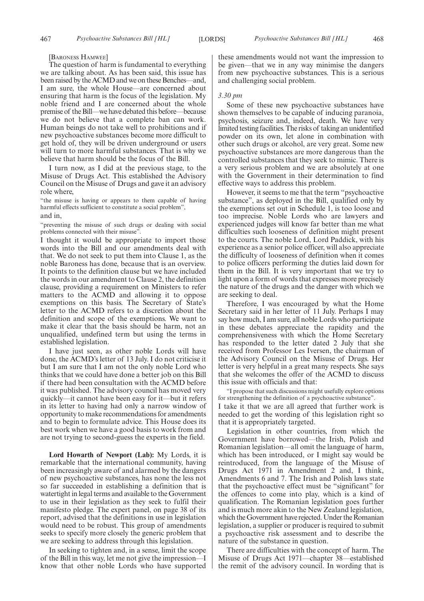[BARONESS HAMWEE]

The question of harm is fundamental to everything we are talking about. As has been said, this issue has been raised by the ACMD and we on these Benches—and, I am sure, the whole House—are concerned about ensuring that harm is the focus of the legislation. My noble friend and I are concerned about the whole premise of the Bill—we have debated this before—because we do not believe that a complete ban can work. Human beings do not take well to prohibitions and if new psychoactive substances become more difficult to get hold of, they will be driven underground or users will turn to more harmful substances. That is why we believe that harm should be the focus of the Bill.

I turn now, as I did at the previous stage, to the Misuse of Drugs Act. This established the Advisory Council on the Misuse of Drugs and gave it an advisory role where,

"the misuse is having or appears to them capable of having harmful effects sufficient to constitute a social problem", and in,

"preventing the misuse of such drugs or dealing with social problems connected with their misuse'

I thought it would be appropriate to import those words into the Bill and our amendments deal with that. We do not seek to put them into Clause 1, as the noble Baroness has done, because that is an overview. It points to the definition clause but we have included the words in our amendment to Clause 2, the definition clause, providing a requirement on Ministers to refer matters to the ACMD and allowing it to oppose exemptions on this basis. The Secretary of State's letter to the ACMD refers to a discretion about the definition and scope of the exemptions. We want to make it clear that the basis should be harm, not an unqualified, undefined term but using the terms in established legislation.

I have just seen, as other noble Lords will have done, the ACMD's letter of 13 July. I do not criticise it but I am sure that I am not the only noble Lord who thinks that we could have done a better job on this Bill if there had been consultation with the ACMD before it was published. The advisory council has moved very quickly—it cannot have been easy for it—but it refers in its letter to having had only a narrow window of opportunity to make recommendations for amendments and to begin to formulate advice. This House does its best work when we have a good basis to work from and are not trying to second-guess the experts in the field.

**Lord Howarth of Newport (Lab):** My Lords, it is remarkable that the international community, having been increasingly aware of and alarmed by the dangers of new psychoactive substances, has none the less not so far succeeded in establishing a definition that is watertight in legal terms and available to the Government to use in their legislation as they seek to fulfil their manifesto pledge. The expert panel, on page 38 of its report, advised that the definitions in use in legislation would need to be robust. This group of amendments seeks to specify more closely the generic problem that we are seeking to address through this legislation.

In seeking to tighten and, in a sense, limit the scope of the Bill in this way, let me not give the impression—I know that other noble Lords who have supported these amendments would not want the impression to be given—that we in any way minimise the dangers from new psychoactive substances. This is a serious and challenging social problem.

#### *3.30 pm*

Some of these new psychoactive substances have shown themselves to be capable of inducing paranoia, psychosis, seizure and, indeed, death. We have very limited testing facilities. The risks of taking an unidentified powder on its own, let alone in combination with other such drugs or alcohol, are very great. Some new psychoactive substances are more dangerous than the controlled substances that they seek to mimic. There is a very serious problem and we are absolutely at one with the Government in their determination to find effective ways to address this problem.

However, it seems to me that the term "psychoactive substance", as deployed in the Bill, qualified only by the exemptions set out in Schedule 1, is too loose and too imprecise. Noble Lords who are lawyers and experienced judges will know far better than me what difficulties such looseness of definition might present to the courts. The noble Lord, Lord Paddick, with his experience as a senior police officer, will also appreciate the difficulty of looseness of definition when it comes to police officers performing the duties laid down for them in the Bill. It is very important that we try to light upon a form of words that expresses more precisely the nature of the drugs and the danger with which we are seeking to deal.

Therefore, I was encouraged by what the Home Secretary said in her letter of 11 July. Perhaps I may say how much, I am sure, all noble Lords who participate in these debates appreciate the rapidity and the comprehensiveness with which the Home Secretary has responded to the letter dated 2 July that she received from Professor Les Iversen, the chairman of the Advisory Council on the Misuse of Drugs. Her letter is very helpful in a great many respects. She says that she welcomes the offer of the ACMD to discuss this issue with officials and that:

"I propose that such discussions might usefully explore options for strengthening the definition of a psychoactive substance". I take it that we are all agreed that further work is

needed to get the wording of this legislation right so that it is appropriately targeted.

Legislation in other countries, from which the Government have borrowed—the Irish, Polish and Romanian legislation—all omit the language of harm, which has been introduced, or I might say would be reintroduced, from the language of the Misuse of Drugs Act 1971 in Amendment 2 and, I think, Amendments 6 and 7. The Irish and Polish laws state that the psychoactive effect must be "significant" for the offences to come into play, which is a kind of qualification. The Romanian legislation goes further and is much more akin to the New Zealand legislation, which the Government have rejected. Under the Romanian legislation, a supplier or producer is required to submit a psychoactive risk assessment and to describe the nature of the substance in question.

There are difficulties with the concept of harm. The Misuse of Drugs Act 1971—chapter 38—established the remit of the advisory council. In wording that is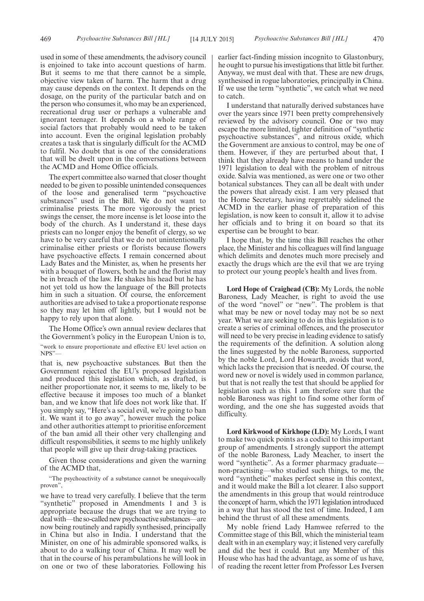used in some of these amendments, the advisory council is enjoined to take into account questions of harm. But it seems to me that there cannot be a simple, objective view taken of harm. The harm that a drug may cause depends on the context. It depends on the dosage, on the purity of the particular batch and on the person who consumes it, who may be an experienced, recreational drug user or perhaps a vulnerable and ignorant teenager. It depends on a whole range of social factors that probably would need to be taken into account. Even the original legislation probably creates a task that is singularly difficult for the ACMD to fulfil. No doubt that is one of the considerations that will be dwelt upon in the conversations between the ACMD and Home Office officials.

The expert committee also warned that closer thought needed to be given to possible unintended consequences of the loose and generalised term "psychoactive substances" used in the Bill. We do not want to criminalise priests. The more vigorously the priest swings the censer, the more incense is let loose into the body of the church. As I understand it, these days priests can no longer enjoy the benefit of clergy, so we have to be very careful that we do not unintentionally criminalise either priests or florists because flowers have psychoactive effects. I remain concerned about Lady Bates and the Minister, as, when he presents her with a bouquet of flowers, both he and the florist may be in breach of the law. He shakes his head but he has not yet told us how the language of the Bill protects him in such a situation. Of course, the enforcement authorities are advised to take a proportionate response so they may let him off lightly, but I would not be happy to rely upon that alone.

The Home Office's own annual review declares that the Government's policy in the European Union is to,

"work to ensure proportionate and effective EU level action on NPS"—

that is, new psychoactive substances. But then the Government rejected the EU's proposed legislation and produced this legislation which, as drafted, is neither proportionate nor, it seems to me, likely to be effective because it imposes too much of a blanket ban, and we know that life does not work like that. If you simply say, "Here's a social evil, we're going to ban it. We want it to go away", however much the police and other authorities attempt to prioritise enforcement of the ban amid all their other very challenging and difficult responsibilities, it seems to me highly unlikely that people will give up their drug-taking practices.

Given those considerations and given the warning of the ACMD that,

"The psychoactivity of a substance cannot be unequivocally proven",

we have to tread very carefully. I believe that the term "synthetic" proposed in Amendments 1 and 3 is appropriate because the drugs that we are trying to deal with—the so-called new psychoactive substances—are now being routinely and rapidly synthesised, principally in China but also in India. I understand that the Minister, on one of his admirable sponsored walks, is about to do a walking tour of China. It may well be that in the course of his perambulations he will look in on one or two of these laboratories. Following his earlier fact-finding mission incognito to Glastonbury, he ought to pursue his investigations that little bit further. Anyway, we must deal with that. These are new drugs, synthesised in rogue laboratories, principally in China. If we use the term "synthetic", we catch what we need to catch.

I understand that naturally derived substances have over the years since 1971 been pretty comprehensively reviewed by the advisory council. One or two may escape the more limited, tighter definition of "synthetic psychoactive substances", and nitrous oxide, which the Government are anxious to control, may be one of them. However, if they are perturbed about that, I think that they already have means to hand under the 1971 legislation to deal with the problem of nitrous oxide. Salvia was mentioned, as were one or two other botanical substances. They can all be dealt with under the powers that already exist. I am very pleased that the Home Secretary, having regrettably sidelined the ACMD in the earlier phase of preparation of this legislation, is now keen to consult it, allow it to advise her officials and to bring it on board so that its expertise can be brought to bear.

I hope that, by the time this Bill reaches the other place, the Minister and his colleagues will find language which delimits and denotes much more precisely and exactly the drugs which are the evil that we are trying to protect our young people's health and lives from.

**Lord Hope of Craighead (CB):** My Lords, the noble Baroness, Lady Meacher, is right to avoid the use of the word "novel" or "new". The problem is that what may be new or novel today may not be so next year. What we are seeking to do in this legislation is to create a series of criminal offences, and the prosecutor will need to be very precise in leading evidence to satisfy the requirements of the definition. A solution along the lines suggested by the noble Baroness, supported by the noble Lord, Lord Howarth, avoids that word, which lacks the precision that is needed. Of course, the word new or novel is widely used in common parlance, but that is not really the test that should be applied for legislation such as this. I am therefore sure that the noble Baroness was right to find some other form of wording, and the one she has suggested avoids that difficulty.

**Lord Kirkwood of Kirkhope (LD):** My Lords, I want to make two quick points as a codicil to this important group of amendments. I strongly support the attempt of the noble Baroness, Lady Meacher, to insert the word "synthetic". As a former pharmacy graduate non-practising—who studied such things, to me, the word "synthetic" makes perfect sense in this context, and it would make the Bill a lot clearer. I also support the amendments in this group that would reintroduce the concept of harm, which the 1971 legislation introduced in a way that has stood the test of time. Indeed, I am behind the thrust of all these amendments.

My noble friend Lady Hamwee referred to the Committee stage of this Bill, which the ministerial team dealt with in an exemplary way; it listened very carefully and did the best it could. But any Member of this House who has had the advantage, as some of us have, of reading the recent letter from Professor Les Iversen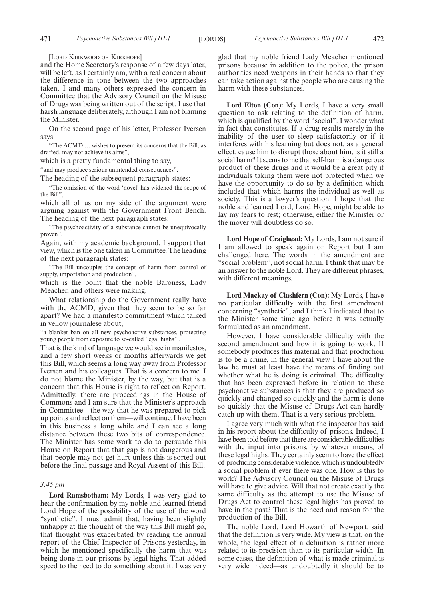[LORD KIRKWOOD OF KIRKHOPE]

and the Home Secretary's response of a few days later, will be left, as I certainly am, with a real concern about the difference in tone between the two approaches taken. I and many others expressed the concern in Committee that the Advisory Council on the Misuse of Drugs was being written out of the script. I use that harsh language deliberately, although I am not blaming the Minister.

On the second page of his letter, Professor Iversen says:

"The ACMD … wishes to present its concerns that the Bill, as drafted, may not achieve its aims",

which is a pretty fundamental thing to say,

"and may produce serious unintended consequences".

The heading of the subsequent paragraph states:

"The omission of the word 'novel' has widened the scope of the Bill",

which all of us on my side of the argument were arguing against with the Government Front Bench. The heading of the next paragraph states:

"The psychoactivity of a substance cannot be unequivocally proven".

Again, with my academic background, I support that view, which is the one taken in Committee. The heading of the next paragraph states:

"The Bill uncouples the concept of harm from control of supply, importation and production",

which is the point that the noble Baroness, Lady Meacher, and others were making.

What relationship do the Government really have with the ACMD, given that they seem to be so far apart? We had a manifesto commitment which talked in yellow journalese about,

"a blanket ban on all new psychoactive substances, protecting young people from exposure to so-called 'legal highs''

That is the kind of language we would see in manifestos, and a few short weeks or months afterwards we get this Bill, which seems a long way away from Professor Iversen and his colleagues. That is a concern to me. I do not blame the Minister, by the way, but that is a concern that this House is right to reflect on Report. Admittedly, there are proceedings in the House of Commons and I am sure that the Minister's approach in Committee—the way that he was prepared to pick up points and reflect on them—will continue. I have been in this business a long while and I can see a long distance between these two bits of correspondence. The Minister has some work to do to persuade this House on Report that that gap is not dangerous and that people may not get hurt unless this is sorted out before the final passage and Royal Assent of this Bill.

#### *3.45 pm*

**Lord Ramsbotham:** My Lords, I was very glad to hear the confirmation by my noble and learned friend Lord Hope of the possibility of the use of the word "synthetic". I must admit that, having been slightly unhappy at the thought of the way this Bill might go, that thought was exacerbated by reading the annual report of the Chief Inspector of Prisons yesterday, in which he mentioned specifically the harm that was being done in our prisons by legal highs. That added speed to the need to do something about it. I was very glad that my noble friend Lady Meacher mentioned prisons because in addition to the police, the prison authorities need weapons in their hands so that they can take action against the people who are causing the harm with these substances.

**Lord Elton (Con):** My Lords, I have a very small question to ask relating to the definition of harm, which is qualified by the word "social". I wonder what in fact that constitutes. If a drug results merely in the inability of the user to sleep satisfactorily or if it interferes with his learning but does not, as a general effect, cause him to disrupt those about him, is it still a social harm? It seems to me that self-harm is a dangerous product of these drugs and it would be a great pity if individuals taking them were not protected when we have the opportunity to do so by a definition which included that which harms the individual as well as society. This is a lawyer's question. I hope that the noble and learned Lord, Lord Hope, might be able to lay my fears to rest; otherwise, either the Minister or the mover will doubtless do so.

**Lord Hope of Craighead:** My Lords, I am not sure if I am allowed to speak again on Report but I am challenged here. The words in the amendment are "social problem", not social harm. I think that may be an answer to the noble Lord. They are different phrases, with different meanings.

**Lord Mackay of Clashfern (Con):** My Lords, I have no particular difficulty with the first amendment concerning "synthetic", and I think I indicated that to the Minister some time ago before it was actually formulated as an amendment.

However, I have considerable difficulty with the second amendment and how it is going to work. If somebody produces this material and that production is to be a crime, in the general view I have about the law he must at least have the means of finding out whether what he is doing is criminal. The difficulty that has been expressed before in relation to these psychoactive substances is that they are produced so quickly and changed so quickly and the harm is done so quickly that the Misuse of Drugs Act can hardly catch up with them. That is a very serious problem.

I agree very much with what the inspector has said in his report about the difficulty of prisons. Indeed, I have been told before that there are considerable difficulties with the input into prisons, by whatever means, of these legal highs. They certainly seem to have the effect of producing considerable violence, which is undoubtedly a social problem if ever there was one. How is this to work? The Advisory Council on the Misuse of Drugs will have to give advice. Will that not create exactly the same difficulty as the attempt to use the Misuse of Drugs Act to control these legal highs has proved to have in the past? That is the need and reason for the production of the Bill.

The noble Lord, Lord Howarth of Newport, said that the definition is very wide. My view is that, on the whole, the legal effect of a definition is rather more related to its precision than to its particular width. In some cases, the definition of what is made criminal is very wide indeed—as undoubtedly it should be to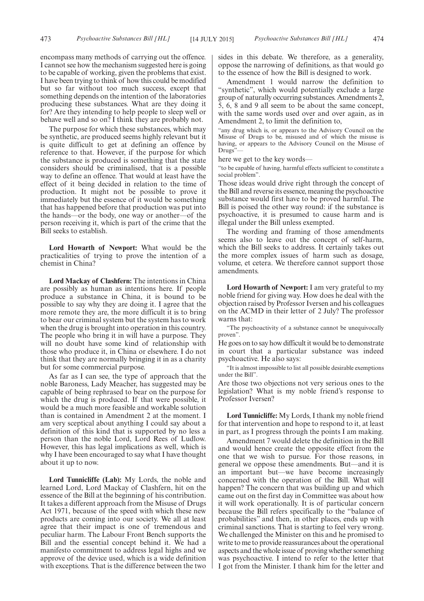encompass many methods of carrying out the offence. I cannot see how the mechanism suggested here is going to be capable of working, given the problems that exist. I have been trying to think of how this could be modified but so far without too much success, except that something depends on the intention of the laboratories producing these substances. What are they doing it for? Are they intending to help people to sleep well or behave well and so on? I think they are probably not.

The purpose for which these substances, which may be synthetic, are produced seems highly relevant but it is quite difficult to get at defining an offence by reference to that. However, if the purpose for which the substance is produced is something that the state considers should be criminalised, that is a possible way to define an offence. That would at least have the effect of it being decided in relation to the time of production. It might not be possible to prove it immediately but the essence of it would be something that has happened before that production was put into the hands—or the body, one way or another—of the person receiving it, which is part of the crime that the Bill seeks to establish.

**Lord Howarth of Newport:** What would be the practicalities of trying to prove the intention of a chemist in China?

**Lord Mackay of Clashfern:** The intentions in China are possibly as human as intentions here. If people produce a substance in China, it is bound to be possible to say why they are doing it. I agree that the more remote they are, the more difficult it is to bring to bear our criminal system but the system has to work when the drug is brought into operation in this country. The people who bring it in will have a purpose. They will no doubt have some kind of relationship with those who produce it, in China or elsewhere. I do not think that they are normally bringing it in as a charity but for some commercial purpose.

As far as I can see, the type of approach that the noble Baroness, Lady Meacher, has suggested may be capable of being rephrased to bear on the purpose for which the drug is produced. If that were possible, it would be a much more feasible and workable solution than is contained in Amendment 2 at the moment. I am very sceptical about anything I could say about a definition of this kind that is supported by no less a person than the noble Lord, Lord Rees of Ludlow. However, this has legal implications as well, which is why I have been encouraged to say what I have thought about it up to now.

**Lord Tunnicliffe (Lab):** My Lords, the noble and learned Lord, Lord Mackay of Clashfern, hit on the essence of the Bill at the beginning of his contribution. It takes a different approach from the Misuse of Drugs Act 1971, because of the speed with which these new products are coming into our society. We all at least agree that their impact is one of tremendous and peculiar harm. The Labour Front Bench supports the Bill and the essential concept behind it. We had a manifesto commitment to address legal highs and we approve of the device used, which is a wide definition with exceptions. That is the difference between the two sides in this debate. We therefore, as a generality, oppose the narrowing of definitions, as that would go to the essence of how the Bill is designed to work.

Amendment 1 would narrow the definition to "synthetic", which would potentially exclude a large group of naturally occurring substances. Amendments 2, 5, 6, 8 and 9 all seem to be about the same concept, with the same words used over and over again, as in Amendment 2, to limit the definition to,

"any drug which is, or appears to the Advisory Council on the Misuse of Drugs to be, misused and of which the misuse is having, or appears to the Advisory Council on the Misuse of Drugs"

here we get to the key words—

"to be capable of having, harmful effects sufficient to constitute a social problem".

Those ideas would drive right through the concept of the Bill and reverse its essence, meaning the psychoactive substance would first have to be proved harmful. The Bill is poised the other way round: if the substance is psychoactive, it is presumed to cause harm and is illegal under the Bill unless exempted.

The wording and framing of those amendments seems also to leave out the concept of self-harm, which the Bill seeks to address. It certainly takes out the more complex issues of harm such as dosage, volume, et cetera. We therefore cannot support those amendments.

**Lord Howarth of Newport:** I am very grateful to my noble friend for giving way. How does he deal with the objection raised by Professor Iversen and his colleagues on the ACMD in their letter of 2 July? The professor warns that:

"The psychoactivity of a substance cannot be unequivocally proven".

He goes on to say how difficult it would be to demonstrate in court that a particular substance was indeed psychoactive. He also says:

"It is almost impossible to list all possible desirable exemptions under the Bill".

Are those two objections not very serious ones to the legislation? What is my noble friend's response to Professor Iversen?

**Lord Tunnicliffe:** My Lords, I thank my noble friend for that intervention and hope to respond to it, at least in part, as I progress through the points I am making.

Amendment 7 would delete the definition in the Bill and would hence create the opposite effect from the one that we wish to pursue. For those reasons, in general we oppose these amendments. But—and it is an important but—we have become increasingly concerned with the operation of the Bill. What will happen? The concern that was building up and which came out on the first day in Committee was about how it will work operationally. It is of particular concern because the Bill refers specifically to the "balance of probabilities" and then, in other places, ends up with criminal sanctions. That is starting to feel very wrong. We challenged the Minister on this and he promised to write to me to provide reassurances about the operational aspects and the whole issue of proving whether something was psychoactive. I intend to refer to the letter that I got from the Minister. I thank him for the letter and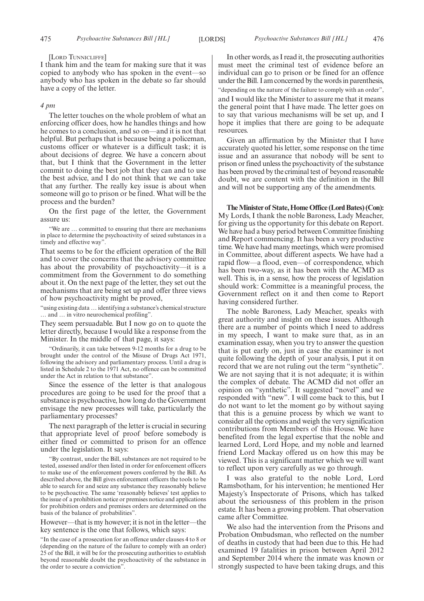#### [LORD TUNNICLIFFE]

I thank him and the team for making sure that it was copied to anybody who has spoken in the event—so anybody who has spoken in the debate so far should have a copy of the letter.

#### *4 pm*

The letter touches on the whole problem of what an enforcing officer does, how he handles things and how he comes to a conclusion, and so on—and it is not that helpful. But perhaps that is because being a policeman, customs officer or whatever is a difficult task; it is about decisions of degree. We have a concern about that, but I think that the Government in the letter commit to doing the best job that they can and to use the best advice, and I do not think that we can take that any further. The really key issue is about when someone will go to prison or be fined. What will be the process and the burden?

On the first page of the letter, the Government assure us:

We are ... committed to ensuring that there are mechanisms in place to determine the psychoactivity of seized substances in a timely and effective way".

That seems to be for the efficient operation of the Bill and to cover the concerns that the advisory committee has about the provability of psychoactivity—it is a commitment from the Government to do something about it. On the next page of the letter, they set out the mechanisms that are being set up and offer three views of how psychoactivity might be proved,

"using existing data … identifying a substance's chemical structure … and … in vitro neurochemical profiling".

They seem persuadable. But I now go on to quote the letter directly, because I would like a response from the Minister. In the middle of that page, it says:

"Ordinarily, it can take between 9-12 months for a drug to be brought under the control of the Misuse of Drugs Act 1971, following the advisory and parliamentary process. Until a drug is listed in Schedule 2 to the 1971 Act, no offence can be committed under the Act in relation to that substance".

Since the essence of the letter is that analogous procedures are going to be used for the proof that a substance is psychoactive, how long do the Government envisage the new processes will take, particularly the parliamentary processes?

The next paragraph of the letter is crucial in securing that appropriate level of proof before somebody is either fined or committed to prison for an offence under the legislation. It says:

"By contrast, under the Bill, substances are not required to be tested, assessed and/or then listed in order for enforcement officers to make use of the enforcement powers conferred by the Bill. As described above, the Bill gives enforcement officers the tools to be able to search for and seize any substance they reasonably believe to be psychoactive. The same 'reasonably believes' test applies to the issue of a prohibition notice or premises notice and applications for prohibition orders and premises orders are determined on the basis of the balance of probabilities".

However—that is my however; it is not in the letter—the key sentence is the one that follows, which says:

"In the case of a prosecution for an offence under clauses 4 to 8 or (depending on the nature of the failure to comply with an order) 25 of the Bill, it will be for the prosecuting authorities to establish beyond reasonable doubt the psychoactivity of the substance in the order to secure a conviction".

In other words, as I read it, the prosecuting authorities must meet the criminal test of evidence before an individual can go to prison or be fined for an offence under the Bill. I am concerned by the words in parenthesis, "depending on the nature of the failure to comply with an order", and I would like the Minister to assure me that it means the general point that I have made. The letter goes on to say that various mechanisms will be set up, and I hope it implies that there are going to be adequate resources.

Given an affirmation by the Minister that I have accurately quoted his letter, some response on the time issue and an assurance that nobody will be sent to prison or fined unless the psychoactivity of the substance has been proved by the criminal test of beyond reasonable doubt, we are content with the definition in the Bill and will not be supporting any of the amendments.

**TheMinister of State, Home Office (Lord Bates) (Con):** My Lords, I thank the noble Baroness, Lady Meacher, for giving us the opportunity for this debate on Report. We have had a busy period between Committee finishing and Report commencing. It has been a very productive time. We have had many meetings, which were promised in Committee, about different aspects. We have had a rapid flow—a flood, even—of correspondence, which has been two-way, as it has been with the ACMD as well. This is, in a sense, how the process of legislation should work: Committee is a meaningful process, the Government reflect on it and then come to Report having considered further.

The noble Baroness, Lady Meacher, speaks with great authority and insight on these issues. Although there are a number of points which I need to address in my speech, I want to make sure that, as in an examination essay, when you try to answer the question that is put early on, just in case the examiner is not quite following the depth of your analysis, I put it on record that we are not ruling out the term "synthetic". We are not saying that it is not adequate; it is within the complex of debate. The ACMD did not offer an opinion on "synthetic". It suggested "novel" and we responded with "new". I will come back to this, but I do not want to let the moment go by without saying that this is a genuine process by which we want to consider all the options and weigh the very signification contributions from Members of this House. We have benefited from the legal expertise that the noble and learned Lord, Lord Hope, and my noble and learned friend Lord Mackay offered us on how this may be viewed. This is a significant matter which we will want to reflect upon very carefully as we go through.

I was also grateful to the noble Lord, Lord Ramsbotham, for his intervention; he mentioned Her Majesty's Inspectorate of Prisons, which has talked about the seriousness of this problem in the prison estate. It has been a growing problem. That observation came after Committee.

We also had the intervention from the Prisons and Probation Ombudsman, who reflected on the number of deaths in custody that had been due to this. He had examined 19 fatalities in prison between April 2012 and September 2014 where the inmate was known or strongly suspected to have been taking drugs, and this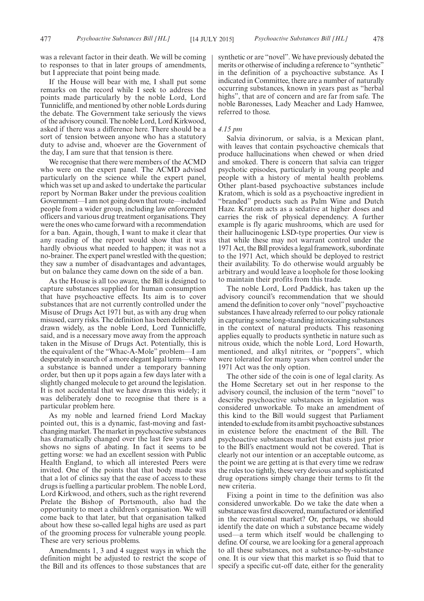was a relevant factor in their death. We will be coming to responses to that in later groups of amendments, but I appreciate that point being made.

If the House will bear with me, I shall put some remarks on the record while I seek to address the points made particularly by the noble Lord, Lord Tunnicliffe, and mentioned by other noble Lords during the debate. The Government take seriously the views of the advisory council. The noble Lord, Lord Kirkwood, asked if there was a difference here. There should be a sort of tension between anyone who has a statutory duty to advise and, whoever are the Government of the day, I am sure that that tension is there.

We recognise that there were members of the ACMD who were on the expert panel. The ACMD advised particularly on the science while the expert panel, which was set up and asked to undertake the particular report by Norman Baker under the previous coalition Government—I am not going down that route—included people from a wider group, including law enforcement officers and various drug treatment organisations. They were the ones who came forward with a recommendation for a ban. Again, though, I want to make it clear that any reading of the report would show that it was hardly obvious what needed to happen; it was not a no-brainer. The expert panel wrestled with the question; they saw a number of disadvantages and advantages, but on balance they came down on the side of a ban.

As the House is all too aware, the Bill is designed to capture substances supplied for human consumption that have psychoactive effects. Its aim is to cover substances that are not currently controlled under the Misuse of Drugs Act 1971 but, as with any drug when misused, carry risks. The definition has been deliberately drawn widely, as the noble Lord, Lord Tunnicliffe, said, and is a necessary move away from the approach taken in the Misuse of Drugs Act. Potentially, this is the equivalent of the "Whac-A-Mole" problem—I am desperately in search of a more elegant legal term—where a substance is banned under a temporary banning order, but then up it pops again a few days later with a slightly changed molecule to get around the legislation. It is not accidental that we have drawn this widely; it was deliberately done to recognise that there is a particular problem here.

As my noble and learned friend Lord Mackay pointed out, this is a dynamic, fast-moving and fastchanging market. The market in psychoactive substances has dramatically changed over the last few years and shows no signs of abating. In fact it seems to be getting worse: we had an excellent session with Public Health England, to which all interested Peers were invited. One of the points that that body made was that a lot of clinics say that the ease of access to these drugs is fuelling a particular problem. The noble Lord, Lord Kirkwood, and others, such as the right reverend Prelate the Bishop of Portsmouth, also had the opportunity to meet a children's organisation. We will come back to that later, but that organisation talked about how these so-called legal highs are used as part of the grooming process for vulnerable young people. These are very serious problems.

Amendments 1, 3 and 4 suggest ways in which the definition might be adjusted to restrict the scope of the Bill and its offences to those substances that are synthetic or are "novel". We have previously debated the merits or otherwise of including a reference to "synthetic" in the definition of a psychoactive substance. As I indicated in Committee, there are a number of naturally occurring substances, known in years past as "herbal highs", that are of concern and are far from safe. The noble Baronesses, Lady Meacher and Lady Hamwee, referred to those.

#### *4.15 pm*

Salvia divinorum, or salvia, is a Mexican plant, with leaves that contain psychoactive chemicals that produce hallucinations when chewed or when dried and smoked. There is concern that salvia can trigger psychotic episodes, particularly in young people and people with a history of mental health problems. Other plant-based psychoactive substances include Kratom, which is sold as a psychoactive ingredient in "branded" products such as Palm Wine and Dutch Haze. Kratom acts as a sedative at higher doses and carries the risk of physical dependency. A further example is fly agaric mushrooms, which are used for their hallucinogenic LSD-type properties. Our view is that while these may not warrant control under the 1971 Act, the Bill provides a legal framework, subordinate to the 1971 Act, which should be deployed to restrict their availability. To do otherwise would arguably be arbitrary and would leave a loophole for those looking to maintain their profits from this trade.

The noble Lord, Lord Paddick, has taken up the advisory council's recommendation that we should amend the definition to cover only "novel" psychoactive substances. I have already referred to our policy rationale in capturing some long-standing intoxicating substances in the context of natural products. This reasoning applies equally to products synthetic in nature such as nitrous oxide, which the noble Lord, Lord Howarth, mentioned, and alkyl nitrites, or "poppers", which were tolerated for many years when control under the 1971 Act was the only option.

The other side of the coin is one of legal clarity. As the Home Secretary set out in her response to the advisory council, the inclusion of the term "novel" to describe psychoactive substances in legislation was considered unworkable. To make an amendment of this kind to the Bill would suggest that Parliament intended to exclude fromits ambit psychoactive substances in existence before the enactment of the Bill. The psychoactive substances market that exists just prior to the Bill's enactment would not be covered. That is clearly not our intention or an acceptable outcome, as the point we are getting at is that every time we redraw the rules too tightly, these very devious and sophisticated drug operations simply change their terms to fit the new criteria.

Fixing a point in time to the definition was also considered unworkable. Do we take the date when a substance was first discovered, manufactured or identified in the recreational market? Or, perhaps, we should identify the date on which a substance became widely used—a term which itself would be challenging to define. Of course, we are looking for a general approach to all these substances, not a substance-by-substance one. It is our view that this market is so fluid that to specify a specific cut-off date, either for the generality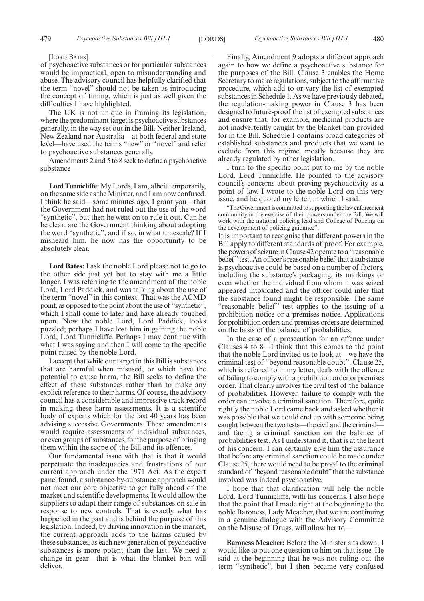#### [LORD BATES]

of psychoactive substances or for particular substances would be impractical, open to misunderstanding and abuse. The advisory council has helpfully clarified that the term "novel" should not be taken as introducing the concept of timing, which is just as well given the difficulties I have highlighted.

The UK is not unique in framing its legislation, where the predominant target is psychoactive substances generally, in the way set out in the Bill. Neither Ireland, New Zealand nor Australia—at both federal and state level—have used the terms "new" or "novel" and refer to psychoactive substances generally.

Amendments 2 and 5 to 8 seek to define a psychoactive substance—

**Lord Tunnicliffe:** My Lords, I am, albeit temporarily, on the same side as the Minister, and I am now confused. I think he said—some minutes ago, I grant you—that the Government had not ruled out the use of the word "synthetic", but then he went on to rule it out. Can he be clear: are the Government thinking about adopting the word "synthetic", and if so, in what timescale? If I misheard him, he now has the opportunity to be absolutely clear.

**Lord Bates:** I ask the noble Lord please not to go to the other side just yet but to stay with me a little longer. I was referring to the amendment of the noble Lord, Lord Paddick, and was talking about the use of the term "novel" in this context. That was the ACMD point, as opposed to the point about the use of "synthetic", which I shall come to later and have already touched upon. Now the noble Lord, Lord Paddick, looks puzzled; perhaps I have lost him in gaining the noble Lord, Lord Tunnicliffe. Perhaps I may continue with what I was saying and then I will come to the specific point raised by the noble Lord.

I accept that while our target in this Bill is substances that are harmful when misused, or which have the potential to cause harm, the Bill seeks to define the effect of these substances rather than to make any explicit reference to their harms. Of course, the advisory council has a considerable and impressive track record in making these harm assessments. It is a scientific body of experts which for the last 40 years has been advising successive Governments. These amendments would require assessments of individual substances, or even groups of substances, for the purpose of bringing them within the scope of the Bill and its offences.

Our fundamental issue with that is that it would perpetuate the inadequacies and frustrations of our current approach under the 1971 Act. As the expert panel found, a substance-by-substance approach would not meet our core objective to get fully ahead of the market and scientific developments. It would allow the suppliers to adapt their range of substances on sale in response to new controls. That is exactly what has happened in the past and is behind the purpose of this legislation. Indeed, by driving innovation in the market, the current approach adds to the harms caused by these substances, as each new generation of psychoactive substances is more potent than the last. We need a change in gear—that is what the blanket ban will deliver.

Finally, Amendment 9 adopts a different approach again to how we define a psychoactive substance for the purposes of the Bill. Clause 3 enables the Home Secretary to make regulations, subject to the affirmative procedure, which add to or vary the list of exempted substances in Schedule 1. As we have previously debated, the regulation-making power in Clause 3 has been designed to future-proof the list of exempted substances and ensure that, for example, medicinal products are not inadvertently caught by the blanket ban provided for in the Bill. Schedule 1 contains broad categories of established substances and products that we want to exclude from this regime, mostly because they are already regulated by other legislation.

I turn to the specific point put to me by the noble Lord, Lord Tunnicliffe. He pointed to the advisory council's concerns about proving psychoactivity as a point of law. I wrote to the noble Lord on this very issue, and he quoted my letter, in which I said:

"The Government is committed to supporting the law enforcement community in the exercise of their powers under the Bill. We will work with the national policing lead and College of Policing on the development of policing guidance".

It is important to recognise that different powers in the Bill apply to different standards of proof. For example, the powers of seizure in Clause 42 operate to a "reasonable belief" test. An officer's reasonable belief that a substance is psychoactive could be based on a number of factors, including the substance's packaging, its markings or even whether the individual from whom it was seized appeared intoxicated and the officer could infer that the substance found might be responsible. The same "reasonable belief" test applies to the issuing of a prohibition notice or a premises notice. Applications for prohibition orders and premises orders are determined on the basis of the balance of probabilities.

In the case of a prosecution for an offence under Clauses 4 to 8—I think that this comes to the point that the noble Lord invited us to look at—we have the criminal test of "beyond reasonable doubt". Clause 25, which is referred to in my letter, deals with the offence of failing to comply with a prohibition order or premises order. That clearly involves the civil test of the balance of probabilities. However, failure to comply with the order can involve a criminal sanction. Therefore, quite rightly the noble Lord came back and asked whether it was possible that we could end up with someone being caught between the two tests—the civil and the criminal and facing a criminal sanction on the balance of probabilities test. As I understand it, that is at the heart of his concern. I can certainly give him the assurance that before any criminal sanction could be made under Clause 25, there would need to be proof to the criminal standard of "beyond reasonable doubt" that the substance involved was indeed psychoactive.

I hope that that clarification will help the noble Lord, Lord Tunnicliffe, with his concerns. I also hope that the point that I made right at the beginning to the noble Baroness, Lady Meacher, that we are continuing in a genuine dialogue with the Advisory Committee on the Misuse of Drugs, will allow her to—

**Baroness Meacher:** Before the Minister sits down, I would like to put one question to him on that issue. He said at the beginning that he was not ruling out the term "synthetic", but I then became very confused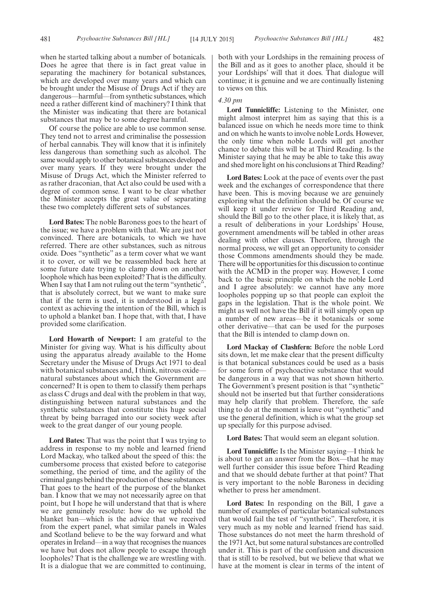when he started talking about a number of botanicals. Does he agree that there is in fact great value in separating the machinery for botanical substances, which are developed over many years and which can be brought under the Misuse of Drugs Act if they are dangerous—harmful—from synthetic substances, which need a rather different kind of machinery? I think that the Minister was indicating that there are botanical substances that may be to some degree harmful.

Of course the police are able to use common sense. They tend not to arrest and criminalise the possession of herbal cannabis. They will know that it is infinitely less dangerous than something such as alcohol. The same would apply to other botanical substances developed over many years. If they were brought under the Misuse of Drugs Act, which the Minister referred to as rather draconian, that Act also could be used with a degree of common sense. I want to be clear whether the Minister accepts the great value of separating these two completely different sets of substances.

**Lord Bates:** The noble Baroness goes to the heart of the issue; we have a problem with that. We are just not convinced. There are botanicals, to which we have referred. There are other substances, such as nitrous oxide. Does "synthetic" as a term cover what we want it to cover, or will we be reassembled back here at some future date trying to clamp down on another loophole which has been exploited? That is the difficulty. When I say that I am not ruling out the term "synthetic", that is absolutely correct, but we want to make sure that if the term is used, it is understood in a legal context as achieving the intention of the Bill, which is to uphold a blanket ban. I hope that, with that, I have provided some clarification.

**Lord Howarth of Newport:** I am grateful to the Minister for giving way. What is his difficulty about using the apparatus already available to the Home Secretary under the Misuse of Drugs Act 1971 to deal with botanical substances and, I think, nitrous oxide natural substances about which the Government are concerned? It is open to them to classify them perhaps as class C drugs and deal with the problem in that way, distinguishing between natural substances and the synthetic substances that constitute this huge social threat by being barraged into our society week after week to the great danger of our young people.

**Lord Bates:** That was the point that I was trying to address in response to my noble and learned friend Lord Mackay, who talked about the speed of this: the cumbersome process that existed before to categorise something, the period of time, and the agility of the criminal gangs behind the production of these substances. That goes to the heart of the purpose of the blanket ban. I know that we may not necessarily agree on that point, but I hope he will understand that that is where we are genuinely resolute: how do we uphold the blanket ban—which is the advice that we received from the expert panel, what similar panels in Wales and Scotland believe to be the way forward and what operates in Ireland—in a way that recognises the nuances we have but does not allow people to escape through loopholes? That is the challenge we are wrestling with. It is a dialogue that we are committed to continuing, both with your Lordships in the remaining process of the Bill and as it goes to another place, should it be your Lordships' will that it does. That dialogue will continue; it is genuine and we are continually listening to views on this.

#### *4.30 pm*

**Lord Tunnicliffe:** Listening to the Minister, one might almost interpret him as saying that this is a balanced issue on which he needs more time to think and on which he wants to involve noble Lords. However, the only time when noble Lords will get another chance to debate this will be at Third Reading. Is the Minister saying that he may be able to take this away and shed more light on his conclusions at Third Reading?

**Lord Bates:** Look at the pace of events over the past week and the exchanges of correspondence that there have been. This is moving because we are genuinely exploring what the definition should be. Of course we will keep it under review for Third Reading and, should the Bill go to the other place, it is likely that, as a result of deliberations in your Lordships' House, government amendments will be tabled in other areas dealing with other clauses. Therefore, through the normal process, we will get an opportunity to consider those Commons amendments should they be made. There will be opportunities for this discussion to continue with the ACMD in the proper way. However, I come back to the basic principle on which the noble Lord and I agree absolutely: we cannot have any more loopholes popping up so that people can exploit the gaps in the legislation. That is the whole point. We might as well not have the Bill if it will simply open up a number of new areas—be it botanicals or some other derivative—that can be used for the purposes that the Bill is intended to clamp down on.

**Lord Mackay of Clashfern:** Before the noble Lord sits down, let me make clear that the present difficulty is that botanical substances could be used as a basis for some form of psychoactive substance that would be dangerous in a way that was not shown hitherto. The Government's present position is that "synthetic" should not be inserted but that further considerations may help clarify that problem. Therefore, the safe thing to do at the moment is leave out "synthetic" and use the general definition, which is what the group set up specially for this purpose advised.

**Lord Bates:** That would seem an elegant solution.

**Lord Tunnicliffe:** Is the Minister saying—I think he is about to get an answer from the Box—that he may well further consider this issue before Third Reading and that we should debate further at that point? That is very important to the noble Baroness in deciding whether to press her amendment.

**Lord Bates:** In responding on the Bill, I gave a number of examples of particular botanical substances that would fail the test of "synthetic". Therefore, it is very much as my noble and learned friend has said. Those substances do not meet the harm threshold of the 1971 Act, but some natural substances are controlled under it. This is part of the confusion and discussion that is still to be resolved, but we believe that what we have at the moment is clear in terms of the intent of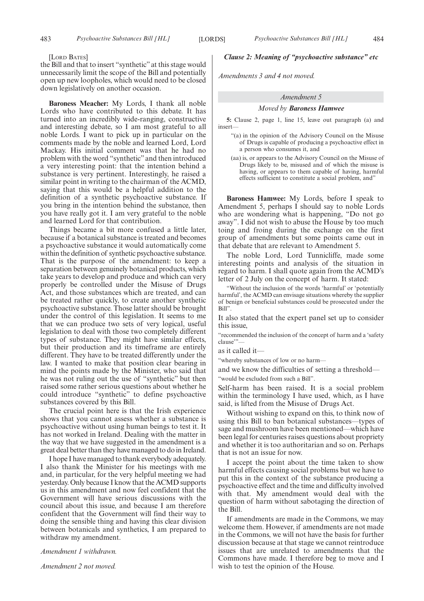#### [LORD BATES]

the Bill and that to insert "synthetic" at this stage would unnecessarily limit the scope of the Bill and potentially open up new loopholes, which would need to be closed down legislatively on another occasion.

**Baroness Meacher:** My Lords, I thank all noble Lords who have contributed to this debate. It has turned into an incredibly wide-ranging, constructive and interesting debate, so I am most grateful to all noble Lords. I want to pick up in particular on the comments made by the noble and learned Lord, Lord Mackay. His initial comment was that he had no problem with the word "synthetic" and then introduced a very interesting point: that the intention behind a substance is very pertinent. Interestingly, he raised a similar point in writing to the chairman of the ACMD, saying that this would be a helpful addition to the definition of a synthetic psychoactive substance. If you bring in the intention behind the substance, then you have really got it. I am very grateful to the noble and learned Lord for that contribution.

Things became a bit more confused a little later, because if a botanical substance is treated and becomes a psychoactive substance it would automatically come within the definition of synthetic psychoactive substance. That is the purpose of the amendment: to keep a separation between genuinely botanical products, which take years to develop and produce and which can very properly be controlled under the Misuse of Drugs Act, and those substances which are treated, and can be treated rather quickly, to create another synthetic psychoactive substance. Those latter should be brought under the control of this legislation. It seems to me that we can produce two sets of very logical, useful legislation to deal with those two completely different types of substance. They might have similar effects, but their production and its timeframe are entirely different. They have to be treated differently under the law. I wanted to make that position clear bearing in mind the points made by the Minister, who said that he was not ruling out the use of "synthetic" but then raised some rather serious questions about whether he could introduce "synthetic" to define psychoactive substances covered by this Bill.

The crucial point here is that the Irish experience shows that you cannot assess whether a substance is psychoactive without using human beings to test it. It has not worked in Ireland. Dealing with the matter in the way that we have suggested in the amendment is a great deal better than they have managed to do in Ireland.

I hope I have managed to thank everybody adequately. I also thank the Minister for his meetings with me and, in particular, for the very helpful meeting we had yesterday. Only because I know that the ACMD supports us in this amendment and now feel confident that the Government will have serious discussions with the council about this issue, and because I am therefore confident that the Government will find their way to doing the sensible thing and having this clear division between botanicals and synthetics, I am prepared to withdraw my amendment.

*Amendment 1 withdrawn.*

*Amendment 2 not moved.*

#### *Clause 2: Meaning of "psychoactive substance" etc*

*Amendments 3 and 4 not moved.*

#### *Amendment 5*

#### *Moved by Baroness Hamwee*

**5:** Clause 2, page 1, line 15, leave out paragraph (a) and insert—

- "(a) in the opinion of the Advisory Council on the Misuse of Drugs is capable of producing a psychoactive effect in a person who consumes it, and
- (aa) is, or appears to the Advisory Council on the Misuse of Drugs likely to be, misused and of which the misuse is having, or appears to them capable of having, harmful effects sufficient to constitute a social problem, and"

**Baroness Hamwee:** My Lords, before I speak to Amendment 5, perhaps I should say to noble Lords who are wondering what is happening, "Do not go away". I did not wish to abuse the House by too much toing and froing during the exchange on the first group of amendments but some points came out in that debate that are relevant to Amendment 5.

The noble Lord, Lord Tunnicliffe, made some interesting points and analysis of the situation in regard to harm. I shall quote again from the ACMD's letter of 2 July on the concept of harm. It stated:

"Without the inclusion of the words 'harmful' or 'potentially harmful', the ACMD can envisage situations whereby the supplier of benign or beneficial substances could be prosecuted under the Bill".

It also stated that the expert panel set up to consider this issue,

"recommended the inclusion of the concept of harm and a 'safety clause"

as it called it—

"whereby substances of low or no harm—

and we know the difficulties of setting a threshold—

"would be excluded from such a Bill".

Self-harm has been raised. It is a social problem within the terminology I have used, which, as I have said, is lifted from the Misuse of Drugs Act.

Without wishing to expand on this, to think now of using this Bill to ban botanical substances—types of sage and mushroom have been mentioned—which have been legal for centuries raises questions about propriety and whether it is too authoritarian and so on. Perhaps that is not an issue for now.

I accept the point about the time taken to show harmful effects causing social problems but we have to put this in the context of the substance producing a psychoactive effect and the time and difficulty involved with that. My amendment would deal with the question of harm without sabotaging the direction of the Bill.

If amendments are made in the Commons, we may welcome them. However, if amendments are not made in the Commons, we will not have the basis for further discussion because at that stage we cannot reintroduce issues that are unrelated to amendments that the Commons have made. I therefore beg to move and I wish to test the opinion of the House.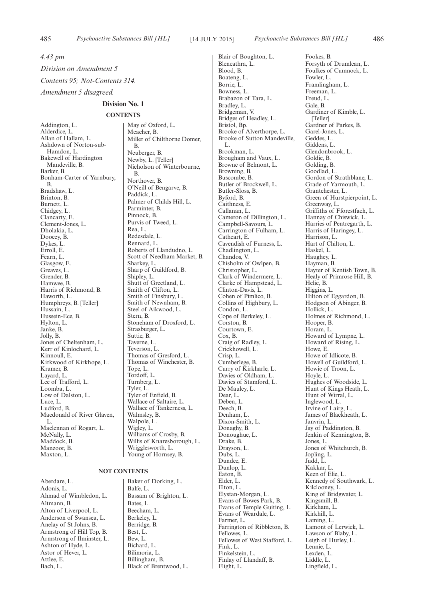*4.43 pm Division on Amendment 5*

*Contents 95; Not-Contents 314.*

*Amendment 5 disagreed.*

#### **Division No. 1**

#### **CONTENTS**

Addington, L. Alderdice, L. Allan of Hallam, L. Ashdown of Norton-sub-Hamdon, L. Bakewell of Hardington Mandeville, B. Barker, B. Bonham-Carter of Yarnbury, B. Bradshaw, L. Brinton, B. Burnett, L. Chidgey, L. Clancarty, E. Clement-Jones, L. Dholakia, L. Doocey, B. Dykes, L. Erroll, E. Fearn, L. Glasgow, E. Greaves, L. Grender, B. Hamwee, B. Harris of Richmond, B. Haworth, L. Humphreys, B. [Teller] Hussain, L. Hussein-Ece, B. Hylton, L. Janke, B. Jolly, B. Jones of Cheltenham, L. Kerr of Kinlochard, L. Kinnoull, E. Kirkwood of Kirkhope, L. Kramer, B. Layard, L. Lee of Trafford, L. Loomba, L. Low of Dalston, L. Luce, L. Ludford, B. Macdonald of River Glaven, L. Maclennan of Rogart, L. McNally, L. Maddock, B. Manzoor, B. Maxton, L.

#### **NOT CONTENTS**

Aberdare, L. Adonis, L. Ahmad of Wimbledon, L. Altmann, B. Alton of Liverpool, L. Anderson of Swansea, L. Anelay of St Johns, B. Armstrong of Hill Top, B. Armstrong of Ilminster, L. Ashton of Hyde, L. Astor of Hever, L. Attlee, E. Bach, L.

May of Oxford, L. Meacher, B. Miller of Chilthorne Domer, B. Neuberger, B. Newby, L. [Teller] Nicholson of Winterbourne, B. Northover, B. O'Neill of Bengarve, B. Paddick, L. Palmer of Childs Hill, L. Parminter, B. Pinnock, B. Purvis of Tweed, L. Rea, L. Redesdale, L. Rennard, L. Roberts of Llandudno, L. Scott of Needham Market, B. Sharkey, L. Sharp of Guildford, B. Shipley, L. Shutt of Greetland, L. Smith of Clifton, L. Smith of Finsbury, L. Smith of Newnham, B. Steel of Aikwood, L. Stern, B. Stoneham of Droxford, L. Strasburger, L. Suttie, B. Taverne, L. Teverson, L. Thomas of Gresford, L. Thomas of Winchester, B. Tope, L. Tordoff, L. Turnberg, L. Tyler, L. Tyler of Enfield, B. Wallace of Saltaire, L. Wallace of Tankerness, L. Walmsley, B. Walpole, L. Wigley, L. Williams of Crosby, B. Willis of Knaresborough, L. Wrigglesworth, L.

Baker of Dorking, L. Balfe, L. Bassam of Brighton, L. Bates, L. Beecham, L. Berkeley, L. Berridge, B. Best, L. Bew, L. Bichard, L. Bilimoria, L. Billingham, B. Black of Brentwood, L.

Young of Hornsey, B.

Blair of Boughton, L. Blencathra, L. Blood, B. Boateng, L. Borrie, L. Bowness, L. Brabazon of Tara, L. Bradley, L. Bridgeman, V. Bridges of Headley, L. Bristol, Bp. Brooke of Alverthorpe, L. Brooke of Sutton Mandeville, L. Brookman, L. Brougham and Vaux, L. Browne of Belmont, L. Browning, B. Buscombe, B. Butler of Brockwell, L. Butler-Sloss, B. Byford, B. Caithness, E. Callanan, L. Cameron of Dillington, L. Campbell-Savours, L. Carrington of Fulham, L. Cathcart, E. Cavendish of Furness, L. Chadlington, L. Chandos, V. Chisholm of Owlpen, B. Christopher, L. Clark of Windermere, L. Clarke of Hampstead, L. Clinton-Davis, L. Cohen of Pimlico, B. Collins of Highbury, L. Condon, L. Cope of Berkeley, L. Corston, B. Courtown, E. Cox, B. Craig of Radley, L. Crickhowell, L. Crisp, L. Cumberlege, B. Curry of Kirkharle, L. Davies of Oldham, L. Davies of Stamford, L. De Mauley, L. Dear, L. Deben, L. Deech, B. Denham, L. Dixon-Smith, L. Donaghy, B. Donoughue, L. Drake, B. Drayson, L. Dubs, L. Dundee, E. Dunlop, L. Eaton, B. Elder, L. Elton, L. Elystan-Morgan, L. Evans of Bowes Park, B. Evans of Temple Guiting, L. Evans of Weardale, L. Farmer, L. Farrington of Ribbleton, B. Fellowes, L. Fellowes, E.<br>Fellowes of West Stafford, L. Fink, L. Finkelstein, L. Finlay of Llandaff, B. Flight, L.

Fookes, B. Forsyth of Drumlean, L. Foulkes of Cumnock, L. Fowler, L. Framlingham, L. Freeman, L. Freud, L. Gale, B. Gardiner of Kimble, L. [Teller] Gardner of Parkes, B. Garel-Jones, L. Geddes, L. Giddens, L. Glendonbrook, L. Goldie, B. Golding, B. Goodlad, L. Gordon of Strathblane, L. Grade of Yarmouth, L. Grantchester, L. Green of Hurstpierpoint, L. Greenway, L. Griffiths of Fforestfach, L. Hannay of Chiswick, L. Harries of Pentregarth, L. Harris of Haringey, L. Harrison, L. Hart of Chilton, L. Haskel, L. Haughey, L. Hayman, B. Hayter of Kentish Town, B. Healy of Primrose Hill, B. Helic, B. Higgins, L. Hilton of Eggardon, B. Hodgson of Abinger, B. Hollick, L. Holmes of Richmond, L. Hooper, B. Horam, L. Howard of Lympne, L. Howard of Rising, L. Howe, E. Howe of Idlicote, B. Howell of Guildford, L. Howie of Troon, L. Hoyle, L. Hughes of Woodside, L. Hunt of Kings Heath, L. Hunt of Wirral, L. Inglewood, L. Irvine of Lairg, L. James of Blackheath, L. Janvrin, L. Jay of Paddington, B. Jenkin of Kennington, B. Jones, L. Jones of Whitchurch, B. Jopling, L. Judd, L. Kakkar, L. Keen of Elie, L. Kennedy of Southwark, L. Kilclooney, L. King of Bridgwater, L. Kingsmill, B. Kirkham, L. Kirkhill, L. Laming, L. Lamont of Lerwick, L. Lawson of Blaby, L. Leigh of Hurley, L. Lennie, L. Lexden, L. Liddle, L. Lingfield, L.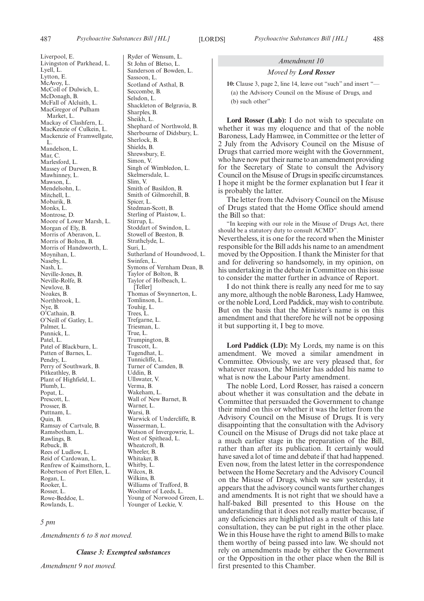Liverpool, E.

Livingston of Parkhead, L. Lyell, L. Lytton, E. McAvoy, L. McColl of Dulwich, L. McDonagh, B. McFall of Alcluith, L. MacGregor of Pulham Market, L. Mackay of Clashfern, L. MacKenzie of Culkein, L. Mackenzie of Framwellgate, L. Mandelson, L. Mar $C$ Marlesford, L. Massey of Darwen, B. Mawhinney, L. Mawson, L. Mendelsohn, L. Mitchell<sub>L</sub> Mobarik, B. Monks, L. Montrose, D. Moore of Lower Marsh, L. Morgan of Ely, B. Morris of Aberavon, L. Morris of Bolton, B. Morris of Handsworth, L. Moynihan, L. Naseby, L. Nash, L. Neville-Jones, B. Neville-Rolfe, B. Newlove, B. Noakes, B. Northbrook, L. Nye, B. O'Cathain, B. O'Neill of Gatley, L. Palmer, L. Pannick, L. Patel, L. Patel of Blackburn, L. Patten of Barnes, L. Pendry, L. Perry of Southwark, B. Pitkeathley, B. Plant of Highfield, L. Plumb, L. Popat, L. Prescott, L. Prosser, B. Puttnam, L. Quin, B. Ramsay of Cartvale, B. Ramsbotham, L. Rawlings, B. Rebuck, B. Rees of Ludlow, L. Reid of Cardowan, L. Renfrew of Kaimsthorn, L. Robertson of Port Ellen, L. Rogan, L. Rooker, L. Rosser, L. Rowe-Beddoe, L. Rowlands, L.

#### *5 pm*

*Amendments 6 to 8 not moved.*

#### *Clause 3: Exempted substances*

*Amendment 9 not moved.*

Ryder of Wensum, L. St John of Bletso, L. Sanderson of Bowden, L. Sassoon, L. Scotland of Asthal, B. Seccombe, B. Selsdon, L. Shackleton of Belgravia, B. Sharples, B. Sheikh, L. Shephard of Northwold, B. Sherbourne of Didsbury, L. Sherlock, B. Shields, B. Shrewsbury, E. Simon, V. Singh of Wimbledon, L. Skelmersdale, L. Slim, V. Smith of Basildon, B. Smith of Gilmorehill, B. Spicer, L. Stedman-Scott, B. Sterling of Plaistow, L. Stirrup, L. Stoddart of Swindon, L. Stowell of Beeston, B. Strathclyde, L. Suri, L. Sutherland of Houndwood, L. Swinfen, L. Symons of Vernham Dean, B. Taylor of Bolton, B. Taylor of Holbeach, L.  $[Table 1]$ Thomas of Swynnerton, L. Tomlinson, L. Touhig, L. Trees, L. Trefgarne, L. Triesman, L. True, L. Trumpington, B. Truscott, L. Tugendhat, L. Tunnicliffe, L. Turner of Camden, B. Uddin, B. Ullswater, V. Verma, B. Wakeham, L. Wall of New Barnet, B. Warner, L. Warsi, B. Warwick of Undercliffe, B. Wasserman, L. Watson of Invergowrie, L. West of Spithead, L. Wheatcroft, B. Wheeler, B. Whitaker, B. Whitby, L. Wilcox, B. Wilkins, B. Williams of Trafford, B. Woolmer of Leeds, L. Young of Norwood Green, L. Younger of Leckie, V.

#### *Amendment 10*

#### *Moved by Lord Rosser*

**10:** Clause 3, page 2, line 14, leave out "such" and insert "— (a) the Advisory Council on the Misuse of Drugs, and (b) such other"

**Lord Rosser (Lab):** I do not wish to speculate on whether it was my eloquence and that of the noble Baroness, Lady Hamwee, in Committee or the letter of 2 July from the Advisory Council on the Misuse of Drugs that carried more weight with the Government, who have now put their name to an amendment providing for the Secretary of State to consult the Advisory Council on the Misuse of Drugs in specific circumstances. I hope it might be the former explanation but I fear it is probably the latter.

The letter from the Advisory Council on the Misuse of Drugs stated that the Home Office should amend the Bill so that:

"In keeping with our role in the Misuse of Drugs Act, there should be a statutory duty to consult ACMD".

Nevertheless, it is one for the record when the Minister responsible for the Bill adds his name to an amendment moved by the Opposition. I thank the Minister for that and for delivering so handsomely, in my opinion, on his undertaking in the debate in Committee on this issue to consider the matter further in advance of Report.

I do not think there is really any need for me to say any more, although the noble Baroness, Lady Hamwee, or the noble Lord, Lord Paddick, may wish to contribute. But on the basis that the Minister's name is on this amendment and that therefore he will not be opposing it but supporting it, I beg to move.

**Lord Paddick (LD):** My Lords, my name is on this amendment. We moved a similar amendment in Committee. Obviously, we are very pleased that, for whatever reason, the Minister has added his name to what is now the Labour Party amendment.

The noble Lord, Lord Rosser, has raised a concern about whether it was consultation and the debate in Committee that persuaded the Government to change their mind on this or whether it was the letter from the Advisory Council on the Misuse of Drugs. It is very disappointing that the consultation with the Advisory Council on the Misuse of Drugs did not take place at a much earlier stage in the preparation of the Bill, rather than after its publication. It certainly would have saved a lot of time and debate if that had happened. Even now, from the latest letter in the correspondence between the Home Secretary and the Advisory Council on the Misuse of Drugs, which we saw yesterday, it appears that the advisory council wants further changes and amendments. It is not right that we should have a half-baked Bill presented to this House on the understanding that it does not really matter because, if any deficiencies are highlighted as a result of this late consultation, they can be put right in the other place. We in this House have the right to amend Bills to make them worthy of being passed into law. We should not rely on amendments made by either the Government or the Opposition in the other place when the Bill is first presented to this Chamber.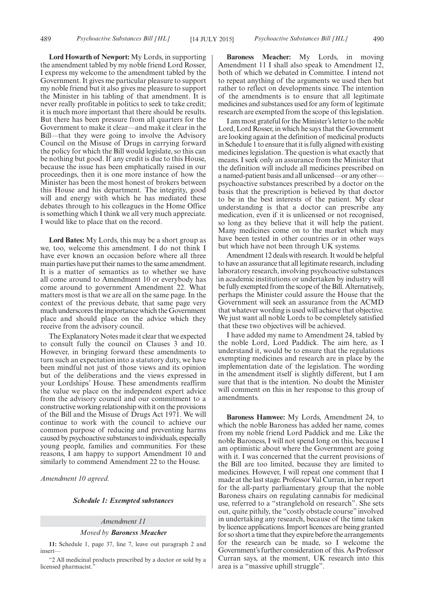**Lord Howarth of Newport:** My Lords, in supporting the amendment tabled by my noble friend Lord Rosser, I express my welcome to the amendment tabled by the Government. It gives me particular pleasure to support my noble friend but it also gives me pleasure to support the Minister in his tabling of that amendment. It is never really profitable in politics to seek to take credit; it is much more important that there should be results. But there has been pressure from all quarters for the Government to make it clear—and make it clear in the Bill—that they were going to involve the Advisory Council on the Misuse of Drugs in carrying forward the policy for which the Bill would legislate, so this can be nothing but good. If any credit is due to this House, because the issue has been emphatically raised in our proceedings, then it is one more instance of how the Minister has been the most honest of brokers between this House and his department. The integrity, good will and energy with which he has mediated these debates through to his colleagues in the Home Office is something which I think we all very much appreciate. I would like to place that on the record.

**Lord Bates:** My Lords, this may be a short group as we, too, welcome this amendment. I do not think I have ever known an occasion before where all three main parties have put their names to the same amendment. It is a matter of semantics as to whether we have all come around to Amendment 10 or everybody has come around to government Amendment 22. What matters most is that we are all on the same page. In the context of the previous debate, that same page very much underscores the importance which the Government place and should place on the advice which they receive from the advisory council.

The Explanatory Notes made it clear that we expected to consult fully the council on Clauses 3 and 10. However, in bringing forward these amendments to turn such an expectation into a statutory duty, we have been mindful not just of those views and its opinion but of the deliberations and the views expressed in your Lordships' House. These amendments reaffirm the value we place on the independent expert advice from the advisory council and our commitment to a constructive working relationship with it on the provisions of the Bill and the Misuse of Drugs Act 1971. We will continue to work with the council to achieve our common purpose of reducing and preventing harms caused by psychoactive substances to individuals, especially young people, families and communities. For these reasons, I am happy to support Amendment 10 and similarly to commend Amendment 22 to the House.

*Amendment 10 agreed.*

#### *Schedule 1: Exempted substances*

#### *Amendment 11*

#### *Moved by Baroness Meacher*

**11:** Schedule 1, page 37, line 7, leave out paragraph 2 and insert—

"2 All medicinal products prescribed by a doctor or sold by a licensed pharmacist.

**Baroness Meacher:** My Lords, in moving Amendment 11 I shall also speak to Amendment 12, both of which we debated in Committee. I intend not to repeat anything of the arguments we used then but rather to reflect on developments since. The intention of the amendments is to ensure that all legitimate medicines and substances used for any form of legitimate research are exempted from the scope of this legislation.

I am most grateful for the Minister's letter to the noble Lord, Lord Rosser, in which he says that the Government are looking again at the definition of medicinal products in Schedule 1 to ensure that it is fully aligned with existing medicines legislation. The question is what exactly that means. I seek only an assurance from the Minister that the definition will include all medicines prescribed on a named-patient basis and all unlicensed—or any other psychoactive substances prescribed by a doctor on the basis that the prescription is believed by that doctor to be in the best interests of the patient. My clear understanding is that a doctor can prescribe any medication, even if it is unlicensed or not recognised, so long as they believe that it will help the patient. Many medicines come on to the market which may have been tested in other countries or in other ways but which have not been through UK systems.

Amendment 12 deals with research. It would be helpful to have an assurance that all legitimate research, including laboratory research, involving psychoactive substances in academic institutions or undertaken by industry will be fully exempted from the scope of the Bill. Alternatively, perhaps the Minister could assure the House that the Government will seek an assurance from the ACMD that whatever wording is used will achieve that objective. We just want all noble Lords to be completely satisfied that these two objectives will be achieved.

I have added my name to Amendment 24, tabled by the noble Lord, Lord Paddick. The aim here, as I understand it, would be to ensure that the regulations exempting medicines and research are in place by the implementation date of the legislation. The wording in the amendment itself is slightly different, but I am sure that that is the intention. No doubt the Minister will comment on this in her response to this group of amendments.

**Baroness Hamwee:** My Lords, Amendment 24, to which the noble Baroness has added her name, comes from my noble friend Lord Paddick and me. Like the noble Baroness, I will not spend long on this, because I am optimistic about where the Government are going with it. I was concerned that the current provisions of the Bill are too limited, because they are limited to medicines. However, I will repeat one comment that I made at the last stage. Professor Val Curran, in her report for the all-party parliamentary group that the noble Baroness chairs on regulating cannabis for medicinal use, referred to a "stranglehold on research". She sets out, quite pithily, the "costly obstacle course" involved in undertaking any research, because of the time taken by licence applications. Import licences are being granted for so short a time that they expire before the arrangements for the research can be made, so I welcome the Government's further consideration of this. As Professor Curran says, at the moment, UK research into this area is a "massive uphill struggle".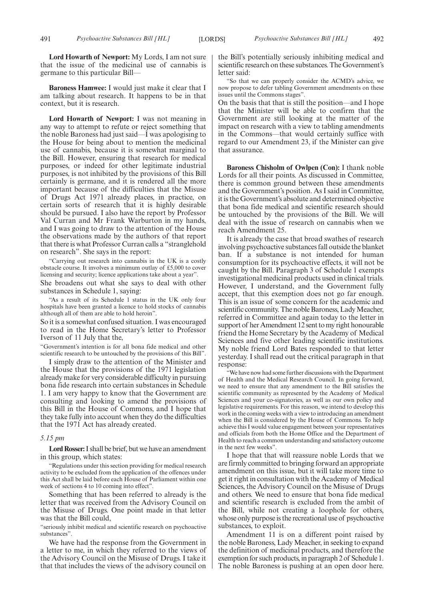**Lord Howarth of Newport:** My Lords, I am not sure that the issue of the medicinal use of cannabis is germane to this particular Bill—

**Baroness Hamwee:** I would just make it clear that I am talking about research. It happens to be in that context, but it is research.

**Lord Howarth of Newport:** I was not meaning in any way to attempt to refute or reject something that the noble Baroness had just said—I was apologising to the House for being about to mention the medicinal use of cannabis, because it is somewhat marginal to the Bill. However, ensuring that research for medical purposes, or indeed for other legitimate industrial purposes, is not inhibited by the provisions of this Bill certainly is germane, and it is rendered all the more important because of the difficulties that the Misuse of Drugs Act 1971 already places, in practice, on certain sorts of research that it is highly desirable should be pursued. I also have the report by Professor Val Curran and Mr Frank Warburton in my hands, and I was going to draw to the attention of the House the observations made by the authors of that report that there is what Professor Curran calls a "stranglehold on research". She says in the report:

"Carrying out research into cannabis in the UK is a costly obstacle course. It involves a minimum outlay of £5,000 to cover licensing and security; licence applications take about a year".

She broadens out what she says to deal with other substances in Schedule 1, saying:

"As a result of its Schedule 1 status in the UK only four hospitals have been granted a licence to hold stocks of cannabis although all of them are able to hold heroin".

So it is a somewhat confused situation. I was encouraged to read in the Home Secretary's letter to Professor Iverson of 11 July that the,

"Government's intention is for all bona fide medical and other scientific research to be untouched by the provisions of this Bill".

I simply draw to the attention of the Minister and the House that the provisions of the 1971 legislation already make for very considerable difficulty in pursuing bona fide research into certain substances in Schedule 1. I am very happy to know that the Government are consulting and looking to amend the provisions of this Bill in the House of Commons, and I hope that they take fully into account when they do the difficulties that the 1971 Act has already created.

#### *5.15 pm*

**Lord Rosser:**I shall be brief, but we have an amendment in this group, which states:

"Regulations under this section providing for medical research activity to be excluded from the application of the offences under this Act shall be laid before each House of Parliament within one week of sections 4 to 10 coming into effect".

Something that has been referred to already is the letter that was received from the Advisory Council on the Misuse of Drugs. One point made in that letter was that the Bill could,

"seriously inhibit medical and scientific research on psychoactive substances".

We have had the response from the Government in a letter to me, in which they referred to the views of the Advisory Council on the Misuse of Drugs. I take it that that includes the views of the advisory council on the Bill's potentially seriously inhibiting medical and scientific research on these substances. The Government's letter said:

"So that we can properly consider the ACMD's advice, we now propose to defer tabling Government amendments on these issues until the Commons stages".

On the basis that that is still the position—and I hope that the Minister will be able to confirm that the Government are still looking at the matter of the impact on research with a view to tabling amendments in the Commons—that would certainly suffice with regard to our Amendment 23, if the Minister can give that assurance.

**Baroness Chisholm of Owlpen (Con):** I thank noble Lords for all their points. As discussed in Committee, there is common ground between these amendments and the Government's position. As I said in Committee, it is the Government's absolute and determined objective that bona fide medical and scientific research should be untouched by the provisions of the Bill. We will deal with the issue of research on cannabis when we reach Amendment 25.

It is already the case that broad swathes of research involving psychoactive substances fall outside the blanket ban. If a substance is not intended for human consumption for its psychoactive effects, it will not be caught by the Bill. Paragraph 3 of Schedule 1 exempts investigational medicinal products used in clinical trials. However, I understand, and the Government fully accept, that this exemption does not go far enough. This is an issue of some concern for the academic and scientific community. The noble Baroness, Lady Meacher, referred in Committee and again today to the letter in support of her Amendment 12 sent tomy right honourable friend the Home Secretary by the Academy of Medical Sciences and five other leading scientific institutions. My noble friend Lord Bates responded to that letter yesterday. I shall read out the critical paragraph in that response:

We have now had some further discussions with the Department of Health and the Medical Research Council. In going forward, we need to ensure that any amendment to the Bill satisfies the scientific community as represented by the Academy of Medical Sciences and your co-signatories, as well as our own policy and legislative requirements. For this reason, we intend to develop this work in the coming weeks with a view to introducing an amendment when the Bill is considered by the House of Commons. To help achieve this I would value engagement between your representatives and officials from both the Home Office and the Department of Health to reach a common understanding and satisfactory outcome in the next few weeks".

I hope that that will reassure noble Lords that we are firmly committed to bringing forward an appropriate amendment on this issue, but it will take more time to get it right in consultation with the Academy of Medical Sciences, the Advisory Council on the Misuse of Drugs and others. We need to ensure that bona fide medical and scientific research is excluded from the ambit of the Bill, while not creating a loophole for others, whose only purpose is the recreational use of psychoactive substances, to exploit.

Amendment 11 is on a different point raised by the noble Baroness, Lady Meacher, in seeking to expand the definition of medicinal products, and therefore the exemption for such products, in paragraph 2 of Schedule 1. The noble Baroness is pushing at an open door here.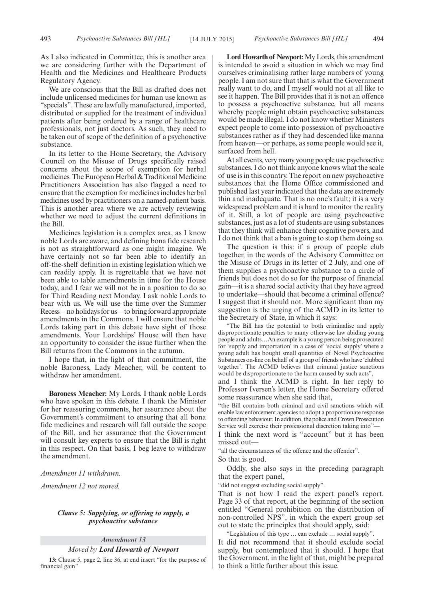We are conscious that the Bill as drafted does not include unlicensed medicines for human use known as "specials". These are lawfully manufactured, imported, distributed or supplied for the treatment of individual patients after being ordered by a range of healthcare professionals, not just doctors. As such, they need to be taken out of scope of the definition of a psychoactive substance.

In its letter to the Home Secretary, the Advisory Council on the Misuse of Drugs specifically raised concerns about the scope of exemption for herbal medicines. The European Herbal  $&$  Traditional Medicine Practitioners Association has also flagged a need to ensure that the exemption for medicines includes herbal medicines used by practitioners on a named-patient basis. This is another area where we are actively reviewing whether we need to adjust the current definitions in the Bill.

Medicines legislation is a complex area, as I know noble Lords are aware, and defining bona fide research is not as straightforward as one might imagine. We have certainly not so far been able to identify an off-the-shelf definition in existing legislation which we can readily apply. It is regrettable that we have not been able to table amendments in time for the House today, and I fear we will not be in a position to do so for Third Reading next Monday. I ask noble Lords to bear with us. We will use the time over the Summer Recess—no holidays for us—to bring forward appropriate amendments in the Commons. I will ensure that noble Lords taking part in this debate have sight of those amendments. Your Lordships' House will then have an opportunity to consider the issue further when the Bill returns from the Commons in the autumn.

I hope that, in the light of that commitment, the noble Baroness, Lady Meacher, will be content to withdraw her amendment.

**Baroness Meacher:** My Lords, I thank noble Lords who have spoken in this debate. I thank the Minister for her reassuring comments, her assurance about the Government's commitment to ensuring that all bona fide medicines and research will fall outside the scope of the Bill, and her assurance that the Government will consult key experts to ensure that the Bill is right in this respect. On that basis, I beg leave to withdraw the amendment.

*Amendment 11 withdrawn.*

*Amendment 12 not moved.*

#### *Clause 5: Supplying, or offering to supply, a psychoactive substance*

*Amendment 13*

#### *Moved by Lord Howarth of Newport*

**13:** Clause 5, page 2, line 36, at end insert "for the purpose of financial gain"

**Lord Howarth of Newport:**My Lords, this amendment is intended to avoid a situation in which we may find ourselves criminalising rather large numbers of young people. I am not sure that that is what the Government really want to do, and I myself would not at all like to see it happen. The Bill provides that it is not an offence to possess a psychoactive substance, but all means whereby people might obtain psychoactive substances would be made illegal. I do not know whether Ministers expect people to come into possession of psychoactive substances rather as if they had descended like manna from heaven—or perhaps, as some people would see it, surfaced from hell.

At all events, very many young people use psychoactive substances. I do not think anyone knows what the scale of use is in this country. The report on new psychoactive substances that the Home Office commissioned and published last year indicated that the data are extremely thin and inadequate. That is no one's fault; it is a very widespread problem and it is hard to monitor the reality of it. Still, a lot of people are using psychoactive substances, just as a lot of students are using substances that they think will enhance their cognitive powers, and I do not think that a ban is going to stop them doing so.

The question is this: if a group of people club together, in the words of the Advisory Committee on the Misuse of Drugs in its letter of 2 July, and one of them supplies a psychoactive substance to a circle of friends but does not do so for the purpose of financial gain—it is a shared social activity that they have agreed to undertake—should that become a criminal offence? I suggest that it should not. More significant than my suggestion is the urging of the ACMD in its letter to the Secretary of State, in which it says:

"The Bill has the potential to both criminalise and apply disproportionate penalties to many otherwise law abiding young people and adults…An example is a young person being prosecuted for 'supply and importation' in a case of 'social supply' where a young adult has bought small quantities of Novel Psychoactive Substances on-line on behalf of a group of friends who have 'clubbed together'. The ACMD believes that criminal justice sanctions would be disproportionate to the harm caused by such acts",

and I think the ACMD is right. In her reply to Professor Iversen's letter, the Home Secretary offered some reassurance when she said that,

"the Bill contains both criminal and civil sanctions which will enable law enforcement agencies to adopt a proportionate response to offending behaviour. In addition, the police and Crown Prosecution Service will exercise their professional discretion taking into"—

I think the next word is "account" but it has been missed out—

"all the circumstances of the offence and the offender".

So that is good.

Oddly, she also says in the preceding paragraph that the expert panel,

"did not suggest excluding social supply".

That is not how I read the expert panel's report. Page 33 of that report, at the beginning of the section entitled "General prohibition on the distribution of non-controlled NPS", in which the expert group set out to state the principles that should apply, said:

"Legislation of this type … can exclude … social supply".

It did not recommend that it should exclude social supply, but contemplated that it should. I hope that the Government, in the light of that, might be prepared to think a little further about this issue.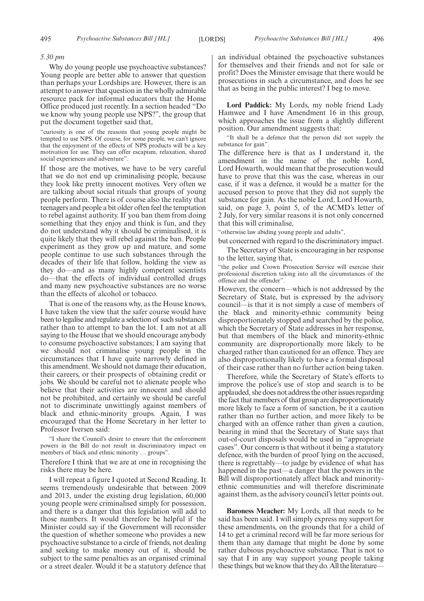#### *5.30 pm*

Why do young people use psychoactive substances? Young people are better able to answer that question than perhaps your Lordships are. However, there is an attempt to answer that question in the wholly admirable resource pack for informal educators that the Home Office produced just recently. In a section headed "Do we know why young people use NPS?", the group that put the document together said that,

"curiosity is one of the reasons that young people might be tempted to use NPS. Of course, for some people, we can't ignore that the enjoyment of the effects of NPS products will be a key motivation for use. They can offer escapism, relaxation, shared social experiences and adventure".

If those are the motives, we have to be very careful that we do not end up criminalising people, because they look like pretty innocent motives. Very often we are talking about social rituals that groups of young people perform. There is of course also the reality that teenagers and people a bit older often feel the temptation to rebel against authority. If you ban them from doing something that they enjoy and think is fun, and they do not understand why it should be criminalised, it is quite likely that they will rebel against the ban. People experiment as they grow up and mature, and some people continue to use such substances through the decades of their life that follow, holding the view as they do—and as many highly competent scientists do—that the effects of individual controlled drugs and many new psychoactive substances are no worse than the effects of alcohol or tobacco.

That is one of the reasons why, as the House knows, I have taken the view that the safer course would have been to legalise and regulate a selection of such substances rather than to attempt to ban the lot. I am not at all saying to the House that we should encourage anybody to consume psychoactive substances; I am saying that we should not criminalise young people in the circumstances that I have quite narrowly defined in this amendment. We should not damage their education, their careers, or their prospects of obtaining credit or jobs. We should be careful not to alienate people who believe that their activities are innocent and should not be prohibited, and certainly we should be careful not to discriminate unwittingly against members of black and ethnic-minority groups. Again, I was encouraged that the Home Secretary in her letter to Professor Iversen said:

"I share the Council's desire to ensure that the enforcement powers in the Bill do not result in discriminatory impact on members of black and ethnic minority … groups".

Therefore I think that we are at one in recognising the risks there may be here.

I will repeat a figure I quoted at Second Reading. It seems tremendously undesirable that between 2009 and 2013, under the existing drug legislation, 60,000 young people were criminalised simply for possession, and there is a danger that this legislation will add to those numbers. It would therefore be helpful if the Minister could say if the Government will reconsider the question of whether someone who provides a new psychoactive substance to a circle of friends, not dealing and seeking to make money out of it, should be subject to the same penalties as an organised criminal or a street dealer. Would it be a statutory defence that an individual obtained the psychoactive substances for themselves and their friends and not for sale or profit? Does the Minister envisage that there would be prosecutions in such a circumstance, and does he see that as being in the public interest? I beg to move.

**Lord Paddick:** My Lords, my noble friend Lady Hamwee and I have Amendment 16 in this group, which approaches the issue from a slightly different position. Our amendment suggests that:

"It shall be a defence that the person did not supply the substance for gain".

The difference here is that as I understand it, the amendment in the name of the noble Lord, Lord Howarth, would mean that the prosecution would have to prove that this was the case, whereas in our case, if it was a defence, it would be a matter for the accused person to prove that they did not supply the substance for gain. As the noble Lord, Lord Howarth, said, on page 3, point 5, of the ACMD's letter of 2 July, for very similar reasons it is not only concerned that this will criminalise,

"otherwise law abiding young people and adults",

but concerned with regard to the discriminatory impact.

The Secretary of State is encouraging in her response to the letter, saying that,

"the police and Crown Prosecution Service will exercise their professional discretion taking into all the circumstances of the offence and the offender".

However, the concern—which is not addressed by the Secretary of State, but is expressed by the advisory council—is that it is not simply a case of members of the black and minority-ethnic community being disproportionately stopped and searched by the police, which the Secretary of State addresses in her response, but that members of the black and minority-ethnic community are disproportionally more likely to be charged rather than cautioned for an offence. They are also disproportionally likely to have a formal disposal of their case rather than no further action being taken.

Therefore, while the Secretary of State's efforts to improve the police's use of stop and search is to be applauded, she does not address the other issues regarding the fact that members of that group are disproportionately more likely to face a form of sanction, be it a caution rather than no further action, and more likely to be charged with an offence rather than given a caution, bearing in mind that the Secretary of State says that out-of-court disposals would be used in "appropriate cases". Our concern is that without it being a statutory defence, with the burden of proof lying on the accused, there is regrettably—to judge by evidence of what has happened in the past—a danger that the powers in the Bill will disproportionately affect black and minorityethnic communities and will therefore discriminate against them, as the advisory council's letter points out.

**Baroness Meacher:** My Lords, all that needs to be said has been said. I will simply express my support for these amendments, on the grounds that for a child of 14 to get a criminal record will be far more serious for them than any damage that might be done by some rather dubious psychoactive substance. That is not to say that I in any way support young people taking these things, but we know that they do. All the literature—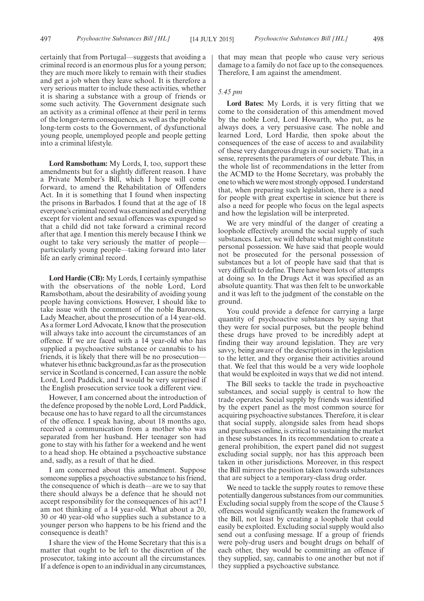certainly that from Portugal—suggests that avoiding a criminal record is an enormous plus for a young person; they are much more likely to remain with their studies and get a job when they leave school. It is therefore a very serious matter to include these activities, whether it is sharing a substance with a group of friends or some such activity. The Government designate such an activity as a criminal offence at their peril in terms of the longer-term consequences, as well as the probable long-term costs to the Government, of dysfunctional young people, unemployed people and people getting into a criminal lifestyle.

**Lord Ramsbotham:** My Lords, I, too, support these amendments but for a slightly different reason. I have a Private Member's Bill, which I hope will come forward, to amend the Rehabilitation of Offenders Act. In it is something that I found when inspecting the prisons in Barbados. I found that at the age of 18 everyone's criminal record was examined and everything except for violent and sexual offences was expunged so that a child did not take forward a criminal record after that age. I mention this merely because I think we ought to take very seriously the matter of people particularly young people—taking forward into later life an early criminal record.

**Lord Hardie (CB):** My Lords, I certainly sympathise with the observations of the noble Lord, Lord Ramsbotham, about the desirability of avoiding young people having convictions. However, I should like to take issue with the comment of the noble Baroness, Lady Meacher, about the prosecution of a 14 year-old. As a former Lord Advocate, I know that the prosecution will always take into account the circumstances of an offence. If we are faced with a 14 year-old who has supplied a psychoactive substance or cannabis to his friends, it is likely that there will be no prosecution whatever his ethnic background, as far as the prosecution service in Scotland is concerned, I can assure the noble Lord, Lord Paddick, and I would be very surprised if the English prosecution service took a different view.

However, I am concerned about the introduction of the defence proposed by the noble Lord, Lord Paddick, because one has to have regard to all the circumstances of the offence. I speak having, about 18 months ago, received a communication from a mother who was separated from her husband. Her teenager son had gone to stay with his father for a weekend and he went to a head shop. He obtained a psychoactive substance and, sadly, as a result of that he died.

I am concerned about this amendment. Suppose someone supplies a psychoactive substance to his friend, the consequence of which is death—are we to say that there should always be a defence that he should not accept responsibility for the consequences of his act? I am not thinking of a 14 year-old. What about a 20, 30 or 40 year-old who supplies such a substance to a younger person who happens to be his friend and the consequence is death?

I share the view of the Home Secretary that this is a matter that ought to be left to the discretion of the prosecutor, taking into account all the circumstances. If a defence is open to an individual in any circumstances, that may mean that people who cause very serious damage to a family do not face up to the consequences. Therefore, I am against the amendment.

#### *5.45 pm*

**Lord Bates:** My Lords, it is very fitting that we come to the consideration of this amendment moved by the noble Lord, Lord Howarth, who put, as he always does, a very persuasive case. The noble and learned Lord, Lord Hardie, then spoke about the consequences of the ease of access to and availability of these very dangerous drugs in our society. That, in a sense, represents the parameters of our debate. This, in the whole list of recommendations in the letter from the ACMD to the Home Secretary, was probably the one to which we were most strongly opposed. I understand that, when preparing such legislation, there is a need for people with great expertise in science but there is also a need for people who focus on the legal aspects and how the legislation will be interpreted.

We are very mindful of the danger of creating a loophole effectively around the social supply of such substances. Later, we will debate what might constitute personal possession. We have said that people would not be prosecuted for the personal possession of substances but a lot of people have said that that is very difficult to define. There have been lots of attempts at doing so. In the Drugs Act it was specified as an absolute quantity. That was then felt to be unworkable and it was left to the judgment of the constable on the ground.

You could provide a defence for carrying a large quantity of psychoactive substances by saying that they were for social purposes, but the people behind these drugs have proved to be incredibly adept at finding their way around legislation. They are very savvy, being aware of the descriptions in the legislation to the letter, and they organise their activities around that. We feel that this would be a very wide loophole that would be exploited in ways that we did not intend.

The Bill seeks to tackle the trade in psychoactive substances, and social supply is central to how the trade operates. Social supply by friends was identified by the expert panel as the most common source for acquiring psychoactive substances. Therefore, it is clear that social supply, alongside sales from head shops and purchases online, is critical to sustaining the market in these substances. In its recommendation to create a general prohibition, the expert panel did not suggest excluding social supply, nor has this approach been taken in other jurisdictions. Moreover, in this respect the Bill mirrors the position taken towards substances that are subject to a temporary-class drug order.

We need to tackle the supply routes to remove these potentially dangerous substances from our communities. Excluding social supply from the scope of the Clause 5 offences would significantly weaken the framework of the Bill, not least by creating a loophole that could easily be exploited. Excluding social supply would also send out a confusing message. If a group of friends were poly-drug users and bought drugs on behalf of each other, they would be committing an offence if they supplied, say, cannabis to one another but not if they supplied a psychoactive substance.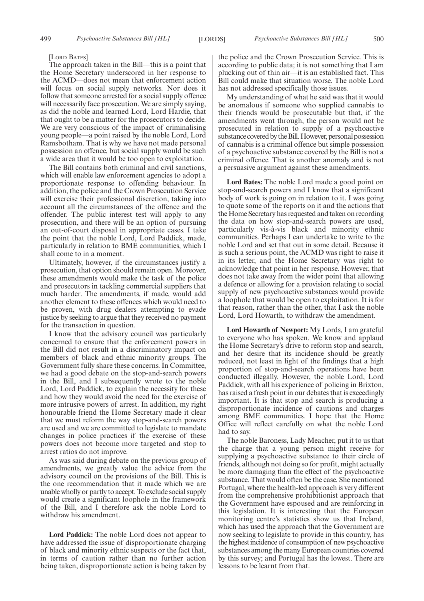[LORD BATES]

The approach taken in the Bill—this is a point that the Home Secretary underscored in her response to the ACMD—does not mean that enforcement action will focus on social supply networks. Nor does it follow that someone arrested for a social supply offence will necessarily face prosecution. We are simply saying, as did the noble and learned Lord, Lord Hardie, that that ought to be a matter for the prosecutors to decide. We are very conscious of the impact of criminalising young people—a point raised by the noble Lord, Lord Ramsbotham. That is why we have not made personal possession an offence, but social supply would be such a wide area that it would be too open to exploitation.

The Bill contains both criminal and civil sanctions, which will enable law enforcement agencies to adopt a proportionate response to offending behaviour. In addition, the police and the Crown Prosecution Service will exercise their professional discretion, taking into account all the circumstances of the offence and the offender. The public interest test will apply to any prosecution, and there will be an option of pursuing an out-of-court disposal in appropriate cases. I take the point that the noble Lord, Lord Paddick, made, particularly in relation to BME communities, which I shall come to in a moment.

Ultimately, however, if the circumstances justify a prosecution, that option should remain open. Moreover, these amendments would make the task of the police and prosecutors in tackling commercial suppliers that much harder. The amendments, if made, would add another element to these offences which would need to be proven, with drug dealers attempting to evade justice by seeking to argue that they received no payment for the transaction in question.

I know that the advisory council was particularly concerned to ensure that the enforcement powers in the Bill did not result in a discriminatory impact on members of black and ethnic minority groups. The Government fully share these concerns. In Committee, we had a good debate on the stop-and-search powers in the Bill, and I subsequently wrote to the noble Lord, Lord Paddick, to explain the necessity for these and how they would avoid the need for the exercise of more intrusive powers of arrest. In addition, my right honourable friend the Home Secretary made it clear that we must reform the way stop-and-search powers are used and we are committed to legislate to mandate changes in police practices if the exercise of these powers does not become more targeted and stop to arrest ratios do not improve.

As was said during debate on the previous group of amendments, we greatly value the advice from the advisory council on the provisions of the Bill. This is the one recommendation that it made which we are unable wholly or partly to accept. To exclude social supply would create a significant loophole in the framework of the Bill, and I therefore ask the noble Lord to withdraw his amendment.

**Lord Paddick:** The noble Lord does not appear to have addressed the issue of disproportionate charging of black and minority ethnic suspects or the fact that, in terms of caution rather than no further action being taken, disproportionate action is being taken by the police and the Crown Prosecution Service. This is according to public data; it is not something that I am plucking out of thin air—it is an established fact. This Bill could make that situation worse. The noble Lord has not addressed specifically those issues.

My understanding of what he said was that it would be anomalous if someone who supplied cannabis to their friends would be prosecutable but that, if the amendments went through, the person would not be prosecuted in relation to supply of a psychoactive substance covered by the Bill. However, personal possession of cannabis is a criminal offence but simple possession of a psychoactive substance covered by the Bill is not a criminal offence. That is another anomaly and is not a persuasive argument against these amendments.

**Lord Bates:** The noble Lord made a good point on stop-and-search powers and I know that a significant body of work is going on in relation to it. I was going to quote some of the reports on it and the actions that the Home Secretary has requested and taken on recording the data on how stop-and-search powers are used, particularly vis-à-vis black and minority ethnic communities. Perhaps I can undertake to write to the noble Lord and set that out in some detail. Because it is such a serious point, the ACMD was right to raise it in its letter, and the Home Secretary was right to acknowledge that point in her response. However, that does not take away from the wider point that allowing a defence or allowing for a provision relating to social supply of new psychoactive substances would provide a loophole that would be open to exploitation. It is for that reason, rather than the other, that I ask the noble Lord, Lord Howarth, to withdraw the amendment.

**Lord Howarth of Newport:** My Lords, I am grateful to everyone who has spoken. We know and applaud the Home Secretary's drive to reform stop and search, and her desire that its incidence should be greatly reduced, not least in light of the findings that a high proportion of stop-and-search operations have been conducted illegally. However, the noble Lord, Lord Paddick, with all his experience of policing in Brixton, has raised a fresh point in our debates that is exceedingly important. It is that stop and search is producing a disproportionate incidence of cautions and charges among BME communities. I hope that the Home Office will reflect carefully on what the noble Lord had to say.

The noble Baroness, Lady Meacher, put it to us that the charge that a young person might receive for supplying a psychoactive substance to their circle of friends, although not doing so for profit, might actually be more damaging than the effect of the psychoactive substance. That would often be the case. She mentioned Portugal, where the health-led approach is very different from the comprehensive prohibitionist approach that the Government have espoused and are reinforcing in this legislation. It is interesting that the European monitoring centre's statistics show us that Ireland, which has used the approach that the Government are now seeking to legislate to provide in this country, has the highest incidence of consumption of new psychoactive substances among the many European countries covered by this survey; and Portugal has the lowest. There are lessons to be learnt from that.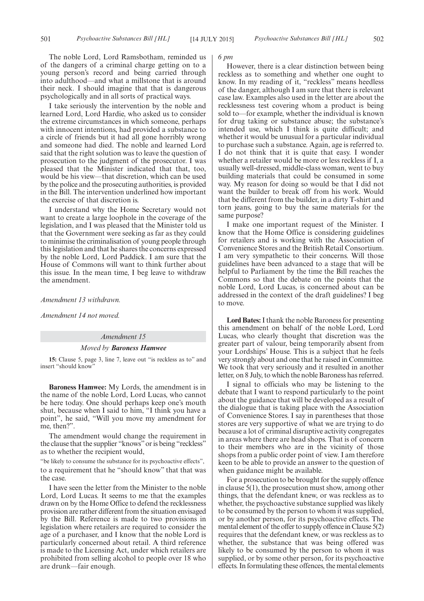The noble Lord, Lord Ramsbotham, reminded us of the dangers of a criminal charge getting on to a young person's record and being carried through into adulthood—and what a millstone that is around their neck. I should imagine that that is dangerous psychologically and in all sorts of practical ways.

I take seriously the intervention by the noble and learned Lord, Lord Hardie, who asked us to consider the extreme circumstances in which someone, perhaps with innocent intentions, had provided a substance to a circle of friends but it had all gone horribly wrong and someone had died. The noble and learned Lord said that the right solution was to leave the question of prosecution to the judgment of the prosecutor. I was pleased that the Minister indicated that that, too, would be his view—that discretion, which can be used by the police and the prosecuting authorities, is provided in the Bill. The intervention underlined how important the exercise of that discretion is.

I understand why the Home Secretary would not want to create a large loophole in the coverage of the legislation, and I was pleased that the Minister told us that the Government were seeking as far as they could to minimise the criminalisation of young people through this legislation and that he shares the concerns expressed by the noble Lord, Lord Paddick. I am sure that the House of Commons will want to think further about this issue. In the mean time, I beg leave to withdraw the amendment.

*Amendment 13 withdrawn.*

*Amendment 14 not moved.*

#### *Amendment 15*

#### *Moved by Baroness Hamwee*

**15:** Clause 5, page 3, line 7, leave out "is reckless as to" and insert "should know"

**Baroness Hamwee:** My Lords, the amendment is in the name of the noble Lord, Lord Lucas, who cannot be here today. One should perhaps keep one's mouth shut, because when I said to him, "I think you have a point", he said, "Will you move my amendment for me, then?".

The amendment would change the requirement in the clause that the supplier "knows"or is being "reckless" as to whether the recipient would,

"be likely to consume the substance for its psychoactive effects", to a requirement that he "should know" that that was the case.

I have seen the letter from the Minister to the noble Lord, Lord Lucas. It seems to me that the examples drawn on by the Home Office to defend the recklessness provision are rather different from the situation envisaged by the Bill. Reference is made to two provisions in legislation where retailers are required to consider the age of a purchaser, and I know that the noble Lord is particularly concerned about retail. A third reference is made to the Licensing Act, under which retailers are prohibited from selling alcohol to people over 18 who are drunk—fair enough.

#### *6 pm*

However, there is a clear distinction between being reckless as to something and whether one ought to know. In my reading of it, "reckless" means heedless of the danger, although I am sure that there is relevant case law. Examples also used in the letter are about the recklessness test covering whom a product is being sold to—for example, whether the individual is known for drug taking or substance abuse; the substance's intended use, which I think is quite difficult; and whether it would be unusual for a particular individual to purchase such a substance. Again, age is referred to. I do not think that it is quite that easy. I wonder whether a retailer would be more or less reckless if I, a usually well-dressed, middle-class woman, went to buy building materials that could be consumed in some way. My reason for doing so would be that I did not want the builder to break off from his work. Would that be different from the builder, in a dirty T-shirt and torn jeans, going to buy the same materials for the same purpose?

I make one important request of the Minister. I know that the Home Office is considering guidelines for retailers and is working with the Association of Convenience Stores and the British Retail Consortium. I am very sympathetic to their concerns. Will those guidelines have been advanced to a stage that will be helpful to Parliament by the time the Bill reaches the Commons so that the debate on the points that the noble Lord, Lord Lucas, is concerned about can be addressed in the context of the draft guidelines? I beg to move.

**Lord Bates:**I thank the noble Baroness for presenting this amendment on behalf of the noble Lord, Lord Lucas, who clearly thought that discretion was the greater part of valour, being temporarily absent from your Lordships' House. This is a subject that he feels very strongly about and one that he raised in Committee. We took that very seriously and it resulted in another letter, on 8 July, to which the noble Baroness has referred.

I signal to officials who may be listening to the debate that I want to respond particularly to the point about the guidance that will be developed as a result of the dialogue that is taking place with the Association of Convenience Stores. I say in parentheses that those stores are very supportive of what we are trying to do because a lot of criminal disruptive activity congregates in areas where there are head shops. That is of concern to their members who are in the vicinity of those shops from a public order point of view. I am therefore keen to be able to provide an answer to the question of when guidance might be available.

For a prosecution to be brought for the supply offence in clause 5(1), the prosecution must show, among other things, that the defendant knew, or was reckless as to whether, the psychoactive substance supplied was likely to be consumed by the person to whom it was supplied, or by another person, for its psychoactive effects. The mental element of the offer to supply offence in Clause 5(2) requires that the defendant knew, or was reckless as to whether, the substance that was being offered was likely to be consumed by the person to whom it was supplied, or by some other person, for its psychoactive effects. In formulating these offences, the mental elements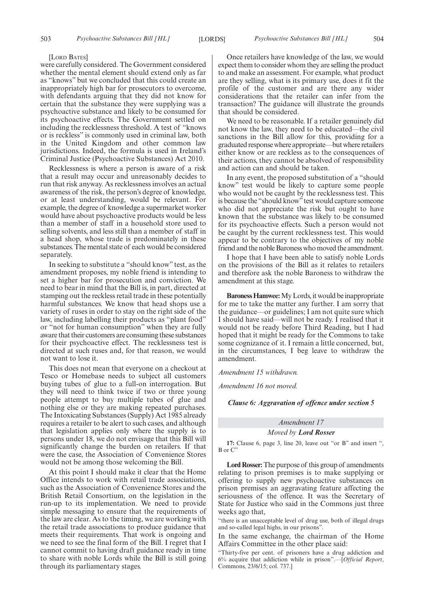#### [LORD BATES]

were carefully considered. The Government considered whether the mental element should extend only as far as "knows" but we concluded that this could create an inappropriately high bar for prosecutors to overcome, with defendants arguing that they did not know for certain that the substance they were supplying was a psychoactive substance and likely to be consumed for its psychoactive effects. The Government settled on including the recklessness threshold. A test of "knows or is reckless" is commonly used in criminal law, both in the United Kingdom and other common law jurisdictions. Indeed, the formula is used in Ireland's Criminal Justice (Psychoactive Substances) Act 2010.

Recklessness is where a person is aware of a risk that a result may occur and unreasonably decides to run that risk anyway. As recklessness involves an actual awareness of the risk, the person's degree of knowledge, or at least understanding, would be relevant. For example, the degree of knowledge a supermarket worker would have about psychoactive products would be less than a member of staff in a household store used to selling solvents, and less still than a member of staff in a head shop, whose trade is predominately in these substances. The mental state of each would be considered separately.

In seeking to substitute a "should know" test, as the amendment proposes, my noble friend is intending to set a higher bar for prosecution and conviction. We need to bear in mind that the Bill is, in part, directed at stamping out the reckless retail trade in these potentially harmful substances. We know that head shops use a variety of ruses in order to stay on the right side of the law, including labelling their products as "plant food" or "not for human consumption" when they are fully aware that their customers are consuming these substances for their psychoactive effect. The recklessness test is directed at such ruses and, for that reason, we would not want to lose it.

This does not mean that everyone on a checkout at Tesco or Homebase needs to subject all customers buying tubes of glue to a full-on interrogation. But they will need to think twice if two or three young people attempt to buy multiple tubes of glue and nothing else or they are making repeated purchases. The Intoxicating Substances (Supply) Act 1985 already requires a retailer to be alert to such cases, and although that legislation applies only where the supply is to persons under 18, we do not envisage that this Bill will significantly change the burden on retailers. If that were the case, the Association of Convenience Stores would not be among those welcoming the Bill.

At this point I should make it clear that the Home Office intends to work with retail trade associations, such as the Association of Convenience Stores and the British Retail Consortium, on the legislation in the run-up to its implementation. We need to provide simple messaging to ensure that the requirements of the law are clear. As to the timing, we are working with the retail trade associations to produce guidance that meets their requirements. That work is ongoing and we need to see the final form of the Bill. I regret that I cannot commit to having draft guidance ready in time to share with noble Lords while the Bill is still going through its parliamentary stages.

Once retailers have knowledge of the law, we would expect them to consider whom they are selling the product to and make an assessment. For example, what product are they selling, what is its primary use, does it fit the profile of the customer and are there any wider considerations that the retailer can infer from the transaction? The guidance will illustrate the grounds that should be considered.

We need to be reasonable. If a retailer genuinely did not know the law, they need to be educated—the civil sanctions in the Bill allow for this, providing for a graduated response where appropriate—but where retailers either know or are reckless as to the consequences of their actions, they cannot be absolved of responsibility and action can and should be taken.

In any event, the proposed substitution of a "should know" test would be likely to capture some people who would not be caught by the recklessness test. This is because the "should know" test would capture someone who did not appreciate the risk but ought to have known that the substance was likely to be consumed for its psychoactive effects. Such a person would not be caught by the current recklessness test. This would appear to be contrary to the objectives of my noble friend and the noble Baroness whomoved the amendment.

I hope that I have been able to satisfy noble Lords on the provisions of the Bill as it relates to retailers and therefore ask the noble Baroness to withdraw the amendment at this stage.

**Baroness Hamwee:** My Lords, it would be inappropriate for me to take the matter any further. I am sorry that the guidance—or guidelines; I am not quite sure which I should have said—will not be ready. I realised that it would not be ready before Third Reading, but I had hoped that it might be ready for the Commons to take some cognizance of it. I remain a little concerned, but, in the circumstances, I beg leave to withdraw the amendment.

*Amendment 15 withdrawn.*

*Amendment 16 not moved.*

*Clause 6: Aggravation of offence under section 5*

#### *Amendment 17*

*Moved by Lord Rosser*

**17:** Clause 6, page 3, line 20, leave out "or B" and insert ", B or C"

**Lord Rosser:**The purpose of this group of amendments relating to prison premises is to make supplying or offering to supply new psychoactive substances on prison premises an aggravating feature affecting the seriousness of the offence. It was the Secretary of State for Justice who said in the Commons just three weeks ago that,

"there is an unacceptable level of drug use, both of illegal drugs and so-called legal highs, in our prisons".

In the same exchange, the chairman of the Home Affairs Committee in the other place said:

"Thirty-five per cent. of prisoners have a drug addiction and 6% acquire that addiction while in prison".—[*Official Report*, Commons, 23/6/15; col. 737.]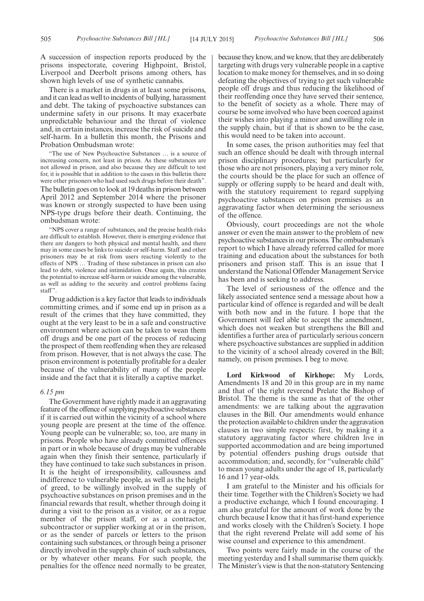A succession of inspection reports produced by the prisons inspectorate, covering Highpoint, Bristol, Liverpool and Deerbolt prisons among others, has shown high levels of use of synthetic cannabis.

There is a market in drugs in at least some prisons, and it can lead as well to incidents of bullying, harassment and debt. The taking of psychoactive substances can undermine safety in our prisons. It may exacerbate unpredictable behaviour and the threat of violence and, in certain instances, increase the risk of suicide and self-harm. In a bulletin this month, the Prisons and Probation Ombudsman wrote:

"The use of New Psychoactive Substances … is a source of increasing concern, not least in prison. As these substances are not allowed in prison, and also because they are difficult to test for, it is possible that in addition to the cases in this bulletin there were other prisoners who had used such drugs before their death". The bulletin goes on to look at 19 deaths in prison between April 2012 and September 2014 where the prisoner was known or strongly suspected to have been using NPS-type drugs before their death. Continuing, the ombudsman wrote:

"NPS cover a range of substances, and the precise health risks are difficult to establish. However, there is emerging evidence that there are dangers to both physical and mental health, and there may in some cases be links to suicide or self-harm. Staff and other prisoners may be at risk from users reacting violently to the effects of NPS … Trading of these substances in prison can also lead to debt, violence and intimidation. Once again, this creates the potential to increase self-harm or suicide among the vulnerable, as well as adding to the security and control problems facing staff".

Drug addiction is a key factor that leads to individuals committing crimes, and if some end up in prison as a result of the crimes that they have committed, they ought at the very least to be in a safe and constructive environment where action can be taken to wean them off drugs and be one part of the process of reducing the prospect of them reoffending when they are released from prison. However, that is not always the case. The prison environment is potentially profitable for a dealer because of the vulnerability of many of the people inside and the fact that it is literally a captive market.

#### *6.15 pm*

The Government have rightly made it an aggravating feature of the offence of supplying psychoactive substances if it is carried out within the vicinity of a school where young people are present at the time of the offence. Young people can be vulnerable; so, too, are many in prisons. People who have already committed offences in part or in whole because of drugs may be vulnerable again when they finish their sentence, particularly if they have continued to take such substances in prison. It is the height of irresponsibility, callousness and indifference to vulnerable people, as well as the height of greed, to be willingly involved in the supply of psychoactive substances on prison premises and in the financial rewards that result, whether through doing it during a visit to the prison as a visitor, or as a rogue member of the prison staff, or as a contractor, subcontractor or supplier working at or in the prison, or as the sender of parcels or letters to the prison containing such substances, or through being a prisoner directly involved in the supply chain of such substances, or by whatever other means. For such people, the penalties for the offence need normally to be greater,

because they know, and we know, that they are deliberately targeting with drugs very vulnerable people in a captive location to make money for themselves, and in so doing defeating the objectives of trying to get such vulnerable people off drugs and thus reducing the likelihood of their reoffending once they have served their sentence, to the benefit of society as a whole. There may of course be some involved who have been coerced against their wishes into playing a minor and unwilling role in the supply chain, but if that is shown to be the case, this would need to be taken into account.

In some cases, the prison authorities may feel that such an offence should be dealt with through internal prison disciplinary procedures; but particularly for those who are not prisoners, playing a very minor role, the courts should be the place for such an offence of supply or offering supply to be heard and dealt with, with the statutory requirement to regard supplying psychoactive substances on prison premises as an aggravating factor when determining the seriousness of the offence.

Obviously, court proceedings are not the whole answer or even the main answer to the problem of new psychoactive substances in our prisons. The ombudsman's report to which I have already referred called for more training and education about the substances for both prisoners and prison staff. This is an issue that I understand the National Offender Management Service has been and is seeking to address.

The level of seriousness of the offence and the likely associated sentence send a message about how a particular kind of offence is regarded and will be dealt with both now and in the future. I hope that the Government will feel able to accept the amendment, which does not weaken but strengthens the Bill and identifies a further area of particularly serious concern where psychoactive substances are supplied in addition to the vicinity of a school already covered in the Bill; namely, on prison premises. I beg to move.

**Lord Kirkwood of Kirkhope:** My Lords, Amendments 18 and 20 in this group are in my name and that of the right reverend Prelate the Bishop of Bristol. The theme is the same as that of the other amendments: we are talking about the aggravation clauses in the Bill. Our amendments would enhance the protection available to children under the aggravation clauses in two simple respects: first, by making it a statutory aggravating factor where children live in supported accommodation and are being importuned by potential offenders pushing drugs outside that accommodation; and, secondly, for "vulnerable child" to mean young adults under the age of 18, particularly 16 and 17 year-olds.

I am grateful to the Minister and his officials for their time. Together with the Children's Society we had a productive exchange, which I found encouraging. I am also grateful for the amount of work done by the church because I know that it has first-hand experience and works closely with the Children's Society. I hope that the right reverend Prelate will add some of his wise counsel and experience to this amendment.

Two points were fairly made in the course of the meeting yesterday and I shall summarise them quickly. The Minister's view is that the non-statutory Sentencing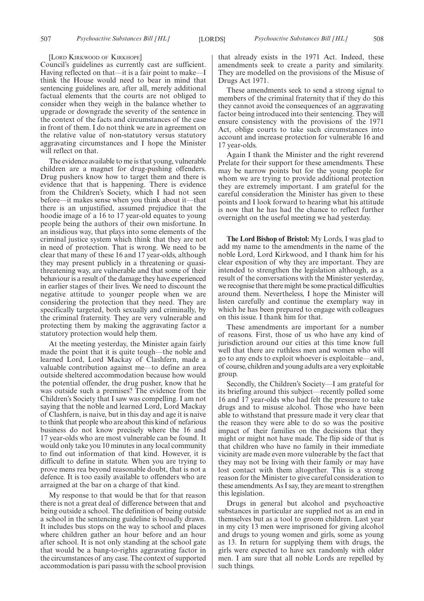[LORD KIRKWOOD OF KIRKHOPE]

Council's guidelines as currently cast are sufficient. Having reflected on that—it is a fair point to make—I think the House would need to bear in mind that sentencing guidelines are, after all, merely additional factual elements that the courts are not obliged to consider when they weigh in the balance whether to upgrade or downgrade the severity of the sentence in the context of the facts and circumstances of the case in front of them. I do not think we are in agreement on the relative value of non-statutory versus statutory aggravating circumstances and I hope the Minister will reflect on that.

The evidence available to me is that young, vulnerable children are a magnet for drug-pushing offenders. Drug pushers know how to target them and there is evidence that that is happening. There is evidence from the Children's Society, which I had not seen before—it makes sense when you think about it—that there is an unjustified, assumed prejudice that the hoodie image of a 16 to 17 year-old equates to young people being the authors of their own misfortune. In an insidious way, that plays into some elements of the criminal justice system which think that they are not in need of protection. That is wrong. We need to be clear that many of these 16 and 17 year-olds, although they may present publicly in a threatening or quasithreatening way, are vulnerable and that some of their behaviour is a result of the damage they have experienced in earlier stages of their lives. We need to discount the negative attitude to younger people when we are considering the protection that they need. They are specifically targeted, both sexually and criminally, by the criminal fraternity. They are very vulnerable and protecting them by making the aggravating factor a statutory protection would help them.

At the meeting yesterday, the Minister again fairly made the point that it is quite tough—the noble and learned Lord, Lord Mackay of Clashfern, made a valuable contribution against me—to define an area outside sheltered accommodation because how would the potential offender, the drug pusher, know that he was outside such a premises? The evidence from the Children's Society that I saw was compelling. I am not saying that the noble and learned Lord, Lord Mackay of Clashfern, is naive, but in this day and age it is naive to think that people who are about this kind of nefarious business do not know precisely where the 16 and 17 year-olds who are most vulnerable can be found. It would only take you 10 minutes in any local community to find out information of that kind. However, it is difficult to define in statute. When you are trying to prove mens rea beyond reasonable doubt, that is not a defence. It is too easily available to offenders who are arraigned at the bar on a charge of that kind.

My response to that would be that for that reason there is not a great deal of difference between that and being outside a school. The definition of being outside a school in the sentencing guideline is broadly drawn. It includes bus stops on the way to school and places where children gather an hour before and an hour after school. It is not only standing at the school gate that would be a bang-to-rights aggravating factor in the circumstances of any case. The context of supported accommodation is pari passu with the school provision that already exists in the 1971 Act. Indeed, these amendments seek to create a parity and similarity. They are modelled on the provisions of the Misuse of Drugs Act 1971.

These amendments seek to send a strong signal to members of the criminal fraternity that if they do this they cannot avoid the consequences of an aggravating factor being introduced into their sentencing. They will ensure consistency with the provisions of the 1971 Act, oblige courts to take such circumstances into account and increase protection for vulnerable 16 and 17 year-olds.

Again I thank the Minister and the right reverend Prelate for their support for these amendments. These may be narrow points but for the young people for whom we are trying to provide additional protection they are extremely important. I am grateful for the careful consideration the Minister has given to these points and I look forward to hearing what his attitude is now that he has had the chance to reflect further overnight on the useful meeting we had yesterday.

**The Lord Bishop of Bristol:** My Lords, I was glad to add my name to the amendments in the name of the noble Lord, Lord Kirkwood, and I thank him for his clear exposition of why they are important. They are intended to strengthen the legislation although, as a result of the conversations with the Minister yesterday, we recognise that there might be some practical difficulties around them. Nevertheless, I hope the Minister will listen carefully and continue the exemplary way in which he has been prepared to engage with colleagues on this issue. I thank him for that.

These amendments are important for a number of reasons. First, those of us who have any kind of jurisdiction around our cities at this time know full well that there are ruthless men and women who will go to any ends to exploit whoever is exploitable—and, of course, children and young adults are a very exploitable group.

Secondly, the Children's Society—I am grateful for its briefing around this subject—recently polled some 16 and 17 year-olds who had felt the pressure to take drugs and to misuse alcohol. Those who have been able to withstand that pressure made it very clear that the reason they were able to do so was the positive impact of their families on the decisions that they might or might not have made. The flip side of that is that children who have no family in their immediate vicinity are made even more vulnerable by the fact that they may not be living with their family or may have lost contact with them altogether. This is a strong reason for the Minister to give careful consideration to these amendments. As I say, they are meant to strengthen this legislation.

Drugs in general but alcohol and psychoactive substances in particular are supplied not as an end in themselves but as a tool to groom children. Last year in my city 13 men were imprisoned for giving alcohol and drugs to young women and girls, some as young as 13. In return for supplying them with drugs, the girls were expected to have sex randomly with older men. I am sure that all noble Lords are repelled by such things.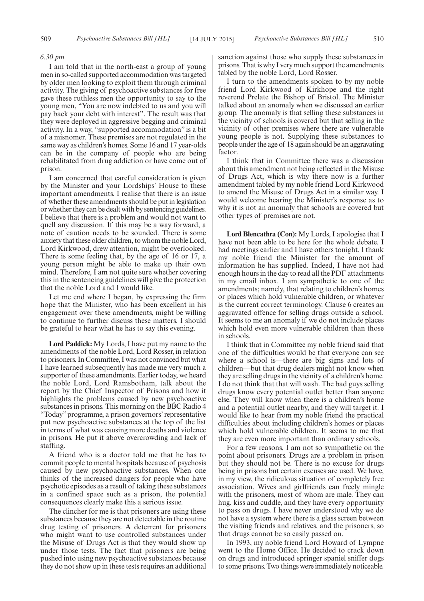#### *6.30 pm*

I am told that in the north-east a group of young men in so-called supported accommodation was targeted by older men looking to exploit them through criminal activity. The giving of psychoactive substances for free gave these ruthless men the opportunity to say to the young men, "You are now indebted to us and you will pay back your debt with interest". The result was that they were deployed in aggressive begging and criminal activity. In a way, "supported accommodation" is a bit of a misnomer. These premises are not regulated in the same way as children's homes. Some 16 and 17 year-olds can be in the company of people who are being rehabilitated from drug addiction or have come out of prison.

I am concerned that careful consideration is given by the Minister and your Lordships' House to these important amendments. I realise that there is an issue of whether these amendments should be put in legislation or whether they can be dealt with by sentencing guidelines. I believe that there is a problem and would not want to quell any discussion. If this may be a way forward, a note of caution needs to be sounded. There is some anxiety that these older children, to whom the noble Lord, Lord Kirkwood, drew attention, might be overlooked. There is some feeling that, by the age of 16 or 17, a young person might be able to make up their own mind. Therefore, I am not quite sure whether covering this in the sentencing guidelines will give the protection that the noble Lord and I would like.

Let me end where I began, by expressing the firm hope that the Minister, who has been excellent in his engagement over these amendments, might be willing to continue to further discuss these matters. I should be grateful to hear what he has to say this evening.

**Lord Paddick:** My Lords, I have put my name to the amendments of the noble Lord, Lord Rosser, in relation to prisoners. In Committee, I was not convinced but what I have learned subsequently has made me very much a supporter of these amendments. Earlier today, we heard the noble Lord, Lord Ramsbotham, talk about the report by the Chief Inspector of Prisons and how it highlights the problems caused by new psychoactive substances in prisons. This morning on the BBC Radio 4 "Today" programme, a prison governors' representative put new psychoactive substances at the top of the list in terms of what was causing more deaths and violence in prisons. He put it above overcrowding and lack of staffing.

A friend who is a doctor told me that he has to commit people to mental hospitals because of psychosis caused by new psychoactive substances. When one thinks of the increased dangers for people who have psychotic episodes as a result of taking these substances in a confined space such as a prison, the potential consequences clearly make this a serious issue.

The clincher for me is that prisoners are using these substances because they are not detectable in the routine drug testing of prisoners. A deterrent for prisoners who might want to use controlled substances under the Misuse of Drugs Act is that they would show up under those tests. The fact that prisoners are being pushed into using new psychoactive substances because they do not show up in these tests requires an additional sanction against those who supply these substances in prisons. That is why I very much support the amendments tabled by the noble Lord, Lord Rosser.

I turn to the amendments spoken to by my noble friend Lord Kirkwood of Kirkhope and the right reverend Prelate the Bishop of Bristol. The Minister talked about an anomaly when we discussed an earlier group. The anomaly is that selling these substances in the vicinity of schools is covered but that selling in the vicinity of other premises where there are vulnerable young people is not. Supplying these substances to people under the age of 18 again should be an aggravating factor.

I think that in Committee there was a discussion about this amendment not being reflected in the Misuse of Drugs Act, which is why there now is a further amendment tabled by my noble friend Lord Kirkwood to amend the Misuse of Drugs Act in a similar way. I would welcome hearing the Minister's response as to why it is not an anomaly that schools are covered but other types of premises are not.

**Lord Blencathra (Con):** My Lords, I apologise that I have not been able to be here for the whole debate. I had meetings earlier and I have others tonight. I thank my noble friend the Minister for the amount of information he has supplied. Indeed, I have not had enough hours in the day to read all the PDF attachments in my email inbox. I am sympathetic to one of the amendments; namely, that relating to children's homes or places which hold vulnerable children, or whatever is the current correct terminology. Clause 6 creates an aggravated offence for selling drugs outside a school. It seems to me an anomaly if we do not include places which hold even more vulnerable children than those in schools.

I think that in Committee my noble friend said that one of the difficulties would be that everyone can see where a school is—there are big signs and lots of children—but that drug dealers might not know when they are selling drugs in the vicinity of a children's home. I do not think that that will wash. The bad guys selling drugs know every potential outlet better than anyone else. They will know when there is a children's home and a potential outlet nearby, and they will target it. I would like to hear from my noble friend the practical difficulties about including children's homes or places which hold vulnerable children. It seems to me that they are even more important than ordinary schools.

For a few reasons, I am not so sympathetic on the point about prisoners. Drugs are a problem in prison but they should not be. There is no excuse for drugs being in prisons but certain excuses are used. We have, in my view, the ridiculous situation of completely free association. Wives and girlfriends can freely mingle with the prisoners, most of whom are male. They can hug, kiss and cuddle, and they have every opportunity to pass on drugs. I have never understood why we do not have a system where there is a glass screen between the visiting friends and relatives, and the prisoners, so that drugs cannot be so easily passed on.

In 1993, my noble friend Lord Howard of Lympne went to the Home Office. He decided to crack down on drugs and introduced springer spaniel sniffer dogs to some prisons. Two things were immediately noticeable.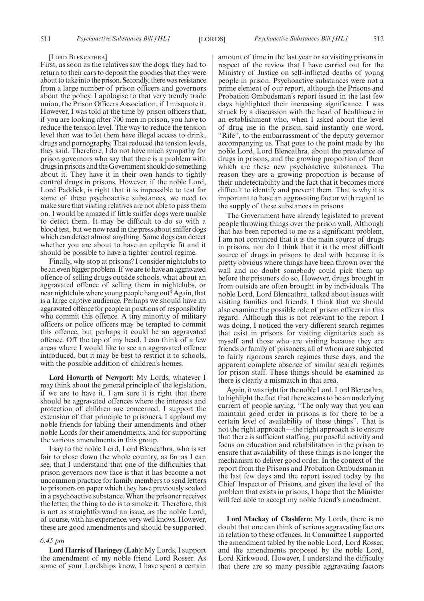#### [LORD BLENCATHRA]

First, as soon as the relatives saw the dogs, they had to return to their cars to deposit the goodies that they were about to takeinto the prison. Secondly, there was resistance from a large number of prison officers and governors about the policy. I apologise to that very trendy trade union, the Prison Officers Association, if I misquote it. However, I was told at the time by prison officers that, if you are looking after 700 men in prison, you have to reduce the tension level. The way to reduce the tension level then was to let them have illegal access to drink, drugs and pornography. That reduced the tension levels, they said. Therefore, I do not have much sympathy for prison governors who say that there is a problem with drugs in prisons and the Government should do something about it. They have it in their own hands to tightly control drugs in prisons. However, if the noble Lord, Lord Paddick, is right that it is impossible to test for some of these psychoactive substances, we need to make sure that visiting relatives are not able to pass them on. I would be amazed if little sniffer dogs were unable to detect them. It may be difficult to do so with a blood test, but we now read in the press about sniffer dogs which can detect almost anything. Some dogs can detect whether you are about to have an epileptic fit and it should be possible to have a tighter control regime.

Finally, why stop at prisons? I consider nightclubs to be an even bigger problem. If we are to have an aggravated offence of selling drugs outside schools, what about an aggravated offence of selling them in nightclubs, or near nightclubs where young people hang out? Again, that is a large captive audience. Perhaps we should have an aggravated offence for people in positions of responsibility who commit this offence. A tiny minority of military officers or police officers may be tempted to commit this offence, but perhaps it could be an aggravated offence. Off the top of my head, I can think of a few areas where I would like to see an aggravated offence introduced, but it may be best to restrict it to schools, with the possible addition of children's homes.

**Lord Howarth of Newport:** My Lords, whatever I may think about the general principle of the legislation, if we are to have it, I am sure it is right that there should be aggravated offences where the interests and protection of children are concerned. I support the extension of that principle to prisoners. I applaud my noble friends for tabling their amendments and other noble Lords for their amendments, and for supporting the various amendments in this group.

I say to the noble Lord, Lord Blencathra, who is set fair to close down the whole country, as far as I can see, that I understand that one of the difficulties that prison governors now face is that it has become a not uncommon practice for family members to send letters to prisoners on paper which they have previously soaked in a psychoactive substance. When the prisoner receives the letter, the thing to do is to smoke it. Therefore, this is not as straightforward an issue, as the noble Lord, of course, with his experience, very well knows. However, these are good amendments and should be supported.

#### *6.45 pm*

**Lord Harris of Haringey (Lab):** My Lords, I support the amendment of my noble friend Lord Rosser. As some of your Lordships know, I have spent a certain amount of time in the last year or so visiting prisons in respect of the review that I have carried out for the Ministry of Justice on self-inflicted deaths of young people in prison. Psychoactive substances were not a prime element of our report, although the Prisons and Probation Ombudsman's report issued in the last few days highlighted their increasing significance. I was struck by a discussion with the head of healthcare in an establishment who, when I asked about the level of drug use in the prison, said instantly one word, "Rife", to the embarrassment of the deputy governor accompanying us. That goes to the point made by the noble Lord, Lord Blencathra, about the prevalence of drugs in prisons, and the growing proportion of them which are these new psychoactive substances. The reason they are a growing proportion is because of their undetectability and the fact that it becomes more difficult to identify and prevent them. That is why it is important to have an aggravating factor with regard to the supply of these substances in prisons.

The Government have already legislated to prevent people throwing things over the prison wall. Although that has been reported to me as a significant problem, I am not convinced that it is the main source of drugs in prisons, nor do I think that it is the most difficult source of drugs in prisons to deal with because it is pretty obvious where things have been thrown over the wall and no doubt somebody could pick them up before the prisoners do so. However, drugs brought in from outside are often brought in by individuals. The noble Lord, Lord Blencathra, talked about issues with visiting families and friends. I think that we should also examine the possible role of prison officers in this regard. Although this is not relevant to the report I was doing, I noticed the very different search regimes that exist in prisons for visiting dignitaries such as myself and those who are visiting because they are friends or family of prisoners, all of whom are subjected to fairly rigorous search regimes these days, and the apparent complete absence of similar search regimes for prison staff. These things should be examined as there is clearly a mismatch in that area.

Again, it was right for the noble Lord, Lord Blencathra, to highlight the fact that there seems to be an underlying current of people saying, "The only way that you can maintain good order in prisons is for there to be a certain level of availability of these things". That is not the right approach—the right approach is to ensure that there is sufficient staffing, purposeful activity and focus on education and rehabilitation in the prison to ensure that availability of these things is no longer the mechanism to deliver good order. In the context of the report from the Prisons and Probation Ombudsman in the last few days and the report issued today by the Chief Inspector of Prisons, and given the level of the problem that exists in prisons, I hope that the Minister will feel able to accept my noble friend's amendment.

**Lord Mackay of Clashfern:** My Lords, there is no doubt that one can think of serious aggravating factors in relation to these offences. In Committee I supported the amendment tabled by the noble Lord, Lord Rosser, and the amendments proposed by the noble Lord, Lord Kirkwood. However, I understand the difficulty that there are so many possible aggravating factors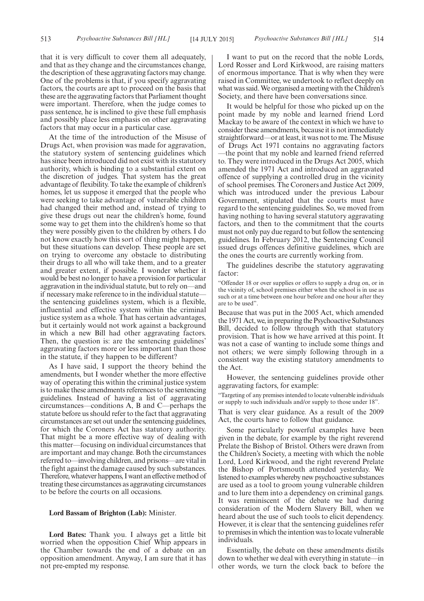that it is very difficult to cover them all adequately, and that as they change and the circumstances change, the description of these aggravating factors may change. One of the problems is that, if you specify aggravating factors, the courts are apt to proceed on the basis that these are the aggravating factors that Parliament thought were important. Therefore, when the judge comes to pass sentence, he is inclined to give these full emphasis and possibly place less emphasis on other aggravating factors that may occur in a particular case.

At the time of the introduction of the Misuse of Drugs Act, when provision was made for aggravation, the statutory system of sentencing guidelines which has since been introduced did not exist with its statutory authority, which is binding to a substantial extent on the discretion of judges. That system has the great advantage of flexibility. To take the example of children's homes, let us suppose it emerged that the people who were seeking to take advantage of vulnerable children had changed their method and, instead of trying to give these drugs out near the children's home, found some way to get them into the children's home so that they were possibly given to the children by others. I do not know exactly how this sort of thing might happen, but these situations can develop. These people are set on trying to overcome any obstacle to distributing their drugs to all who will take them, and to a greater and greater extent, if possible. I wonder whether it would be best no longer to have a provision for particular aggravation in the individual statute, but to rely on—and if necessary make reference to in the individual statute the sentencing guidelines system, which is a flexible, influential and effective system within the criminal justice system as a whole. That has certain advantages, but it certainly would not work against a background in which a new Bill had other aggravating factors. Then, the question is: are the sentencing guidelines' aggravating factors more or less important than those in the statute, if they happen to be different?

As I have said, I support the theory behind the amendments, but I wonder whether the more effective way of operating this within the criminal justice system is to make these amendments references to the sentencing guidelines. Instead of having a list of aggravating circumstances—conditions A, B and C—perhaps the statute before us should refer to the fact that aggravating circumstances are set out under the sentencing guidelines, for which the Coroners Act has statutory authority. That might be a more effective way of dealing with this matter—focusing on individual circumstances that are important and may change. Both the circumstances referred to—involving children, and prisons—are vital in the fight against the damage caused by such substances. Therefore, whatever happens, I want an effective method of treating these circumstances as aggravating circumstances to be before the courts on all occasions.

#### **Lord Bassam of Brighton (Lab):** Minister.

**Lord Bates:** Thank you. I always get a little bit worried when the opposition Chief Whip appears in the Chamber towards the end of a debate on an opposition amendment. Anyway, I am sure that it has not pre-empted my response.

I want to put on the record that the noble Lords, Lord Rosser and Lord Kirkwood, are raising matters of enormous importance. That is why when they were raised in Committee, we undertook to reflect deeply on what was said.We organised a meeting with the Children's Society, and there have been conversations since.

It would be helpful for those who picked up on the point made by my noble and learned friend Lord Mackay to be aware of the context in which we have to consider these amendments, because it is not immediately straightforward—or at least, it was not to me. The Misuse of Drugs Act 1971 contains no aggravating factors —the point that my noble and learned friend referred to. They were introduced in the Drugs Act 2005, which amended the 1971 Act and introduced an aggravated offence of supplying a controlled drug in the vicinity of school premises. The Coroners and Justice Act 2009, which was introduced under the previous Labour Government, stipulated that the courts must have regard to the sentencing guidelines. So, we moved from having nothing to having several statutory aggravating factors, and then to the commitment that the courts must not only pay due regard to but follow the sentencing guidelines. In February 2012, the Sentencing Council issued drugs offences definitive guidelines, which are the ones the courts are currently working from.

The guidelines describe the statutory aggravating factor:

"Offender 18 or over supplies or offers to supply a drug on, or in the vicinity of, school premises either when the school is in use as such or at a time between one hour before and one hour after they are to be used".

Because that was put in the 2005 Act, which amended the 1971 Act, we, in preparing the Psychoactive Substances Bill, decided to follow through with that statutory provision. That is how we have arrived at this point. It was not a case of wanting to include some things and not others; we were simply following through in a consistent way the existing statutory amendments to the Act.

However, the sentencing guidelines provide other aggravating factors, for example:

"Targeting of any premises intended to locate vulnerable individuals or supply to such individuals and/or supply to those under 18".

That is very clear guidance. As a result of the 2009 Act, the courts have to follow that guidance.

Some particularly powerful examples have been given in the debate, for example by the right reverend Prelate the Bishop of Bristol. Others were drawn from the Children's Society, a meeting with which the noble Lord, Lord Kirkwood, and the right reverend Prelate the Bishop of Portsmouth attended yesterday. We listened to examples whereby new psychoactive substances are used as a tool to groom young vulnerable children and to lure them into a dependency on criminal gangs. It was reminiscent of the debate we had during consideration of the Modern Slavery Bill, when we heard about the use of such tools to elicit dependency. However, it is clear that the sentencing guidelines refer to premises in which the intention was to locate vulnerable individuals.

Essentially, the debate on these amendments distils down to whether we deal with everything in statute—in other words, we turn the clock back to before the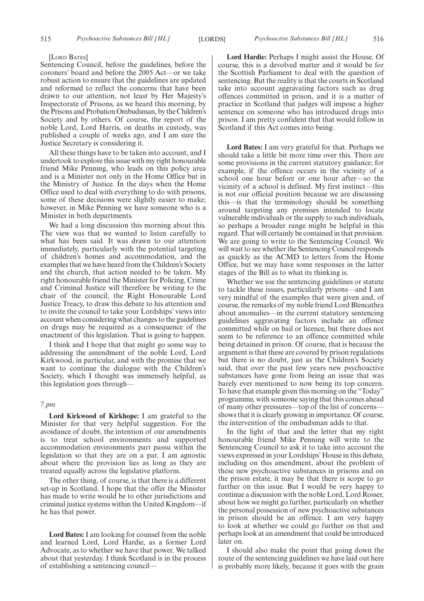#### [LORD BATES]

Sentencing Council, before the guidelines, before the coroners' board and before the 2005 Act—or we take robust action to ensure that the guidelines are updated and reformed to reflect the concerns that have been drawn to our attention, not least by Her Majesty's Inspectorate of Prisons, as we heard this morning, by the Prisons and Probation Ombudsman, by the Children's Society and by others. Of course, the report of the noble Lord, Lord Harris, on deaths in custody, was published a couple of weeks ago, and I am sure the Justice Secretary is considering it.

All these things have to be taken into account, and I undertook to explore this issue with my right honourable friend Mike Penning, who leads on this policy area and is a Minister not only in the Home Office but in the Ministry of Justice. In the days when the Home Office used to deal with everything to do with prisons, some of these decisions were slightly easier to make; however, in Mike Penning we have someone who is a Minister in both departments.

We had a long discussion this morning about this. The view was that we wanted to listen carefully to what has been said. It was drawn to our attention immediately, particularly with the potential targeting of children's homes and accommodation, and the examples that we have heard from the Children's Society and the church, that action needed to be taken. My right honourable friend the Minister for Policing, Crime and Criminal Justice will therefore be writing to the chair of the council, the Right Honourable Lord Justice Treacy, to draw this debate to his attention and to invite the council to take your Lordships' views into account when considering what changes to the guidelines on drugs may be required as a consequence of the enactment of this legislation. That is going to happen.

I think and I hope that that might go some way to addressing the amendment of the noble Lord, Lord Kirkwood, in particular, and with the promise that we want to continue the dialogue with the Children's Society, which I thought was immensely helpful, as this legislation goes through—

#### *7 pm*

**Lord Kirkwood of Kirkhope:** I am grateful to the Minister for that very helpful suggestion. For the avoidance of doubt, the intention of our amendments is to treat school environments and supported accommodation environments pari passu within the legislation so that they are on a par. I am agnostic about where the provision lies as long as they are treated equally across the legislative platform.

The other thing, of course, is that there is a different set-up in Scotland. I hope that the offer the Minister has made to write would be to other jurisdictions and criminal justice systems within the United Kingdom—if he has that power.

**Lord Bates:** I am looking for counsel from the noble and learned Lord, Lord Hardie, as a former Lord Advocate, as to whether we have that power. We talked about that yesterday. I think Scotland is in the process of establishing a sentencing council—

**Lord Hardie:** Perhaps I might assist the House. Of course, this is a devolved matter and it would be for the Scottish Parliament to deal with the question of sentencing. But the reality is that the courts in Scotland take into account aggravating factors such as drug offences committed in prison, and it is a matter of practice in Scotland that judges will impose a higher sentence on someone who has introduced drugs into prison. I am pretty confident that that would follow in Scotland if this Act comes into being.

**Lord Bates:** I am very grateful for that. Perhaps we should take a little bit more time over this. There are some provisions in the current statutory guidance; for example, if the offence occurs in the vicinity of a school one hour before or one hour after—so the vicinity of a school is defined. My first instinct—this is not our official position because we are discussing this—is that the terminology should be something around targeting any premises intended to locate vulnerable individuals or the supply to such individuals, so perhaps a broader range might be helpful in this regard. That will certainly be contained in that provision. We are going to write to the Sentencing Council. We will wait to see whether the Sentencing Council responds as quickly as the ACMD to letters from the Home Office, but we may have some responses in the latter stages of the Bill as to what its thinking is.

Whether we use the sentencing guidelines or statute to tackle these issues, particularly prisons—and I am very mindful of the examples that were given and, of course, the remarks of my noble friend Lord Blencathra about anomalies—in the current statutory sentencing guidelines aggravating factors include an offence committed while on bail or licence, but there does not seem to be reference to an offence committed while being detained in prison. Of course, that is because the argument is that these are covered by prison regulations but there is no doubt, just as the Children's Society said, that over the past few years new psychoactive substances have gone from being an issue that was barely ever mentioned to now being its top concern. To have that example given this morning on the "Today" programme, with someone saying that this comes ahead of many other pressures—top of the list of concerns shows that it is clearly growing in importance. Of course, the intervention of the ombudsman adds to that.

In the light of that and the letter that my right honourable friend Mike Penning will write to the Sentencing Council to ask it to take into account the views expressed in your Lordships'House in this debate, including on this amendment, about the problem of these new psychoactive substances in prisons and on the prison estate, it may be that there is scope to go further on this issue. But I would be very happy to continue a discussion with the noble Lord, Lord Rosser, about how we might go further, particularly on whether the personal possession of new psychoactive substances in prison should be an offence. I am very happy to look at whether we could go further on that and perhaps look at an amendment that could be introduced later on.

I should also make the point that going down the route of the sentencing guidelines we have laid out here is probably more likely, because it goes with the grain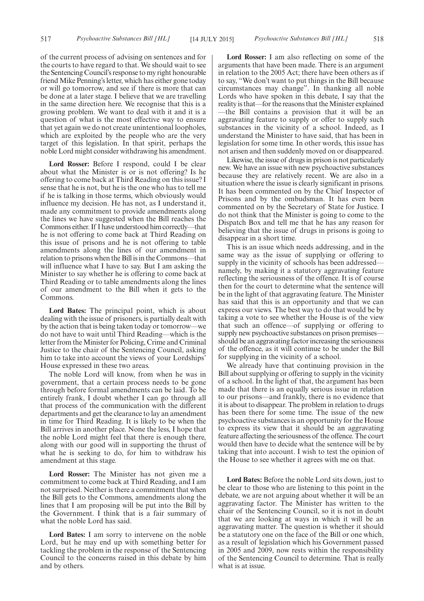of the current process of advising on sentences and for the courts to have regard to that. We should wait to see the Sentencing Council's response to my right honourable friend Mike Penning's letter, which has either gone today or will go tomorrow, and see if there is more that can be done at a later stage. I believe that we are travelling in the same direction here. We recognise that this is a growing problem. We want to deal with it and it is a question of what is the most effective way to ensure that yet again we do not create unintentional loopholes, which are exploited by the people who are the very target of this legislation. In that spirit, perhaps the noble Lord might consider withdrawing his amendment.

**Lord Rosser:** Before I respond, could I be clear about what the Minister is or is not offering? Is he offering to come back at Third Reading on this issue? I sense that he is not, but he is the one who has to tell me if he is talking in those terms, which obviously would influence my decision. He has not, as I understand it, made any commitment to provide amendments along the lines we have suggested when the Bill reaches the Commons either. If I have understood him correctly—that he is not offering to come back at Third Reading on this issue of prisons and he is not offering to table amendments along the lines of our amendment in relation to prisons when the Bill is in the Commons—that will influence what I have to say. But I am asking the Minister to say whether he is offering to come back at Third Reading or to table amendments along the lines of our amendment to the Bill when it gets to the Commons.

**Lord Bates:** The principal point, which is about dealing with the issue of prisoners, is partially dealt with by the action that is being taken today or tomorrow—we do not have to wait until Third Reading—which is the letter from the Minister for Policing, Crime and Criminal Justice to the chair of the Sentencing Council, asking him to take into account the views of your Lordships' House expressed in these two areas.

The noble Lord will know, from when he was in government, that a certain process needs to be gone through before formal amendments can be laid. To be entirely frank, I doubt whether I can go through all that process of the communication with the different departments and get the clearance to lay an amendment in time for Third Reading. It is likely to be when the Bill arrives in another place. None the less, I hope that the noble Lord might feel that there is enough there, along with our good will in supporting the thrust of what he is seeking to do, for him to withdraw his amendment at this stage.

**Lord Rosser:** The Minister has not given me a commitment to come back at Third Reading, and I am not surprised. Neither is there a commitment that when the Bill gets to the Commons, amendments along the lines that I am proposing will be put into the Bill by the Government. I think that is a fair summary of what the noble Lord has said.

**Lord Bates:** I am sorry to intervene on the noble Lord, but he may end up with something better for tackling the problem in the response of the Sentencing Council to the concerns raised in this debate by him and by others.

**Lord Rosser:** I am also reflecting on some of the arguments that have been made. There is an argument in relation to the 2005 Act; there have been others as if to say, "We don't want to put things in the Bill because circumstances may change". In thanking all noble Lords who have spoken in this debate, I say that the reality is that—for the reasons that the Minister explained —the Bill contains a provision that it will be an aggravating feature to supply or offer to supply such substances in the vicinity of a school. Indeed, as I understand the Minister to have said, that has been in legislation for some time. In other words, this issue has not arisen and then suddenly moved on or disappeared.

Likewise, the issue of drugs in prison is not particularly new. We have an issue with new psychoactive substances because they are relatively recent. We are also in a situation where the issue is clearly significant in prisons. It has been commented on by the Chief Inspector of Prisons and by the ombudsman. It has even been commented on by the Secretary of State for Justice. I do not think that the Minister is going to come to the Dispatch Box and tell me that he has any reason for believing that the issue of drugs in prisons is going to disappear in a short time.

This is an issue which needs addressing, and in the same way as the issue of supplying or offering to supply in the vicinity of schools has been addressed namely, by making it a statutory aggravating feature reflecting the seriousness of the offence. It is of course then for the court to determine what the sentence will be in the light of that aggravating feature. The Minister has said that this is an opportunity and that we can express our views. The best way to do that would be by taking a vote to see whether the House is of the view that such an offence—of supplying or offering to supply new psychoactive substances on prison premises should be an aggravating factor increasing the seriousness of the offence, as it will continue to be under the Bill for supplying in the vicinity of a school.

We already have that continuing provision in the Bill about supplying or offering to supply in the vicinity of a school. In the light of that, the argument has been made that there is an equally serious issue in relation to our prisons—and frankly, there is no evidence that it is about to disappear. The problem in relation to drugs has been there for some time. The issue of the new psychoactive substances is an opportunity for the House to express its view that it should be an aggravating feature affecting the seriousness of the offence. The court would then have to decide what the sentence will be by taking that into account. I wish to test the opinion of the House to see whether it agrees with me on that.

**Lord Bates:** Before the noble Lord sits down, just to be clear to those who are listening to this point in the debate, we are not arguing about whether it will be an aggravating factor. The Minister has written to the chair of the Sentencing Council, so it is not in doubt that we are looking at ways in which it will be an aggravating matter. The question is whether it should be a statutory one on the face of the Bill or one which, as a result of legislation which his Government passed in 2005 and 2009, now rests within the responsibility of the Sentencing Council to determine. That is really what is at issue.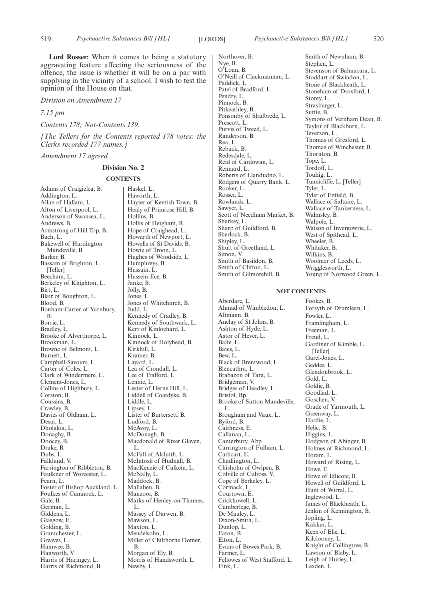**Lord Rosser:** When it comes to being a statutory aggravating feature affecting the seriousness of the offence, the issue is whether it will be on a par with supplying in the vicinity of a school. I wish to test the opinion of the House on that.

*Division on Amendment 17*

*7.15 pm*

*Contents 178; Not-Contents 139.*

*[The Tellers for the Contents reported 178 votes; the Clerks recorded 177 names.]*

*Amendment 17 agreed.*

#### **Division No. 2**

#### **CONTENTS**

Adams of Craigielea, B. Addington, L. Allan of Hallam, L. Alton of Liverpool, L. Anderson of Swansea, L. Andrews, B. Armstrong of Hill Top, B. Bach, L. Bakewell of Hardington Mandeville, B. Barker, B. Bassam of Brighton, L. [Teller] Beecham, L. Berkeley of Knighton, L. Birt, L. Blair of Boughton, L. Blood, B. Bonham-Carter of Yarnbury, B. Borrie, L. Bradley, L. Brooke of Alverthorpe, L. Brookman, L. Browne of Belmont, L. Burnett, L. Campbell-Savours, L. Carter of Coles, L. Clark of Windermere, L. Clement-Jones, L. Collins of Highbury, L. Corston, B. Coussins, B. Crawley, B. Davies of Oldham, L. Desai, L. Dholakia, L. Donaghy, B. Doocey, B. Drake, B. Dubs, L. Falkland, V. Farrington of Ribbleton, B. Faulkner of Worcester, L. Fearn, L. Foster of Bishop Auckland, L. Foulkes of Cumnock, L. Gale, B. German, L. Giddens, L. Glasgow, E. Golding, B. Grantchester, L. Greaves, L. Hamwee, B. Hanworth, V. Harris of Haringey, L. Harris of Richmond, B.

Haskel, L. Haworth, L. Hayter of Kentish Town, B. Healy of Primrose Hill, B. Hollins, B. Hollis of Heigham, B. Hope of Craighead, L. Howarth of Newport, L. Howells of St Davids, B. Howie of Troon, L. Hughes of Woodside, L. Humphreys, B. Hussain, L. Hussein-Ece, B. Janke, B. Jolly, B. Jones, L. Jones of Whitchurch, B. Judd, L. Kennedy of Cradley, B. Kennedy of Southwark, L. Kerr of Kinlochard, L. Kinnock, L. Kinnock of Holyhead, B. Kirkhill, L. Kramer, B. Layard, L. Lea of Crondall, L. Lee of Trafford, L. Lennie, L. Lester of Herne Hill, L. Liddell of Coatdyke, B. Liddle, L. Lipsey, L. Lister of Burtersett, B. Ludford, B. McAvoy, L. McDonagh, B. Macdonald of River Glaven. L. McFall of Alcluith, L. McIntosh of Hudnall, B. MacKenzie of Culkein, L. McNally, L. Maddock, B. Mallalieu, B. Manzoor, B. Marks of Henley-on-Thames, L. Massey of Darwen, B. Mawson, L. Maxton, L. Mendelsohn, L. Miller of Chilthorne Domer, B. Morgan of Ely, B. Morris of Handsworth, L. Newby, L.

Northover, B. Nye, B. O'Loan, B. O'Neill of Clackmannan, L. Paddick, L. Patel of Bradford, L. Pendry, L. Pinnock, B. Pitkeathley, B. Ponsonby of Shulbrede, L. Prescott, L. Purvis of Tweed, L. Randerson, B. Rea, L. Rebuck, B. Redesdale, L. Reid of Cardowan, L. Rennard, L. Roberts of Llandudno, L. Rodgers of Quarry Bank, L. Rooker, L. Rosser, L. Rowlands, L. Sawyer, L. Scott of Needham Market, B. Sharkey, L. Sharp of Guildford, B. Sherlock, B. Shipley, L. Shutt of Greetland, L. Simon, V. Smith of Basildon, B. Smith of Clifton, L. Smith of Gilmorehill, B.

Aberdare, L.

Altmann, B.

Balfe, L. Bates, L. Bew, L.

Blencathra, L.

Bridgeman, V.

Bristol, Bp.

L.

Byford, B. Caithness, E. Callanan, L. Canterbury, Abp.

Cathcart, E. Chadlington, L.

Cormack, L. Courtown, E. Crickhowell, L. Cumberlege, B. De Mauley, L. Dixon-Smith, L. Dunlop, L. Eaton, B. Elton, L.

Farmer, L.

Fink, L.

Ashton of Hyde, L. Astor of Hever, L.

Walpole, L. Wheeler, B. Whitaker, B. Wilkins, B. **NOT CONTENTS** Ahmad of Wimbledon, L. Anelay of St Johns, B. Black of Brentwood, L. Brabazon of Tara, L. Bridges of Headley, L. Brooke of Sutton Mandeville, Brougham and Vaux, L. Carrington of Fulham, L. Chisholm of Owlpen, B. Colville of Culross, V. Cope of Berkeley, L. Evans of Bowes Park, B. Fellowes of West Stafford, L. Fookes, B. Fowler, L. Freeman, L. Freud, L. [Teller] Garel-Jones, L. Geddes, L. Gold, L. Goldie, B. Goodlad, L. Goschen, V. Greenway, L. Hardie, L. Helic, B. Higgins, L. Horam, L. Howe, E. Inglewood, L. Jopling, L. Kakkar, L. Keen of Elie, L. Kilclooney, L. Lexden, L.

Smith of Newnham, B. Stephen, L. Stevenson of Balmacara, L. Stoddart of Swindon, L. Stone of Blackheath, L. Stoneham of Droxford, L. Storey, L. Strasburger, L. Suttie, B. Symons of Vernham Dean, B. Taylor of Blackburn, L. Teverson, L. Thomas of Gresford, L. Thomas of Winchester, B. Thornton, B. Tope, L. Tordoff, L. Touhig, L. Tunnicliffe, L. [Teller] Tyler, L. Tyler of Enfield, B. Wallace of Saltaire, L. Wallace of Tankerness, L. Walmsley, B. Watson of Invergowrie, L. West of Spithead, L. Woolmer of Leeds, L. Wrigglesworth, L. Young of Norwood Green, L.

Forsyth of Drumlean, L. Framlingham, L. Gardiner of Kimble, L. Glendonbrook, L. Grade of Yarmouth, L. Hodgson of Abinger, B. Holmes of Richmond, L. Howard of Rising, L. Howe of Idlicote, B. Howell of Guildford, L. Hunt of Wirral, L. James of Blackheath, L. Jenkin of Kennington, B. Knight of Collingtree, B. Lawson of Blaby, L. Leigh of Hurley, L.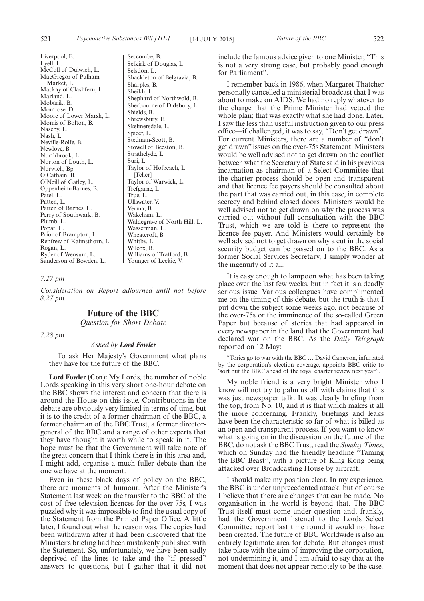Liverpool, E. Lyell, L. McColl of Dulwich, L. MacGregor of Pulham Market, L. Mackay of Clashfern, L. Marland, L. Mobarik, B. Montrose, D. Moore of Lower Marsh, L. Morris of Bolton, B. Naseby, L. Nash, L. Neville-Rolfe, B. Newlove, B. Northbrook, L. Norton of Louth, L. Norwich, Bp. O'Cathain, B. O'Neill of Gatley, L. Oppenheim-Barnes, B. Patel, L. Patten, L. Patten of Barnes, L. Perry of Southwark, B. Plumb, L. Popat, L. Prior of Brampton, L. Renfrew of Kaimsthorn, L. Rogan, L. Ryder of Wensum, L. Sanderson of Bowden, L.

Seccombe, B. Selkirk of Douglas, L. Selsdon, L. Shackleton of Belgravia, B. Sharples, B. Sheikh, L. Shephard of Northwold, B. Sherbourne of Didsbury, L. Shields, B. Shrewsbury, E. Skelmersdale, L. Spicer, L. Stedman-Scott, B. Stowell of Beeston, B. Strathclyde, L. Suri, L. Taylor of Holbeach, L. [Teller] Taylor of Warwick, L. Trefgarne, L. True, L. Ullswater, V. Verma, B. Wakeham, L. Waldegrave of North Hill, L. Wasserman, L. Wheatcroft, B. Whitby, L. Wilcox, B. Williams of Trafford, B. Younger of Leckie, V.

#### *7.27 pm*

*Consideration on Report adjourned until not before 8.27 pm.*

### **Future of the BBC**

*Question for Short Debate*

*7.28 pm*

#### *Asked by Lord Fowler*

To ask Her Majesty's Government what plans they have for the future of the BBC.

**Lord Fowler (Con):** My Lords, the number of noble Lords speaking in this very short one-hour debate on the BBC shows the interest and concern that there is around the House on this issue. Contributions in the debate are obviously very limited in terms of time, but it is to the credit of a former chairman of the BBC, a former chairman of the BBC Trust, a former directorgeneral of the BBC and a range of other experts that they have thought it worth while to speak in it. The hope must be that the Government will take note of the great concern that I think there is in this area and, I might add, organise a much fuller debate than the one we have at the moment.

Even in these black days of policy on the BBC, there are moments of humour. After the Minister's Statement last week on the transfer to the BBC of the cost of free television licences for the over-75s, I was puzzled why it was impossible to find the usual copy of the Statement from the Printed Paper Office. A little later, I found out what the reason was. The copies had been withdrawn after it had been discovered that the Minister's briefing had been mistakenly published with the Statement. So, unfortunately, we have been sadly deprived of the lines to take and the "if pressed" answers to questions, but I gather that it did not include the famous advice given to one Minister, "This is not a very strong case, but probably good enough for Parliament".

I remember back in 1986, when Margaret Thatcher personally cancelled a ministerial broadcast that I was about to make on AIDS. We had no reply whatever to the charge that the Prime Minister had vetoed the whole plan; that was exactly what she had done. Later, I saw the less than useful instruction given to our press office—if challenged, it was to say, "Don't get drawn". For current Ministers, there are a number of "don't get drawn" issues on the over-75s Statement. Ministers would be well advised not to get drawn on the conflict between what the Secretary of State said in his previous incarnation as chairman of a Select Committee that the charter process should be open and transparent and that licence fee payers should be consulted about the part that was carried out, in this case, in complete secrecy and behind closed doors. Ministers would be well advised not to get drawn on why the process was carried out without full consultation with the BBC Trust, which we are told is there to represent the licence fee payer. And Ministers would certainly be well advised not to get drawn on why a cut in the social security budget can be passed on to the BBC. As a former Social Services Secretary, I simply wonder at the ingenuity of it all.

It is easy enough to lampoon what has been taking place over the last few weeks, but in fact it is a deadly serious issue. Various colleagues have complimented me on the timing of this debate, but the truth is that I put down the subject some weeks ago, not because of the over-75s or the imminence of the so-called Green Paper but because of stories that had appeared in every newspaper in the land that the Government had declared war on the BBC. As the *Daily Telegraph* reported on 12 May:

"Tories go to war with the BBC … David Cameron, infuriated by the corporation's election coverage, appoints BBC critic to 'sort out the BBC' ahead of the royal charter review next year".

My noble friend is a very bright Minister who I know will not try to palm us off with claims that this was just newspaper talk. It was clearly briefing from the top, from No. 10, and it is that which makes it all the more concerning. Frankly, briefings and leaks have been the characteristic so far of what is billed as an open and transparent process. If you want to know what is going on in the discussion on the future of the BBC, do not ask the BBC Trust, read the *Sunday Times*, which on Sunday had the friendly headline "Taming" the BBC Beast", with a picture of King Kong being attacked over Broadcasting House by aircraft.

I should make my position clear. In my experience, the BBC is under unprecedented attack, but of course I believe that there are changes that can be made. No organisation in the world is beyond that. The BBC Trust itself must come under question and, frankly, had the Government listened to the Lords Select Committee report last time round it would not have been created. The future of BBC Worldwide is also an entirely legitimate area for debate. But changes must take place with the aim of improving the corporation, not undermining it, and I am afraid to say that at the moment that does not appear remotely to be the case.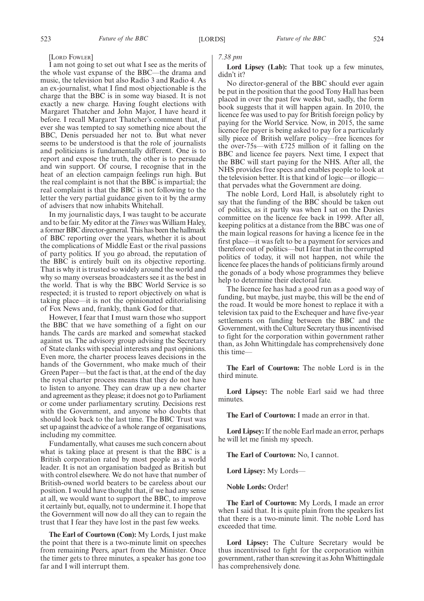#### [LORD FOWLER]

I am not going to set out what I see as the merits of the whole vast expanse of the BBC—the drama and music, the television but also Radio 3 and Radio 4. As an ex-journalist, what I find most objectionable is the charge that the BBC is in some way biased. It is not exactly a new charge. Having fought elections with Margaret Thatcher and John Major, I have heard it before. I recall Margaret Thatcher's comment that, if ever she was tempted to say something nice about the BBC, Denis persuaded her not to. But what never seems to be understood is that the role of journalists and politicians is fundamentally different. One is to report and expose the truth, the other is to persuade and win support. Of course, I recognise that in the heat of an election campaign feelings run high. But the real complaint is not that the BBC is impartial; the real complaint is that the BBC is not following to the letter the very partial guidance given to it by the army of advisers that now inhabits Whitehall.

In my journalistic days, I was taught to be accurate and to be fair. My editor at the *Times* was William Haley, a former BBC director-general. This has been the hallmark of BBC reporting over the years, whether it is about the complications of Middle East or the rival passions of party politics. If you go abroad, the reputation of the BBC is entirely built on its objective reporting. That is why it is trusted so widely around the world and why so many overseas broadcasters see it as the best in the world. That is why the BBC World Service is so respected; it is trusted to report objectively on what is taking place—it is not the opinionated editorialising of Fox News and, frankly, thank God for that.

However, I fear that I must warn those who support the BBC that we have something of a fight on our hands. The cards are marked and somewhat stacked against us. The advisory group advising the Secretary of State clanks with special interests and past opinions. Even more, the charter process leaves decisions in the hands of the Government, who make much of their Green Paper—but the fact is that, at the end of the day the royal charter process means that they do not have to listen to anyone. They can draw up a new charter and agreement as they please; it does not go to Parliament or come under parliamentary scrutiny. Decisions rest with the Government, and anyone who doubts that should look back to the last time. The BBC Trust was set up against the advice of a whole range of organisations, including my committee.

Fundamentally, what causes me such concern about what is taking place at present is that the BBC is a British corporation rated by most people as a world leader. It is not an organisation badged as British but with control elsewhere. We do not have that number of British-owned world beaters to be careless about our position. I would have thought that, if we had any sense at all, we would want to support the BBC, to improve it certainly but, equally, not to undermine it. I hope that the Government will now do all they can to regain the trust that I fear they have lost in the past few weeks.

**The Earl of Courtown (Con):** My Lords, I just make the point that there is a two-minute limit on speeches from remaining Peers, apart from the Minister. Once the timer gets to three minutes, a speaker has gone too far and I will interrupt them.

*7.38 pm*

Lord Lipsey (Lab): That took up a few minutes, didn't it?

No director-general of the BBC should ever again be put in the position that the good Tony Hall has been placed in over the past few weeks but, sadly, the form book suggests that it will happen again. In 2010, the licence fee was used to pay for British foreign policy by paying for the World Service. Now, in 2015, the same licence fee payer is being asked to pay for a particularly silly piece of British welfare policy—free licences for the over-75s—with £725 million of it falling on the BBC and licence fee payers. Next time, I expect that the BBC will start paying for the NHS. After all, the NHS provides free specs and enables people to look at the television better. It is that kind of logic—or illogic that pervades what the Government are doing.

The noble Lord, Lord Hall, is absolutely right to say that the funding of the BBC should be taken out of politics, as it partly was when I sat on the Davies committee on the licence fee back in 1999. After all, keeping politics at a distance from the BBC was one of the main logical reasons for having a licence fee in the first place—it was felt to be a payment for services and therefore out of politics—but I fear that in the corrupted politics of today, it will not happen, not while the licence fee places the hands of politicians firmly around the gonads of a body whose programmes they believe help to determine their electoral fate.

The licence fee has had a good run as a good way of funding, but maybe, just maybe, this will be the end of the road. It would be more honest to replace it with a television tax paid to the Exchequer and have five-year settlements on funding between the BBC and the Government, with the Culture Secretary thus incentivised to fight for the corporation within government rather than, as John Whittingdale has comprehensively done this time—

**The Earl of Courtown:** The noble Lord is in the third minute.

**Lord Lipsey:** The noble Earl said we had three minutes.

**The Earl of Courtown:** I made an error in that.

**Lord Lipsey:**If the noble Earl made an error, perhaps he will let me finish my speech.

**The Earl of Courtown:** No, I cannot.

**Lord Lipsey:** My Lords—

**Noble Lords:** Order!

**The Earl of Courtown:** My Lords, I made an error when I said that. It is quite plain from the speakers list that there is a two-minute limit. The noble Lord has exceeded that time.

**Lord Lipsey:** The Culture Secretary would be thus incentivised to fight for the corporation within government, rather than screwing it as JohnWhittingdale has comprehensively done.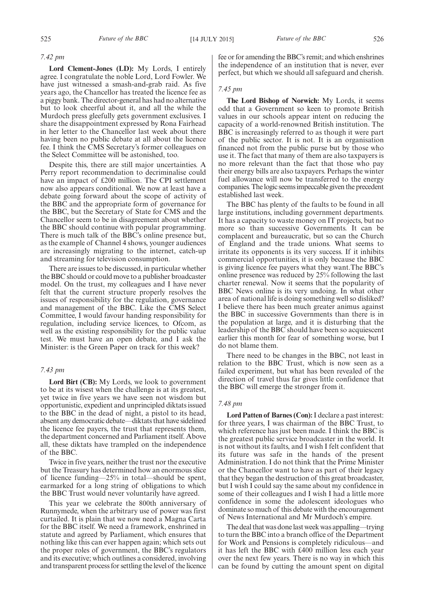#### *7.42 pm*

**Lord Clement-Jones (LD):** My Lords, I entirely agree. I congratulate the noble Lord, Lord Fowler. We have just witnessed a smash-and-grab raid. As five years ago, the Chancellor has treated the licence fee as a piggy bank. The director-general has had no alternative but to look cheerful about it, and all the while the Murdoch press gleefully gets government exclusives. I share the disappointment expressed by Rona Fairhead in her letter to the Chancellor last week about there having been no public debate at all about the licence fee. I think the CMS Secretary's former colleagues on the Select Committee will be astonished, too.

Despite this, there are still major uncertainties. A Perry report recommendation to decriminalise could have an impact of £200 million. The CPI settlement now also appears conditional. We now at least have a debate going forward about the scope of activity of the BBC and the appropriate form of governance for the BBC, but the Secretary of State for CMS and the Chancellor seem to be in disagreement about whether the BBC should continue with popular programming. There is much talk of the BBC's online presence but, as the example of Channel 4 shows, younger audiences are increasingly migrating to the internet, catch-up and streaming for television consumption.

There are issues to be discussed, in particular whether the BBC should or could move to a publisher broadcaster model. On the trust, my colleagues and I have never felt that the current structure properly resolves the issues of responsibility for the regulation, governance and management of the BBC. Like the CMS Select Committee, I would favour handing responsibility for regulation, including service licences, to Ofcom, as well as the existing responsibility for the public value test. We must have an open debate, and I ask the Minister: is the Green Paper on track for this week?

#### *7.43 pm*

**Lord Birt (CB):** My Lords, we look to government to be at its wisest when the challenge is at its greatest, yet twice in five years we have seen not wisdom but opportunistic, expedient and unprincipled diktats issued to the BBC in the dead of night, a pistol to its head, absent any democratic debate—diktats that have sidelined the licence fee payers, the trust that represents them, the department concerned and Parliament itself. Above all, these diktats have trampled on the independence of the BBC.

Twice in five years, neither the trust nor the executive but the Treasury has determined how an enormous slice of licence funding—25% in total—should be spent, earmarked for a long string of obligations to which the BBC Trust would never voluntarily have agreed.

This year we celebrate the 800th anniversary of Runnymede, when the arbitrary use of power was first curtailed. It is plain that we now need a Magna Carta for the BBC itself. We need a framework, enshrined in statute and agreed by Parliament, which ensures that nothing like this can ever happen again; which sets out the proper roles of government, the BBC's regulators and its executive; which outlines a considered, involving and transparent process for settling the level of the licence

fee or for amending the BBC's remit; and which enshrines the independence of an institution that is never, ever perfect, but which we should all safeguard and cherish.

#### *7.45 pm*

**The Lord Bishop of Norwich:** My Lords, it seems odd that a Government so keen to promote British values in our schools appear intent on reducing the capacity of a world-renowned British institution. The BBC is increasingly referred to as though it were part of the public sector. It is not. It is an organisation financed not from the public purse but by those who use it. The fact that many of them are also taxpayers is no more relevant than the fact that those who pay their energy bills are also taxpayers. Perhaps the winter fuel allowance will now be transferred to the energy companies. The logic seems impeccable given the precedent established last week.

The BBC has plenty of the faults to be found in all large institutions, including government departments. It has a capacity to waste money on IT projects, but no more so than successive Governments. It can be complacent and bureaucratic, but so can the Church of England and the trade unions. What seems to irritate its opponents is its very success. If it inhibits commercial opportunities, it is only because the BBC is giving licence fee payers what they want.The BBC's online presence was reduced by 25% following the last charter renewal. Now it seems that the popularity of BBC News online is its very undoing. In what other area of national life is doing something well so disliked? I believe there has been much greater animus against the BBC in successive Governments than there is in the population at large, and it is disturbing that the leadership of the BBC should have been so acquiescent earlier this month for fear of something worse, but I do not blame them.

There need to be changes in the BBC, not least in relation to the BBC Trust, which is now seen as a failed experiment, but what has been revealed of the direction of travel thus far gives little confidence that the BBC will emerge the stronger from it.

#### *7.48 pm*

**Lord Patten of Barnes (Con):**I declare a past interest: for three years, I was chairman of the BBC Trust, to which reference has just been made. I think the BBC is the greatest public service broadcaster in the world. It is not without its faults, and I wish I felt confident that its future was safe in the hands of the present Administration. I do not think that the Prime Minister or the Chancellor want to have as part of their legacy that they began the destruction of this great broadcaster, but I wish I could say the same about my confidence in some of their colleagues and I wish I had a little more confidence in some the adolescent ideologues who dominate so much of this debate with the encouragement of News International and Mr Murdoch's empire.

The deal that was done last week was appalling—trying to turn the BBC into a branch office of the Department for Work and Pensions is completely ridiculous—and it has left the BBC with £400 million less each year over the next few years. There is no way in which this can be found by cutting the amount spent on digital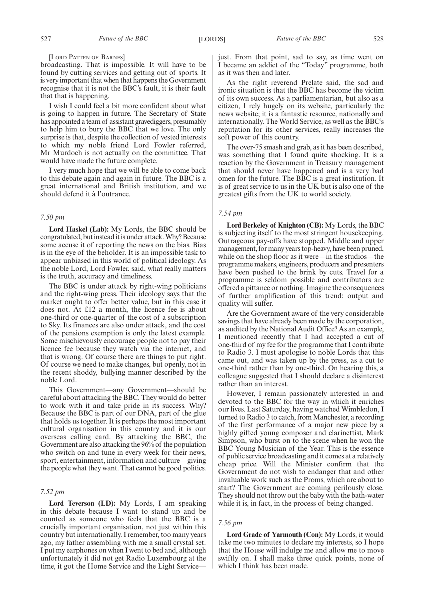#### [LORD PATTEN OF BARNES]

broadcasting. That is impossible. It will have to be found by cutting services and getting out of sports. It is very important that when that happens the Government recognise that it is not the BBC's fault, it is their fault that that is happening.

I wish I could feel a bit more confident about what is going to happen in future. The Secretary of State has appointed a team of assistant gravediggers, presumably to help him to bury the BBC that we love. The only surprise is that, despite the collection of vested interests to which my noble friend Lord Fowler referred, Mr Murdoch is not actually on the committee. That would have made the future complete.

I very much hope that we will be able to come back to this debate again and again in future. The BBC is a great international and British institution, and we should defend it à l'outrance.

#### *7.50 pm*

**Lord Haskel (Lab):** My Lords, the BBC should be congratulated, but instead it is under attack.Why? Because some accuse it of reporting the news on the bias. Bias is in the eye of the beholder. It is an impossible task to appear unbiased in this world of political ideology. As the noble Lord, Lord Fowler, said, what really matters is the truth, accuracy and timeliness.

The BBC is under attack by right-wing politicians and the right-wing press. Their ideology says that the market ought to offer better value, but in this case it does not. At £12 a month, the licence fee is about one-third or one-quarter of the cost of a subscription to Sky. Its finances are also under attack, and the cost of the pensions exemption is only the latest example. Some mischievously encourage people not to pay their licence fee because they watch via the internet, and that is wrong. Of course there are things to put right. Of course we need to make changes, but openly, not in the recent shoddy, bullying manner described by the noble Lord.

This Government—any Government—should be careful about attacking the BBC. They would do better to work with it and take pride in its success. Why? Because the BBC is part of our DNA, part of the glue that holds us together. It is perhaps the most important cultural organisation in this country and it is our overseas calling card. By attacking the BBC, the Government are also attacking the 96% of the population who switch on and tune in every week for their news, sport, entertainment, information and culture—giving the people what they want. That cannot be good politics.

#### *7.52 pm*

**Lord Teverson (LD):** My Lords, I am speaking in this debate because I want to stand up and be counted as someone who feels that the BBC is a crucially important organisation, not just within this country but internationally. I remember, too many years ago, my father assembling with me a small crystal set. I put my earphones on when I went to bed and, although unfortunately it did not get Radio Luxembourg at the time, it got the Home Service and the Light Servicejust. From that point, sad to say, as time went on I became an addict of the "Today" programme, both as it was then and later.

As the right reverend Prelate said, the sad and ironic situation is that the BBC has become the victim of its own success. As a parliamentarian, but also as a citizen, I rely hugely on its website, particularly the news website; it is a fantastic resource, nationally and internationally. The World Service, as well as the BBC's reputation for its other services, really increases the soft power of this country.

The over-75 smash and grab, as it has been described, was something that I found quite shocking. It is a reaction by the Government in Treasury management that should never have happened and is a very bad omen for the future. The BBC is a great institution. It is of great service to us in the UK but is also one of the greatest gifts from the UK to world society.

#### *7.54 pm*

**Lord Berkeley of Knighton (CB):** My Lords, the BBC is subjecting itself to the most stringent housekeeping. Outrageous pay-offs have stopped. Middle and upper management, for many years top-heavy, have been pruned, while on the shop floor as it were—in the studios—the programme makers, engineers, producers and presenters have been pushed to the brink by cuts. Travel for a programme is seldom possible and contributors are offered a pittance or nothing. Imagine the consequences of further amplification of this trend: output and quality will suffer.

Are the Government aware of the very considerable savings that have already been made by the corporation, as audited by the National Audit Office? As an example, I mentioned recently that I had accepted a cut of one-third of my fee for the programme that I contribute to Radio 3. I must apologise to noble Lords that this came out, and was taken up by the press, as a cut to one-third rather than by one-third. On hearing this, a colleague suggested that I should declare a disinterest rather than an interest.

However, I remain passionately interested in and devoted to the BBC for the way in which it enriches our lives. Last Saturday, having watched Wimbledon, I turned to Radio 3 to catch, from Manchester, a recording of the first performance of a major new piece by a highly gifted young composer and clarinettist, Mark Simpson, who burst on to the scene when he won the BBC Young Musician of the Year. This is the essence of public service broadcasting and it comes at a relatively cheap price. Will the Minister confirm that the Government do not wish to endanger that and other invaluable work such as the Proms, which are about to start? The Government are coming perilously close. They should not throw out the baby with the bath-water while it is, in fact, in the process of being changed.

#### *7.56 pm*

**Lord Grade of Yarmouth (Con):** My Lords, it would take me two minutes to declare my interests, so I hope that the House will indulge me and allow me to move swiftly on. I shall make three quick points, none of which I think has been made.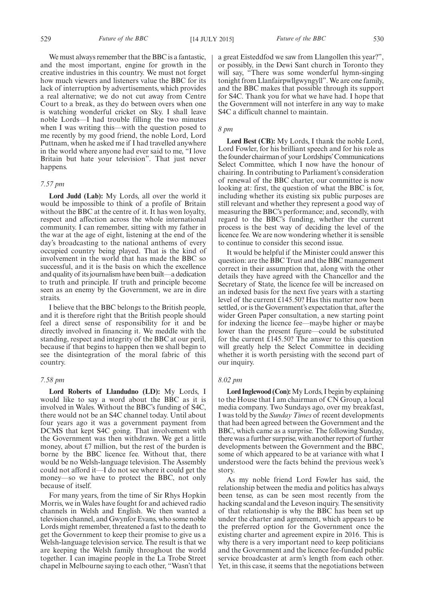We must always remember that the BBC is a fantastic, and the most important, engine for growth in the creative industries in this country. We must not forget how much viewers and listeners value the BBC for its lack of interruption by advertisements, which provides a real alternative; we do not cut away from Centre Court to a break, as they do between overs when one is watching wonderful cricket on Sky. I shall leave noble Lords—I had trouble filling the two minutes when I was writing this—with the question posed to me recently by my good friend, the noble Lord, Lord Puttnam, when he asked me if I had travelled anywhere in the world where anyone had ever said to me, "I love Britain but hate your television". That just never happens.

#### *7.57 pm*

**Lord Judd (Lab):** My Lords, all over the world it would be impossible to think of a profile of Britain without the BBC at the centre of it. It has won loyalty, respect and affection across the whole international community. I can remember, sitting with my father in the war at the age of eight, listening at the end of the day's broadcasting to the national anthems of every occupied country being played. That is the kind of involvement in the world that has made the BBC so successful, and it is the basis on which the excellence and quality of its journalism have been built—a dedication to truth and principle. If truth and principle become seen as an enemy by the Government, we are in dire straits.

I believe that the BBC belongs to the British people, and it is therefore right that the British people should feel a direct sense of responsibility for it and be directly involved in financing it. We meddle with the standing, respect and integrity of the BBC at our peril, because if that begins to happen then we shall begin to see the disintegration of the moral fabric of this country.

#### *7.58 pm*

**Lord Roberts of Llandudno (LD):** My Lords, I would like to say a word about the BBC as it is involved in Wales. Without the BBC's funding of S4C, there would not be an S4C channel today. Until about four years ago it was a government payment from DCMS that kept S4C going. That involvement with the Government was then withdrawn. We get a little money, about £7 million, but the rest of the burden is borne by the BBC licence fee. Without that, there would be no Welsh-language television. The Assembly could not afford it—I do not see where it could get the money—so we have to protect the BBC, not only because of itself.

For many years, from the time of Sir Rhys Hopkin Morris, we in Wales have fought for and achieved radio channels in Welsh and English. We then wanted a television channel, and Gwynfor Evans, who some noble Lords might remember, threatened a fast to the death to get the Government to keep their promise to give us a Welsh-language television service. The result is that we are keeping the Welsh family throughout the world together. I can imagine people in the La Trobe Street chapel in Melbourne saying to each other, "Wasn't that a great Eisteddfod we saw from Llangollen this year?", or possibly, in the Dewi Sant church in Toronto they will say, "There was some wonderful hymn-singing tonight from Llanfairpwllgwyngyll". We are one family, and the BBC makes that possible through its support for S4C. Thank you for what we have had. I hope that the Government will not interfere in any way to make S4C a difficult channel to maintain.

#### *8 pm*

**Lord Best (CB):** My Lords, I thank the noble Lord, Lord Fowler, for his brilliant speech and for his role as the founder chairman of your Lordships' Communications Select Committee, which I now have the honour of chairing. In contributing to Parliament's consideration of renewal of the BBC charter, our committee is now looking at: first, the question of what the BBC is for, including whether its existing six public purposes are still relevant and whether they represent a good way of measuring the BBC's performance; and, secondly, with regard to the BBC's funding, whether the current process is the best way of deciding the level of the licence fee. We are now wondering whether it is sensible to continue to consider this second issue.

It would be helpful if the Minister could answer this question: are the BBC Trust and the BBC management correct in their assumption that, along with the other details they have agreed with the Chancellor and the Secretary of State, the licence fee will be increased on an indexed basis for the next five years with a starting level of the current £145.50? Has this matter now been settled, or is the Government's expectation that, after the wider Green Paper consultation, a new starting point for indexing the licence fee—maybe higher or maybe lower than the present figure—could be substituted for the current £145.50? The answer to this question will greatly help the Select Committee in deciding whether it is worth persisting with the second part of our inquiry.

#### *8.02 pm*

**Lord Inglewood (Con):**My Lords, I begin by explaining to the House that I am chairman of CN Group, a local media company. Two Sundays ago, over my breakfast, I was told by the *Sunday Times* of recent developments that had been agreed between the Government and the BBC, which came as a surprise. The following Sunday, there was a further surprise, with another report of further developments between the Government and the BBC, some of which appeared to be at variance with what I understood were the facts behind the previous week's story.

As my noble friend Lord Fowler has said, the relationship between the media and politics has always been tense, as can be seen most recently from the hacking scandal and the Leveson inquiry. The sensitivity of that relationship is why the BBC has been set up under the charter and agreement, which appears to be the preferred option for the Government once the existing charter and agreement expire in 2016. This is why there is a very important need to keep politicians and the Government and the licence fee-funded public service broadcaster at arm's length from each other. Yet, in this case, it seems that the negotiations between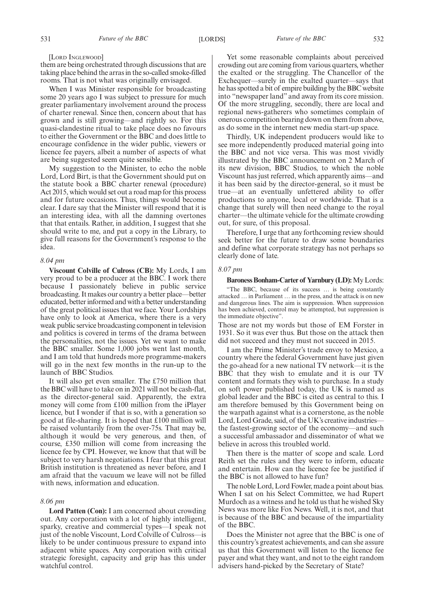#### [LORD INGLEWOOD]

them are being orchestrated through discussions that are taking place behind the arras in the so-called smoke-filled rooms. That is not what was originally envisaged.

When I was Minister responsible for broadcasting some 20 years ago I was subject to pressure for much greater parliamentary involvement around the process of charter renewal. Since then, concern about that has grown and is still growing—and rightly so. For this quasi-clandestine ritual to take place does no favours to either the Government or the BBC and does little to encourage confidence in the wider public, viewers or licence fee payers, albeit a number of aspects of what are being suggested seem quite sensible.

My suggestion to the Minister, to echo the noble Lord, Lord Birt, is that the Government should put on the statute book a BBC charter renewal (procedure) Act 2015, which would set out a road map for this process and for future occasions. Thus, things would become clear. I dare say that the Minister will respond that it is an interesting idea, with all the damning overtones that that entails. Rather, in addition, I suggest that she should write to me, and put a copy in the Library, to give full reasons for the Government's response to the idea.

#### *8.04 pm*

**Viscount Colville of Culross (CB):** My Lords, I am very proud to be a producer at the BBC. I work there because I passionately believe in public service broadcasting. It makes our country a better place—better educated, better informed and with a better understanding of the great political issues that we face. Your Lordships have only to look at America, where there is a very weak public service broadcasting component in television and politics is covered in terms of the drama between the personalities, not the issues. Yet we want to make the BBC smaller. Some 1,000 jobs went last month, and I am told that hundreds more programme-makers will go in the next few months in the run-up to the launch of BBC Studios.

It will also get even smaller. The £750 million that the BBC will have to take on in 2021 will not be cash-flat, as the director-general said. Apparently, the extra money will come from £100 million from the iPlayer licence, but I wonder if that is so, with a generation so good at file-sharing. It is hoped that £100 million will be raised voluntarily from the over-75s. That may be, although it would be very generous, and then, of course, £350 million will come from increasing the licence fee by CPI. However, we know that that will be subject to very harsh negotiations. I fear that this great British institution is threatened as never before, and I am afraid that the vacuum we leave will not be filled with news, information and education.

#### *8.06 pm*

**Lord Patten (Con):** I am concerned about crowding out. Any corporation with a lot of highly intelligent, sparky, creative and commercial types—I speak not just of the noble Viscount, Lord Colville of Culross—is likely to be under continuous pressure to expand into adjacent white spaces. Any corporation with critical strategic foresight, capacity and grip has this under watchful control.

Yet some reasonable complaints about perceived crowding out are coming from various quarters, whether the exalted or the struggling. The Chancellor of the Exchequer—surely in the exalted quarter—says that he has spotted a bit of empire building by the BBC website into "newspaper land" and away from its core mission. Of the more struggling, secondly, there are local and regional news-gatherers who sometimes complain of onerous competition bearing down on them from above, as do some in the internet new media start-up space.

Thirdly, UK independent producers would like to see more independently produced material going into the BBC and not vice versa. This was most vividly illustrated by the BBC announcement on 2 March of its new division, BBC Studios, to which the noble Viscount has just referred, which apparently aims—and it has been said by the director-general, so it must be true—at an eventually unfettered ability to offer productions to anyone, local or worldwide. That is a change that surely will then need change to the royal charter—the ultimate vehicle for the ultimate crowding out, for sure, of this proposal.

Therefore, I urge that any forthcoming review should seek better for the future to draw some boundaries and define what corporate strategy has not perhaps so clearly done of late.

#### *8.07 pm*

#### **Baroness Bonham-Carter of Yarnbury (LD):**My Lords:

"The BBC, because of its success … is being constantly attacked … in Parliament … in the press, and the attack is on new and dangerous lines. The aim is suppression. When suppression has been achieved, control may be attempted, but suppression is the immediate objective".

Those are not my words but those of EM Forster in 1931. So it was ever thus. But those on the attack then did not succeed and they must not succeed in 2015.

I am the Prime Minister's trade envoy to Mexico, a country where the federal Government have just given the go-ahead for a new national TV network—it is the BBC that they wish to emulate and it is our TV content and formats they wish to purchase. In a study on soft power published today, the UK is named as global leader and the BBC is cited as central to this. I am therefore bemused by this Government being on the warpath against what is a cornerstone, as the noble Lord, Lord Grade, said, of the UK's creative industries the fastest-growing sector of the economy—and such a successful ambassador and disseminator of what we believe in across this troubled world.

Then there is the matter of scope and scale. Lord Reith set the rules and they were to inform, educate and entertain. How can the licence fee be justified if the BBC is not allowed to have fun?

The noble Lord, Lord Fowler, made a point about bias. When I sat on his Select Committee, we had Rupert Murdoch as a witness and he told us that he wished Sky News was more like Fox News. Well, it is not, and that is because of the BBC and because of the impartiality of the BBC.

Does the Minister not agree that the BBC is one of this country's greatest achievements, and can she assure us that this Government will listen to the licence fee payer and what they want, and not to the eight random advisers hand-picked by the Secretary of State?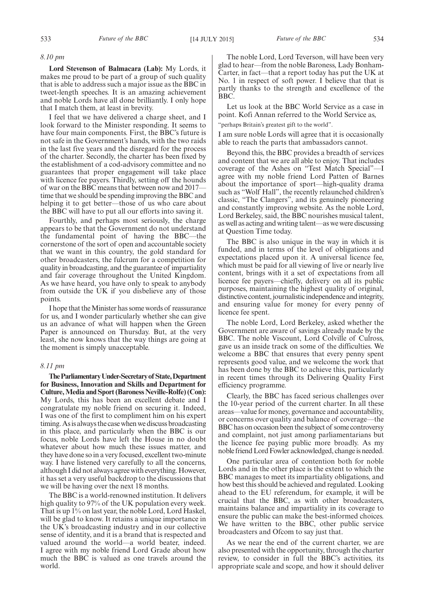#### *8.10 pm*

**Lord Stevenson of Balmacara (Lab):** My Lords, it makes me proud to be part of a group of such quality that is able to address such a major issue as the BBC in tweet-length speeches. It is an amazing achievement and noble Lords have all done brilliantly. I only hope that I match them, at least in brevity.

I feel that we have delivered a charge sheet, and I look forward to the Minister responding. It seems to have four main components. First, the BBC's future is not safe in the Government's hands, with the two raids in the last five years and the disregard for the process of the charter. Secondly, the charter has been fixed by the establishment of a cod-advisory committee and no guarantees that proper engagement will take place with licence fee payers. Thirdly, setting off the hounds of war on the BBC means that between now and 2017 time that we should be spending improving the BBC and helping it to get better—those of us who care about the BBC will have to put all our efforts into saving it.

Fourthly, and perhaps most seriously, the charge appears to be that the Government do not understand the fundamental point of having the BBC—the cornerstone of the sort of open and accountable society that we want in this country, the gold standard for other broadcasters, the fulcrum for a competition for quality in broadcasting, and the guarantee of impartiality and fair coverage throughout the United Kingdom. As we have heard, you have only to speak to anybody from outside the UK if you disbelieve any of those points.

I hope that the Minister has some words of reassurance for us, and I wonder particularly whether she can give us an advance of what will happen when the Green Paper is announced on Thursday. But, at the very least, she now knows that the way things are going at the moment is simply unacceptable.

#### *8.11 pm*

**TheParliamentaryUnder-Secretaryof State,Department for Business, Innovation and Skills and Department for** Culture, Media and Sport (Baroness Neville-Rolfe) (Con): My Lords, this has been an excellent debate and I congratulate my noble friend on securing it. Indeed, I was one of the first to compliment him on his expert timing. Asis always the case when we discuss broadcasting in this place, and particularly when the BBC is our focus, noble Lords have left the House in no doubt whatever about how much these issues matter, and they have done so in a very focused, excellent two-minute way. I have listened very carefully to all the concerns, although I did not always agree with everything.However, it has set a very useful backdrop to the discussions that we will be having over the next 18 months.

The BBC is a world-renowned institution. It delivers high quality to 97% of the UK population every week. That is up 1% on last year, the noble Lord, Lord Haskel, will be glad to know. It retains a unique importance in the UK's broadcasting industry and in our collective sense of identity, and it is a brand that is respected and valued around the world—a world beater, indeed. I agree with my noble friend Lord Grade about how much the BBC is valued as one travels around the world.

The noble Lord, Lord Teverson, will have been very glad to hear—from the noble Baroness, Lady Bonham-Carter, in fact—that a report today has put the UK at No. 1 in respect of soft power. I believe that that is partly thanks to the strength and excellence of the BBC.

Let us look at the BBC World Service as a case in point. Kofi Annan referred to the World Service as, "perhaps Britain's greatest gift to the world".

I am sure noble Lords will agree that it is occasionally able to reach the parts that ambassadors cannot.

Beyond this, the BBC provides a breadth of services and content that we are all able to enjoy. That includes coverage of the Ashes on "Test Match Special"—I agree with my noble friend Lord Patten of Barnes about the importance of sport—high-quality drama such as "Wolf Hall", the recently relaunched children's classic, "The Clangers", and its genuinely pioneering and constantly improving website. As the noble Lord, Lord Berkeley, said, the BBC nourishes musical talent, as well as acting and writing talent—as we were discussing at Question Time today.

The BBC is also unique in the way in which it is funded, and in terms of the level of obligations and expectations placed upon it. A universal licence fee, which must be paid for all viewing of live or nearly live content, brings with it a set of expectations from all licence fee payers—chiefly, delivery on all its public purposes, maintaining the highest quality of original, distinctive content, journalistic independence and integrity, and ensuring value for money for every penny of licence fee spent.

The noble Lord, Lord Berkeley, asked whether the Government are aware of savings already made by the BBC. The noble Viscount, Lord Colville of Culross, gave us an inside track on some of the difficulties. We welcome a BBC that ensures that every penny spent represents good value, and we welcome the work that has been done by the BBC to achieve this, particularly in recent times through its Delivering Quality First efficiency programme.

Clearly, the BBC has faced serious challenges over the 10-year period of the current charter. In all these areas—value for money, governance and accountability, or concerns over quality and balance of coverage—the BBC has on occasion been the subject of some controversy and complaint, not just among parliamentarians but the licence fee paying public more broadly. As my noble friend Lord Fowler acknowledged, change is needed.

One particular area of contention both for noble Lords and in the other place is the extent to which the BBC manages to meet its impartiality obligations, and how best this should be achieved and regulated. Looking ahead to the EU referendum, for example, it will be crucial that the BBC, as with other broadcasters, maintains balance and impartiality in its coverage to ensure the public can make the best-informed choices. We have written to the BBC, other public service broadcasters and Ofcom to say just that.

As we near the end of the current charter, we are also presented with the opportunity, through the charter review, to consider in full the BBC's activities, its appropriate scale and scope, and how it should deliver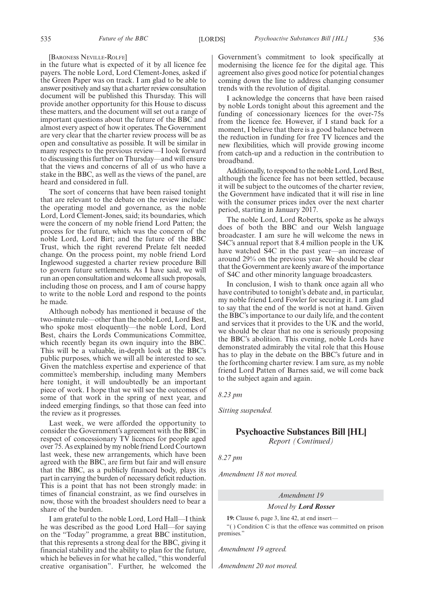#### [BARONESS NEVILLE-ROLFE]

in the future what is expected of it by all licence fee payers. The noble Lord, Lord Clement-Jones, asked if the Green Paper was on track. I am glad to be able to answer positively and say that a charter review consultation document will be published this Thursday. This will provide another opportunity for this House to discuss these matters, and the document will set out a range of important questions about the future of the BBC and almost every aspect of how it operates. The Government are very clear that the charter review process will be as open and consultative as possible. It will be similar in many respects to the previous review—I look forward to discussing this further on Thursday—and will ensure that the views and concerns of all of us who have a stake in the BBC, as well as the views of the panel, are heard and considered in full.

The sort of concerns that have been raised tonight that are relevant to the debate on the review include: the operating model and governance, as the noble Lord, Lord Clement-Jones, said; its boundaries, which were the concern of my noble friend Lord Patten; the process for the future, which was the concern of the noble Lord, Lord Birt; and the future of the BBC Trust, which the right reverend Prelate felt needed change. On the process point, my noble friend Lord Inglewood suggested a charter review procedure Bill to govern future settlements. As I have said, we will run an open consultation and welcome all such proposals, including those on process, and I am of course happy to write to the noble Lord and respond to the points he made.

Although nobody has mentioned it because of the two-minute rule—other than the noble Lord, Lord Best, who spoke most eloquently—the noble Lord, Lord Best, chairs the Lords Communications Committee, which recently began its own inquiry into the BBC. This will be a valuable, in-depth look at the BBC's public purposes, which we will all be interested to see. Given the matchless expertise and experience of that committee's membership, including many Members here tonight, it will undoubtedly be an important piece of work. I hope that we will see the outcomes of some of that work in the spring of next year, and indeed emerging findings, so that those can feed into the review as it progresses.

Last week, we were afforded the opportunity to consider the Government's agreement with the BBC in respect of concessionary TV licences for people aged over 75. As explained by my noble friend Lord Courtown last week, these new arrangements, which have been agreed with the BBC, are firm but fair and will ensure that the BBC, as a publicly financed body, plays its part in carrying the burden of necessary deficit reduction. This is a point that has not been strongly made: in times of financial constraint, as we find ourselves in now, those with the broadest shoulders need to bear a share of the burden.

I am grateful to the noble Lord, Lord Hall—I think he was described as the good Lord Hall—for saying on the "Today" programme, a great BBC institution, that this represents a strong deal for the BBC, giving it financial stability and the ability to plan for the future, which he believes in for what he called, "this wonderful creative organisation". Further, he welcomed the Government's commitment to look specifically at modernising the licence fee for the digital age. This agreement also gives good notice for potential changes coming down the line to address changing consumer trends with the revolution of digital.

I acknowledge the concerns that have been raised by noble Lords tonight about this agreement and the funding of concessionary licences for the over-75s from the licence fee. However, if I stand back for a moment, I believe that there is a good balance between the reduction in funding for free TV licences and the new flexibilities, which will provide growing income from catch-up and a reduction in the contribution to broadband.

Additionally, to respond to the noble Lord, Lord Best, although the licence fee has not been settled, because it will be subject to the outcomes of the charter review, the Government have indicated that it will rise in line with the consumer prices index over the next charter period, starting in January 2017.

The noble Lord, Lord Roberts, spoke as he always does of both the BBC and our Welsh language broadcaster. I am sure he will welcome the news in S4C's annual report that 8.4 million people in the UK have watched S4C in the past year—an increase of around 29% on the previous year. We should be clear that the Government are keenly aware of the importance of S4C and other minority language broadcasters.

In conclusion, I wish to thank once again all who have contributed to tonight's debate and, in particular, my noble friend Lord Fowler for securing it. I am glad to say that the end of the world is not at hand. Given the BBC's importance to our daily life, and the content and services that it provides to the UK and the world, we should be clear that no one is seriously proposing the BBC's abolition. This evening, noble Lords have demonstrated admirably the vital role that this House has to play in the debate on the BBC's future and in the forthcoming charter review. I am sure, as my noble friend Lord Patten of Barnes said, we will come back to the subject again and again.

*8.23 pm*

*Sitting suspended.*

#### **Psychoactive Substances Bill [HL]** *Report (Continued)*

*8.27 pm*

*Amendment 18 not moved.*

*Amendment 19*

*Moved by Lord Rosser*

**19:** Clause 6, page 3, line 42, at end insert— "( ) Condition C is that the offence was committed on prison premises."

*Amendment 19 agreed.*

*Amendment 20 not moved.*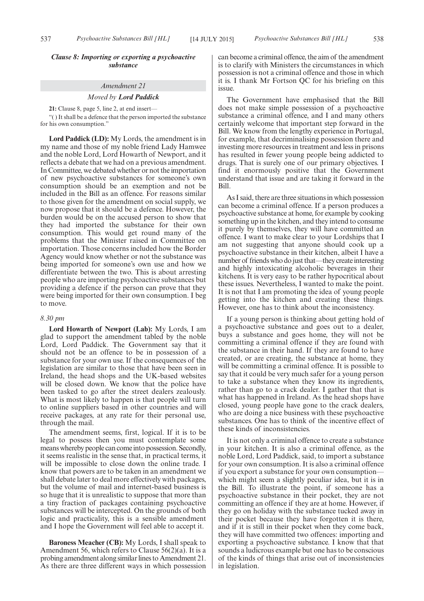#### *Clause 8: Importing or exporting a psychoactive substance*

#### *Amendment 21*

#### *Moved by Lord Paddick*

**21:** Clause 8, page 5, line 2, at end insert—

"( ) It shall be a defence that the person imported the substance for his own consumption."

**Lord Paddick (LD):** My Lords, the amendment is in my name and those of my noble friend Lady Hamwee and the noble Lord, Lord Howarth of Newport, and it reflects a debate that we had on a previous amendment. In Committee, we debated whether or not the importation of new psychoactive substances for someone's own consumption should be an exemption and not be included in the Bill as an offence. For reasons similar to those given for the amendment on social supply, we now propose that it should be a defence. However, the burden would be on the accused person to show that they had imported the substance for their own consumption. This would get round many of the problems that the Minister raised in Committee on importation. Those concerns included how the Border Agency would know whether or not the substance was being imported for someone's own use and how we differentiate between the two. This is about arresting people who are importing psychoactive substances but providing a defence if the person can prove that they were being imported for their own consumption. I beg to move.

#### *8.30 pm*

**Lord Howarth of Newport (Lab):** My Lords, I am glad to support the amendment tabled by the noble Lord, Lord Paddick. The Government say that it should not be an offence to be in possession of a substance for your own use. If the consequences of the legislation are similar to those that have been seen in Ireland, the head shops and the UK-based websites will be closed down. We know that the police have been tasked to go after the street dealers zealously. What is most likely to happen is that people will turn to online suppliers based in other countries and will receive packages, at any rate for their personal use, through the mail.

The amendment seems, first, logical. If it is to be legal to possess then you must contemplate some means whereby people can comeinto possession. Secondly, it seems realistic in the sense that, in practical terms, it will be impossible to close down the online trade. I know that powers are to be taken in an amendment we shall debate later to deal more effectively with packages, but the volume of mail and internet-based business is so huge that it is unrealistic to suppose that more than a tiny fraction of packages containing psychoactive substances will be intercepted. On the grounds of both logic and practicality, this is a sensible amendment and I hope the Government will feel able to accept it.

**Baroness Meacher (CB):** My Lords, I shall speak to Amendment 56, which refers to Clause 56(2)(a). It is a probing amendment along similar lines to Amendment 21. As there are three different ways in which possession can become a criminal offence, the aim of the amendment is to clarify with Ministers the circumstances in which possession is not a criminal offence and those in which it is. I thank Mr Fortson QC for his briefing on this issue.

The Government have emphasised that the Bill does not make simple possession of a psychoactive substance a criminal offence, and I and many others certainly welcome that important step forward in the Bill. We know from the lengthy experience in Portugal, for example, that decriminalising possession there and investing more resources in treatment and less in prisons has resulted in fewer young people being addicted to drugs. That is surely one of our primary objectives. I find it enormously positive that the Government understand that issue and are taking it forward in the Bill.

As I said, there are three situations in which possession can become a criminal offence. If a person produces a psychoactive substance at home, for example by cooking something up in the kitchen, and they intend to consume it purely by themselves, they will have committed an offence. I want to make clear to your Lordships that I am not suggesting that anyone should cook up a psychoactive substance in their kitchen, albeit I have a number of friends who do just that—they create interesting and highly intoxicating alcoholic beverages in their kitchens. It is very easy to be rather hypocritical about these issues. Nevertheless, I wanted to make the point. It is not that I am promoting the idea of young people getting into the kitchen and creating these things. However, one has to think about the inconsistency.

If a young person is thinking about getting hold of a psychoactive substance and goes out to a dealer, buys a substance and goes home, they will not be committing a criminal offence if they are found with the substance in their hand. If they are found to have created, or are creating, the substance at home, they will be committing a criminal offence. It is possible to say that it could be very much safer for a young person to take a substance when they know its ingredients, rather than go to a crack dealer. I gather that that is what has happened in Ireland. As the head shops have closed, young people have gone to the crack dealers, who are doing a nice business with these psychoactive substances. One has to think of the incentive effect of these kinds of inconsistencies.

It is not only a criminal offence to create a substance in your kitchen. It is also a criminal offence, as the noble Lord, Lord Paddick, said, to import a substance for your own consumption. It is also a criminal offence if you export a substance for your own consumption which might seem a slightly peculiar idea, but it is in the Bill. To illustrate the point, if someone has a psychoactive substance in their pocket, they are not committing an offence if they are at home. However, if they go on holiday with the substance tucked away in their pocket because they have forgotten it is there, and if it is still in their pocket when they come back, they will have committed two offences: importing and exporting a psychoactive substance. I know that that sounds a ludicrous example but one has to be conscious of the kinds of things that arise out of inconsistencies in legislation.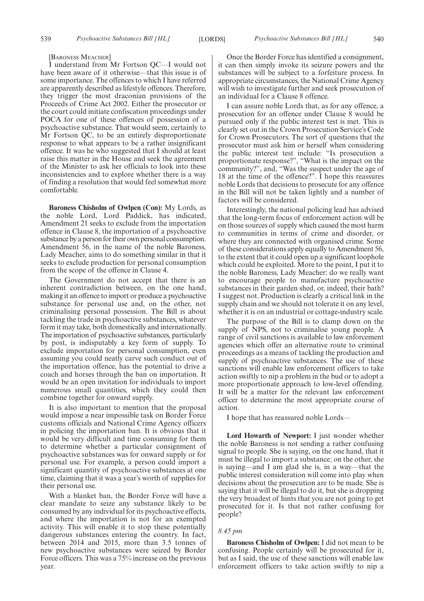[BARONESS MEACHER]

I understand from Mr Fortson QC—I would not have been aware of it otherwise—that this issue is of some importance. The offences to which I have referred are apparently described as lifestyle offences. Therefore, they trigger the most draconian provisions of the Proceeds of Crime Act 2002. Either the prosecutor or the court could initiate confiscation proceedings under POCA for one of these offences of possession of a psychoactive substance. That would seem, certainly to Mr Fortson QC, to be an entirely disproportionate response to what appears to be a rather insignificant offence. It was he who suggested that I should at least raise this matter in the House and seek the agreement of the Minister to ask her officials to look into these inconsistencies and to explore whether there is a way of finding a resolution that would feel somewhat more comfortable.

**Baroness Chisholm of Owlpen (Con):** My Lords, as the noble Lord, Lord Paddick, has indicated, Amendment 21 seeks to exclude from the importation offence in Clause 8, the importation of a psychoactive substance by a person for their own personal consumption. Amendment 56, in the name of the noble Baroness, Lady Meacher, aims to do something similar in that it seeks to exclude production for personal consumption from the scope of the offence in Clause 4.

The Government do not accept that there is an inherent contradiction between, on the one hand, making it an offence to import or produce a psychoactive substance for personal use and, on the other, not criminalising personal possession. The Bill is about tackling the trade in psychoactive substances, whatever form it may take, both domestically and internationally. The importation of psychoactive substances, particularly by post, is indisputably a key form of supply. To exclude importation for personal consumption, even assuming you could neatly carve such conduct out of the importation offence, has the potential to drive a coach and horses through the ban on importation. It would be an open invitation for individuals to import numerous small quantities, which they could then combine together for onward supply.

It is also important to mention that the proposal would impose a near impossible task on Border Force customs officials and National Crime Agency officers in policing the importation ban. It is obvious that it would be very difficult and time consuming for them to determine whether a particular consignment of psychoactive substances was for onward supply or for personal use. For example, a person could import a significant quantity of psychoactive substances at one time, claiming that it was a year's worth of supplies for their personal use.

With a blanket ban, the Border Force will have a clear mandate to seize any substance likely to be consumed by any individual for its psychoactive effects, and where the importation is not for an exempted activity. This will enable it to stop these potentially dangerous substances entering the country. In fact, between 2014 and 2015, more than 3.5 tonnes of new psychoactive substances were seized by Border Force officers. This was a 75% increase on the previous year.

Once the Border Force has identified a consignment, it can then simply invoke its seizure powers and the substances will be subject to a forfeiture process. In appropriate circumstances, the National Crime Agency will wish to investigate further and seek prosecution of an individual for a Clause 8 offence.

I can assure noble Lords that, as for any offence, a prosecution for an offence under Clause 8 would be pursued only if the public interest test is met. This is clearly set out in the Crown Prosecution Service's Code for Crown Prosecutors. The sort of questions that the prosecutor must ask him or herself when considering the public interest test include: "Is prosecution a proportionate response?", "What is the impact on the community?", and, "Was the suspect under the age of 18 at the time of the offence?". I hope this reassures noble Lords that decisions to prosecute for any offence in the Bill will not be taken lightly and a number of factors will be considered.

Interestingly, the national policing lead has advised that the long-term focus of enforcement action will be on those sources of supply which caused the most harm to communities in terms of crime and disorder, or where they are connected with organised crime. Some of these considerations apply equally to Amendment 56, to the extent that it could open up a significant loophole which could be exploited. More to the point, I put it to the noble Baroness, Lady Meacher: do we really want to encourage people to manufacture psychoactive substances in their garden shed, or, indeed, their bath? I suggest not. Production is clearly a critical link in the supply chain and we should not tolerate it on any level, whether it is on an industrial or cottage-industry scale.

The purpose of the Bill is to clamp down on the supply of NPS, not to criminalise young people. A range of civil sanctions is available to law enforcement agencies which offer an alternative route to criminal proceedings as a means of tackling the production and supply of psychoactive substances. The use of these sanctions will enable law enforcement officers to take action swiftly to nip a problem in the bud or to adopt a more proportionate approach to low-level offending. It will be a matter for the relevant law enforcement officer to determine the most appropriate course of action.

I hope that has reassured noble Lords—

**Lord Howarth of Newport:** I just wonder whether the noble Baroness is not sending a rather confusing signal to people. She is saying, on the one hand, that it must be illegal to import a substance; on the other, she is saying—and I am glad she is, in a way—that the public interest consideration will come into play when decisions about the prosecution are to be made. She is saying that it will be illegal to do it, but she is dropping the very broadest of hints that you are not going to get prosecuted for it. Is that not rather confusing for people?

#### *8.45 pm*

**Baroness Chisholm of Owlpen:** I did not mean to be confusing. People certainly will be prosecuted for it, but as I said, the use of these sanctions will enable law enforcement officers to take action swiftly to nip a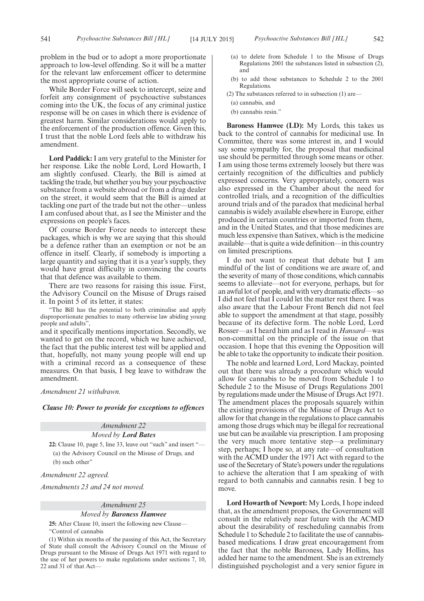While Border Force will seek to intercept, seize and forfeit any consignment of psychoactive substances coming into the UK, the focus of any criminal justice response will be on cases in which there is evidence of greatest harm. Similar considerations would apply to the enforcement of the production offence. Given this, I trust that the noble Lord feels able to withdraw his amendment.

**Lord Paddick:** I am very grateful to the Minister for her response. Like the noble Lord, Lord Howarth, I am slightly confused. Clearly, the Bill is aimed at tackling the trade, but whether you buy your psychoactive substance from a website abroad or from a drug dealer on the street, it would seem that the Bill is aimed at tackling one part of the trade but not the other—unless I am confused about that, as I see the Minister and the expressions on people's faces.

Of course Border Force needs to intercept these packages, which is why we are saying that this should be a defence rather than an exemption or not be an offence in itself. Clearly, if somebody is importing a large quantity and saying that it is a year's supply, they would have great difficulty in convincing the courts that that defence was available to them.

There are two reasons for raising this issue. First, the Advisory Council on the Misuse of Drugs raised it. In point 5 of its letter, it states:

"The Bill has the potential to both criminalise and apply disproportionate penalties to many otherwise law abiding young people and adults",

and it specifically mentions importation. Secondly, we wanted to get on the record, which we have achieved, the fact that the public interest test will be applied and that, hopefully, not many young people will end up with a criminal record as a consequence of these measures. On that basis, I beg leave to withdraw the amendment.

#### *Amendment 21 withdrawn.*

*Clause 10: Power to provide for exceptions to offences*

### *Amendment 22 Moved by Lord Bates* **22:** Clause 10, page 5, line 33, leave out "such" and insert "— (a) the Advisory Council on the Misuse of Drugs, and (b) such other"

*Amendment 22 agreed.*

*Amendments 23 and 24 not moved.*

#### *Amendment 25 Moved by Baroness Hamwee*

**25:** After Clause 10, insert the following new Clause— "Control of cannabis

(1) Within six months of the passing of this Act, the Secretary of State shall consult the Advisory Council on the Misuse of Drugs pursuant to the Misuse of Drugs Act 1971 with regard to the use of her powers to make regulations under sections 7, 10, 22 and 31 of that Act—

- (a) to delete from Schedule 1 to the Misuse of Drugs Regulations 2001 the substances listed in subsection (2), and
- (b) to add those substances to Schedule 2 to the 2001 Regulations.
- (2) The substances referred to in subsection (1) are—
- (a) cannabis, and
- (b) cannabis resin."

**Baroness Hamwee (LD):** My Lords, this takes us back to the control of cannabis for medicinal use. In Committee, there was some interest in, and I would say some sympathy for, the proposal that medicinal use should be permitted through some means or other. I am using those terms extremely loosely but there was certainly recognition of the difficulties and publicly expressed concerns. Very appropriately, concern was also expressed in the Chamber about the need for controlled trials, and a recognition of the difficulties around trials and of the paradox that medicinal herbal cannabis is widely available elsewhere in Europe, either produced in certain countries or imported from them, and in the United States, and that those medicines are much less expensive than Sativex, which is the medicine available—that is quite a wide definition—in this country on limited prescriptions.

I do not want to repeat that debate but I am mindful of the list of conditions we are aware of, and the severity of many of those conditions, which cannabis seems to alleviate—not for everyone, perhaps, but for an awful lot of people, and with very dramatic effects—so I did not feel that I could let the matter rest there. I was also aware that the Labour Front Bench did not feel able to support the amendment at that stage, possibly because of its defective form. The noble Lord, Lord Rosser—as I heard him and as I read in *Hansard*—was non-committal on the principle of the issue on that occasion. I hope that this evening the Opposition will be able to take the opportunity to indicate their position.

The noble and learned Lord, Lord Mackay, pointed out that there was already a procedure which would allow for cannabis to be moved from Schedule 1 to Schedule 2 to the Misuse of Drugs Regulations 2001 by regulations made under the Misuse of Drugs Act 1971. The amendment places the proposals squarely within the existing provisions of the Misuse of Drugs Act to allow for that change in the regulations to place cannabis among those drugs which may be illegal for recreational use but can be available via prescription. I am proposing the very much more tentative step—a preliminary step, perhaps; I hope so, at any rate—of consultation with the ACMD under the 1971 Act with regard to the use of the Secretary of State's powers under the regulations to achieve the alteration that I am speaking of with regard to both cannabis and cannabis resin. I beg to move.

**Lord Howarth of Newport:** My Lords, I hope indeed that, as the amendment proposes, the Government will consult in the relatively near future with the ACMD about the desirability of rescheduling cannabis from Schedule 1 to Schedule 2 to facilitate the use of cannabisbased medications. I draw great encouragement from the fact that the noble Baroness, Lady Hollins, has added her name to the amendment. She is an extremely distinguished psychologist and a very senior figure in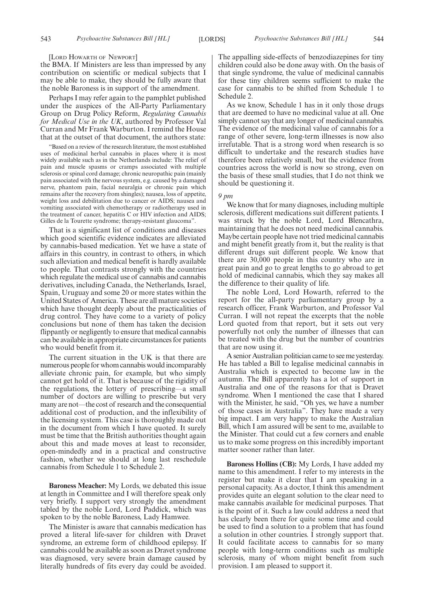[LORD HOWARTH OF NEWPORT]

the BMA. If Ministers are less than impressed by any contribution on scientific or medical subjects that I may be able to make, they should be fully aware that the noble Baroness is in support of the amendment.

Perhaps I may refer again to the pamphlet published under the auspices of the All-Party Parliamentary Group on Drug Policy Reform, *Regulating Cannabis for Medical Use in the UK*, authored by Professor Val Curran and Mr Frank Warburton. I remind the House that at the outset of that document, the authors state:

"Based on a review of the research literature, the most established uses of medicinal herbal cannabis in places where it is most widely available such as in the Netherlands include: The relief of pain and muscle spasms or cramps associated with multiple sclerosis or spinal cord damage; chronic neuropathic pain (mainly pain associated with the nervous system, e.g. caused by a damaged nerve, phantom pain, facial neuralgia or chronic pain which remains after the recovery from shingles); nausea, loss of appetite, weight loss and debilitation due to cancer or AIDS; nausea and vomiting associated with chemotherapy or radiotherapy used in the treatment of cancer, hepatitis C or HIV infection and AIDS; Gilles de la Tourette syndrome; therapy-resistant glaucoma".

That is a significant list of conditions and diseases which good scientific evidence indicates are alleviated by cannabis-based medication. Yet we have a state of affairs in this country, in contrast to others, in which such alleviation and medical benefit is hardly available to people. That contrasts strongly with the countries which regulate the medical use of cannabis and cannabis derivatives, including Canada, the Netherlands, Israel, Spain, Uruguay and some 20 or more states within the United States of America. These are all mature societies which have thought deeply about the practicalities of drug control. They have come to a variety of policy conclusions but none of them has taken the decision flippantly or negligently to ensure that medical cannabis can be available in appropriate circumstances for patients who would benefit from it.

The current situation in the UK is that there are numerous people for whom cannabis would incomparably alleviate chronic pain, for example, but who simply cannot get hold of it. That is because of the rigidity of the regulations, the lottery of prescribing—a small number of doctors are willing to prescribe but very many are not—the cost of research and the consequential additional cost of production, and the inflexibility of the licensing system. This case is thoroughly made out in the document from which I have quoted. It surely must be time that the British authorities thought again about this and made moves at least to reconsider, open-mindedly and in a practical and constructive fashion, whether we should at long last reschedule cannabis from Schedule 1 to Schedule 2.

**Baroness Meacher:** My Lords, we debated this issue at length in Committee and I will therefore speak only very briefly. I support very strongly the amendment tabled by the noble Lord, Lord Paddick, which was spoken to by the noble Baroness, Lady Hamwee.

The Minister is aware that cannabis medication has proved a literal life-saver for children with Dravet syndrome, an extreme form of childhood epilepsy. If cannabis could be available as soon as Dravet syndrome was diagnosed, very severe brain damage caused by literally hundreds of fits every day could be avoided. The appalling side-effects of benzodiazepines for tiny children could also be done away with. On the basis of that single syndrome, the value of medicinal cannabis for these tiny children seems sufficient to make the case for cannabis to be shifted from Schedule 1 to Schedule 2.

As we know, Schedule 1 has in it only those drugs that are deemed to have no medicinal value at all. One simply cannot say that any longer of medicinal cannabis. The evidence of the medicinal value of cannabis for a range of other severe, long-term illnesses is now also irrefutable. That is a strong word when research is so difficult to undertake and the research studies have therefore been relatively small, but the evidence from countries across the world is now so strong, even on the basis of these small studies, that I do not think we should be questioning it.

#### *9 pm*

We know that for many diagnoses, including multiple sclerosis, different medications suit different patients. I was struck by the noble Lord, Lord Blencathra, maintaining that he does not need medicinal cannabis. Maybe certain people have not tried medicinal cannabis and might benefit greatly from it, but the reality is that different drugs suit different people. We know that there are 30,000 people in this country who are in great pain and go to great lengths to go abroad to get hold of medicinal cannabis, which they say makes all the difference to their quality of life.

The noble Lord, Lord Howarth, referred to the report for the all-party parliamentary group by a research officer, Frank Warburton, and Professor Val Curran. I will not repeat the excerpts that the noble Lord quoted from that report, but it sets out very powerfully not only the number of illnesses that can be treated with the drug but the number of countries that are now using it.

A senior Australian politician came to see me yesterday. He has tabled a Bill to legalise medicinal cannabis in Australia which is expected to become law in the autumn. The Bill apparently has a lot of support in Australia and one of the reasons for that is Dravet syndrome. When I mentioned the case that I shared with the Minister, he said, "Oh yes, we have a number of those cases in Australia". They have made a very big impact. I am very happy to make the Australian Bill, which I am assured will be sent to me, available to the Minister. That could cut a few corners and enable us to make some progress on this incredibly important matter sooner rather than later.

**Baroness Hollins (CB):** My Lords, I have added my name to this amendment. I refer to my interests in the register but make it clear that I am speaking in a personal capacity. As a doctor, I think this amendment provides quite an elegant solution to the clear need to make cannabis available for medicinal purposes. That is the point of it. Such a law could address a need that has clearly been there for quite some time and could be used to find a solution to a problem that has found a solution in other countries. I strongly support that. It could facilitate access to cannabis for so many people with long-term conditions such as multiple sclerosis, many of whom might benefit from such provision. I am pleased to support it.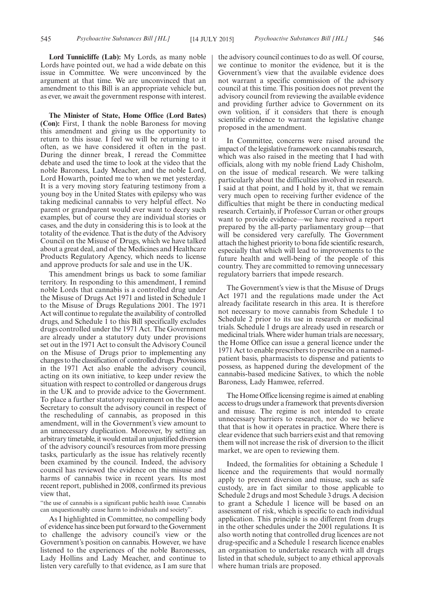**Lord Tunnicliffe (Lab):** My Lords, as many noble Lords have pointed out, we had a wide debate on this issue in Committee. We were unconvinced by the argument at that time. We are unconvinced that an amendment to this Bill is an appropriate vehicle but, as ever, we await the government response with interest.

**The Minister of State, Home Office (Lord Bates) (Con):** First, I thank the noble Baroness for moving this amendment and giving us the opportunity to return to this issue. I feel we will be returning to it often, as we have considered it often in the past. During the dinner break, I reread the Committee debate and used the time to look at the video that the noble Baroness, Lady Meacher, and the noble Lord, Lord Howarth, pointed me to when we met yesterday. It is a very moving story featuring testimony from a young boy in the United States with epilepsy who was taking medicinal cannabis to very helpful effect. No parent or grandparent would ever want to decry such examples, but of course they are individual stories or cases, and the duty in considering this is to look at the totality of the evidence. That is the duty of the Advisory Council on the Misuse of Drugs, which we have talked about a great deal, and of the Medicines and Healthcare Products Regulatory Agency, which needs to license and approve products for sale and use in the UK.

This amendment brings us back to some familiar territory. In responding to this amendment, I remind noble Lords that cannabis is a controlled drug under the Misuse of Drugs Act 1971 and listed in Schedule 1 to the Misuse of Drugs Regulations 2001. The 1971 Act will continue to regulate the availability of controlled drugs, and Schedule 1 to this Bill specifically excludes drugs controlled under the 1971 Act. The Government are already under a statutory duty under provisions set out in the 1971 Act to consult the Advisory Council on the Misuse of Drugs prior to implementing any changes to the classification of controlled drugs. Provisions in the 1971 Act also enable the advisory council, acting on its own initiative, to keep under review the situation with respect to controlled or dangerous drugs in the UK and to provide advice to the Government. To place a further statutory requirement on the Home Secretary to consult the advisory council in respect of the rescheduling of cannabis, as proposed in this amendment, will in the Government's view amount to an unnecessary duplication. Moreover, by setting an arbitrary timetable, it would entail an unjustified diversion of the advisory council's resources from more pressing tasks, particularly as the issue has relatively recently been examined by the council. Indeed, the advisory council has reviewed the evidence on the misuse and harms of cannabis twice in recent years. Its most recent report, published in 2008, confirmed its previous view that,

"the use of cannabis is a significant public health issue. Cannabis can unquestionably cause harm to individuals and society".

As I highlighted in Committee, no compelling body of evidence has since been put forward to the Government to challenge the advisory council's view or the Government's position on cannabis. However, we have listened to the experiences of the noble Baronesses, Lady Hollins and Lady Meacher, and continue to listen very carefully to that evidence, as I am sure that

the advisory council continues to do as well. Of course, we continue to monitor the evidence, but it is the Government's view that the available evidence does not warrant a specific commission of the advisory council at this time. This position does not prevent the advisory council from reviewing the available evidence and providing further advice to Government on its own volition, if it considers that there is enough scientific evidence to warrant the legislative change proposed in the amendment.

In Committee, concerns were raised around the impact of the legislative framework on cannabis research, which was also raised in the meeting that I had with officials, along with my noble friend Lady Chisholm, on the issue of medical research. We were talking particularly about the difficulties involved in research. I said at that point, and I hold by it, that we remain very much open to receiving further evidence of the difficulties that might be there in conducting medical research. Certainly, if Professor Curran or other groups want to provide evidence—we have received a report prepared by the all-party parliamentary group—that will be considered very carefully. The Government attach the highest priority to bona fide scientific research, especially that which will lead to improvements to the future health and well-being of the people of this country. They are committed to removing unnecessary regulatory barriers that impede research.

The Government's view is that the Misuse of Drugs Act 1971 and the regulations made under the Act already facilitate research in this area. It is therefore not necessary to move cannabis from Schedule 1 to Schedule 2 prior to its use in research or medicinal trials. Schedule 1 drugs are already used in research or medicinal trials. Where wider human trials are necessary, the Home Office can issue a general licence under the 1971 Act to enable prescribers to prescribe on a namedpatient basis, pharmacists to dispense and patients to possess, as happened during the development of the cannabis-based medicine Sativex, to which the noble Baroness, Lady Hamwee, referred.

The Home Office licensing regime is aimed at enabling access to drugs under a framework that prevents diversion and misuse. The regime is not intended to create unnecessary barriers to research, nor do we believe that that is how it operates in practice. Where there is clear evidence that such barriers exist and that removing them will not increase the risk of diversion to the illicit market, we are open to reviewing them.

Indeed, the formalities for obtaining a Schedule 1 licence and the requirements that would normally apply to prevent diversion and misuse, such as safe custody, are in fact similar to those applicable to Schedule 2 drugs and most Schedule 3 drugs. A decision to grant a Schedule 1 licence will be based on an assessment of risk, which is specific to each individual application. This principle is no different from drugs in the other schedules under the 2001 regulations. It is also worth noting that controlled drug licences are not drug-specific and a Schedule 1 research licence enables an organisation to undertake research with all drugs listed in that schedule, subject to any ethical approvals where human trials are proposed.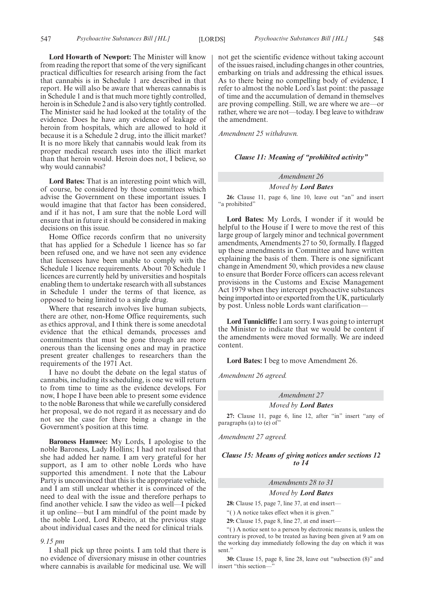**Lord Howarth of Newport:** The Minister will know from reading the report that some of the very significant practical difficulties for research arising from the fact that cannabis is in Schedule 1 are described in that report. He will also be aware that whereas cannabis is in Schedule 1 and is that much more tightly controlled, heroin is in Schedule 2 and is also very tightly controlled. The Minister said he had looked at the totality of the evidence. Does he have any evidence of leakage of heroin from hospitals, which are allowed to hold it because it is a Schedule 2 drug, into the illicit market? It is no more likely that cannabis would leak from its proper medical research uses into the illicit market than that heroin would. Heroin does not, I believe, so why would cannabis?

**Lord Bates:** That is an interesting point which will, of course, be considered by those committees which advise the Government on these important issues. I would imagine that that factor has been considered, and if it has not, I am sure that the noble Lord will ensure that in future it should be considered in making decisions on this issue.

Home Office records confirm that no university that has applied for a Schedule 1 licence has so far been refused one, and we have not seen any evidence that licensees have been unable to comply with the Schedule 1 licence requirements. About 70 Schedule 1 licences are currently held by universities and hospitals enabling them to undertake research with all substances in Schedule 1 under the terms of that licence, as opposed to being limited to a single drug.

Where that research involves live human subjects, there are other, non-Home Office requirements, such as ethics approval, and I think there is some anecdotal evidence that the ethical demands, processes and commitments that must be gone through are more onerous than the licensing ones and may in practice present greater challenges to researchers than the requirements of the 1971 Act.

I have no doubt the debate on the legal status of cannabis, including its scheduling, is one we will return to from time to time as the evidence develops. For now, I hope I have been able to present some evidence to the noble Baroness that while we carefully considered her proposal, we do not regard it as necessary and do not see the case for there being a change in the Government's position at this time.

**Baroness Hamwee:** My Lords, I apologise to the noble Baroness, Lady Hollins; I had not realised that she had added her name. I am very grateful for her support, as I am to other noble Lords who have supported this amendment. I note that the Labour Party is unconvinced that this is the appropriate vehicle, and I am still unclear whether it is convinced of the need to deal with the issue and therefore perhaps to find another vehicle. I saw the video as well—I picked it up online—but I am mindful of the point made by the noble Lord, Lord Ribeiro, at the previous stage about individual cases and the need for clinical trials.

#### *9.15 pm*

I shall pick up three points. I am told that there is no evidence of diversionary misuse in other countries where cannabis is available for medicinal use. We will not get the scientific evidence without taking account of the issues raised, including changes in other countries, embarking on trials and addressing the ethical issues. As to there being no compelling body of evidence, I refer to almost the noble Lord's last point: the passage of time and the accumulation of demand in themselves are proving compelling. Still, we are where we are—or rather, where we are not—today. I beg leave to withdraw the amendment.

*Amendment 25 withdrawn.*

#### *Clause 11: Meaning of "prohibited activity"*

#### *Amendment 26*

#### *Moved by Lord Bates*

**26:** Clause 11, page 6, line 10, leave out "an" and insert "a prohibited"

**Lord Bates:** My Lords, I wonder if it would be helpful to the House if I were to move the rest of this large group of largely minor and technical government amendments, Amendments 27 to 50, formally. I flagged up these amendments in Committee and have written explaining the basis of them. There is one significant change in Amendment 50, which provides a new clause to ensure that Border Force officers can access relevant provisions in the Customs and Excise Management Act 1979 when they intercept psychoactive substances being imported into or exported from the UK, particularly by post. Unless noble Lords want clarification—

**Lord Tunnicliffe:** I am sorry. I was going to interrupt the Minister to indicate that we would be content if the amendments were moved formally. We are indeed content.

**Lord Bates:** I beg to move Amendment 26.

*Amendment 26 agreed.*

#### *Amendment 27*

#### *Moved by Lord Bates*

**27:** Clause 11, page 6, line 12, after "in" insert "any of paragraphs (a) to (e) of"

*Amendment 27 agreed.*

#### *Clause 15: Means of giving notices under sections 12 to 14*

#### *Amendments 28 to 31*

#### *Moved by Lord Bates*

**28:** Clause 15, page 7, line 37, at end insert—

"( ) A notice takes effect when it is given."

**29:** Clause 15, page 8, line 27, at end insert—

"( ) A notice sent to a person by electronic means is, unless the contrary is proved, to be treated as having been given at 9 am on the working day immediately following the day on which it was sent."

**30:** Clause 15, page 8, line 28, leave out "subsection (8)" and insert "this section—"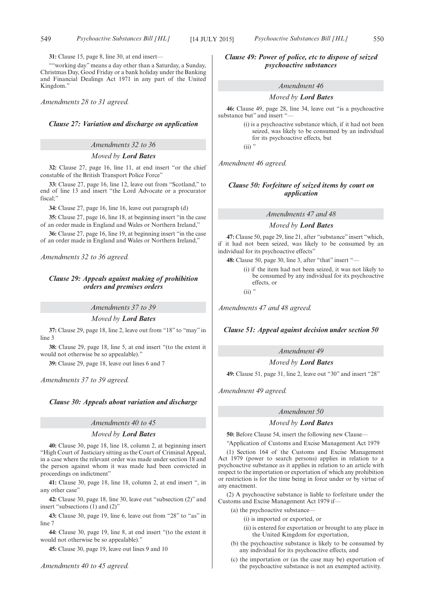**31:** Clause 15, page 8, line 30, at end insert—

""working day" means a day other than a Saturday, a Sunday, Christmas Day, Good Friday or a bank holiday under the Banking and Financial Dealings Act 1971 in any part of the United Kingdom."

*Amendments 28 to 31 agreed.*

#### *Clause 27: Variation and discharge on application*

#### *Amendments 32 to 36*

#### *Moved by Lord Bates*

**32:** Clause 27, page 16, line 11, at end insert "or the chief constable of the British Transport Police Force"

**33:** Clause 27, page 16, line 12, leave out from "Scotland," to end of line 13 and insert "the Lord Advocate or a procurator fiscal;"

**34:** Clause 27, page 16, line 16, leave out paragraph (d)

**35:** Clause 27, page 16, line 18, at beginning insert "in the case of an order made in England and Wales or Northern Ireland,"

**36:** Clause 27, page 16, line 19, at beginning insert "in the case of an order made in England and Wales or Northern Ireland,"

*Amendments 32 to 36 agreed.*

#### *Clause 29: Appeals against making of prohibition orders and premises orders*

*Amendments 37 to 39*

*Moved by Lord Bates*

**37:** Clause 29, page 18, line 2, leave out from "18" to "may" in line 3

**38:** Clause 29, page 18, line 5, at end insert "(to the extent it would not otherwise be so appealable)."

**39:** Clause 29, page 18, leave out lines 6 and 7

*Amendments 37 to 39 agreed.*

#### *Clause 30: Appeals about variation and discharge*

#### *Amendments 40 to 45*

#### *Moved by Lord Bates*

**40:** Clause 30, page 18, line 18, column 2, at beginning insert "High Court of Justiciary sitting as the Court of Criminal Appeal, in a case where the relevant order was made under section 18 and the person against whom it was made had been convicted in proceedings on indictment"

**41:** Clause 30, page 18, line 18, column 2, at end insert ", in any other case"

**42:** Clause 30, page 18, line 30, leave out "subsection (2)" and insert "subsections (1) and (2)"

**43:** Clause 30, page 19, line 6, leave out from "28" to "as" in line 7

**44:** Clause 30, page 19, line 8, at end insert "(to the extent it would not otherwise be so appealable)."

**45:** Clause 30, page 19, leave out lines 9 and 10

*Clause 49: Power of police, etc to dispose of seized psychoactive substances*

#### *Amendment 46*

#### *Moved by Lord Bates*

**46:** Clause 49, page 28, line 34, leave out "is a psychoactive substance but" and insert "—

> (i) is a psychoactive substance which, if it had not been seized, was likely to be consumed by an individual for its psychoactive effects, but

 $(ii)$  "

*Amendment 46 agreed.*

#### *Clause 50: Forfeiture of seized items by court on application*

*Amendments 47 and 48*

*Moved by Lord Bates*

**47:** Clause 50, page 29, line 21, after "substance" insert "which, if it had not been seized, was likely to be consumed by an individual for its psychoactive effects"

**48:** Clause 50, page 30, line 3, after "that" insert "—

(i) if the item had not been seized, it was not likely to be consumed by any individual for its psychoactive effects, or

 $(ii)$ "

*Amendments 47 and 48 agreed.*

*Clause 51: Appeal against decision under section 50*

### *Amendment 49*

*Moved by Lord Bates*

**49:** Clause 51, page 31, line 2, leave out "30" and insert "28"

*Amendment 49 agreed.*

#### *Amendment 50*

#### *Moved by Lord Bates*

**50:** Before Clause 54, insert the following new Clause—

"Application of Customs and Excise Management Act 1979

(1) Section 164 of the Customs and Excise Management Act 1979 (power to search persons) applies in relation to a psychoactive substance as it applies in relation to an article with respect to the importation or exportation of which any prohibition or restriction is for the time being in force under or by virtue of any enactment.

(2) A psychoactive substance is liable to forfeiture under the Customs and Excise Management Act 1979 if—

- (a) the psychoactive substance—
	- (i) is imported or exported, or
	- (ii) is entered for exportation or brought to any place in the United Kingdom for exportation,
- (b) the psychoactive substance is likely to be consumed by any individual for its psychoactive effects, and
- (c) the importation or (as the case may be) exportation of the psychoactive substance is not an exempted activity.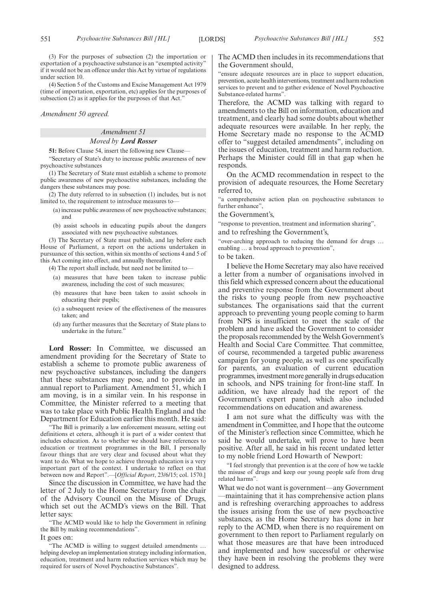(3) For the purposes of subsection (2) the importation or exportation of a psychoactive substance is an "exempted activity" if it would not be an offence under this Act by virtue of regulations under section 10.

(4) Section 5 of the Customs and Excise Management Act 1979 (time of importation, exportation, etc) applies for the purposes of subsection  $(2)$  as it applies for the purposes of that Act."

#### *Amendment 50 agreed.*

#### *Amendment 51 Moved by Lord Rosser*

**51:** Before Clause 54, insert the following new Clause—

"Secretary of State's duty to increase public awareness of new psychoactive substances

(1) The Secretary of State must establish a scheme to promote public awareness of new psychoactive substances, including the dangers these substances may pose.

(2) The duty referred to in subsection (1) includes, but is not limited to, the requirement to introduce measures to—

- (a) increase public awareness of new psychoactive substances; and
- (b) assist schools in educating pupils about the dangers associated with new psychoactive substances.

(3) The Secretary of State must publish, and lay before each House of Parliament, a report on the actions undertaken in pursuance of this section, within six months of sections 4 and 5 of this Act coming into effect, and annually thereafter.

(4) The report shall include, but need not be limited to—

- (a) measures that have been taken to increase public awareness, including the cost of such measures;
- (b) measures that have been taken to assist schools in educating their pupils;
- (c) a subsequent review of the effectiveness of the measures taken; and
- (d) any further measures that the Secretary of State plans to undertake in the future."

**Lord Rosser:** In Committee, we discussed an amendment providing for the Secretary of State to establish a scheme to promote public awareness of new psychoactive substances, including the dangers that these substances may pose, and to provide an annual report to Parliament. Amendment 51, which I am moving, is in a similar vein. In his response in Committee, the Minister referred to a meeting that was to take place with Public Health England and the Department for Education earlier this month. He said:

"The Bill is primarily a law enforcement measure, setting out definitions et cetera, although it is part of a wider context that includes education. As to whether we should have references to education or treatment programmes in the Bill, I personally favour things that are very clear and focused about what they want to do. What we hope to achieve through education is a very important part of the context. I undertake to reflect on that between now and Report".—[*Official Report*, 23/6/15; col. 1570.]

Since the discussion in Committee, we have had the letter of 2 July to the Home Secretary from the chair of the Advisory Council on the Misuse of Drugs, which set out the ACMD's views on the Bill. That letter says:

"The ACMD would like to help the Government in refining the Bill by making recommendations".

It goes on:

"The ACMD is willing to suggest detailed amendments … helping develop an implementation strategy including information, education, treatment and harm reduction services which may be required for users of Novel Psychoactive Substances".

The ACMD then includes in its recommendations that the Government should,

"ensure adequate resources are in place to support education, prevention, acute health interventions, treatment and harm reduction services to prevent and to gather evidence of Novel Psychoactive Substance-related harms".

Therefore, the ACMD was talking with regard to amendments to the Bill on information, education and treatment, and clearly had some doubts about whether adequate resources were available. In her reply, the Home Secretary made no response to the ACMD offer to "suggest detailed amendments", including on the issues of education, treatment and harm reduction. Perhaps the Minister could fill in that gap when he responds.

On the ACMD recommendation in respect to the provision of adequate resources, the Home Secretary referred to,

"a comprehensive action plan on psychoactive substances to further enhance",

#### the Government's,

"response to prevention, treatment and information sharing",

and to refreshing the Government's,

"over-arching approach to reducing the demand for drugs … enabling … a broad approach to prevention",

#### to be taken.

I believe the Home Secretary may also have received a letter from a number of organisations involved in this field which expressed concern about the educational and preventive response from the Government about the risks to young people from new psychoactive substances. The organisations said that the current approach to preventing young people coming to harm from NPS is insufficient to meet the scale of the problem and have asked the Government to consider the proposals recommended by the Welsh Government's Health and Social Care Committee. That committee, of course, recommended a targeted public awareness campaign for young people, as well as one specifically for parents, an evaluation of current education programmes, investment more generally in drugs education in schools, and NPS training for front-line staff. In addition, we have already had the report of the Government's expert panel, which also included recommendations on education and awareness.

I am not sure what the difficulty was with the amendment in Committee, and I hope that the outcome of the Minister's reflection since Committee, which he said he would undertake, will prove to have been positive. After all, he said in his recent undated letter to my noble friend Lord Howarth of Newport:

"I feel strongly that prevention is at the core of how we tackle the misuse of drugs and keep our young people safe from drug related harms".

What we do not want is government—any Government —maintaining that it has comprehensive action plans and is refreshing overarching approaches to address the issues arising from the use of new psychoactive substances, as the Home Secretary has done in her reply to the ACMD, when there is no requirement on government to then report to Parliament regularly on what those measures are that have been introduced and implemented and how successful or otherwise they have been in resolving the problems they were designed to address.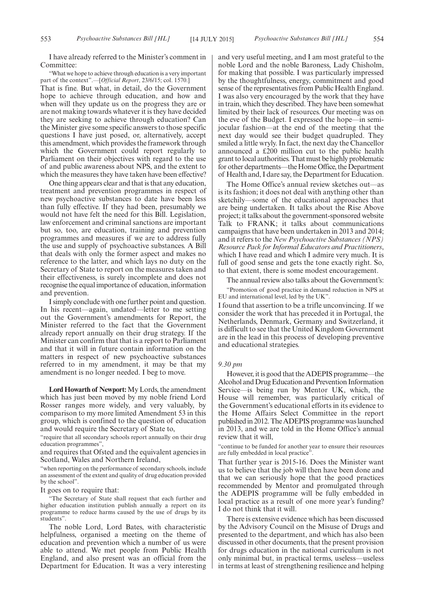I have already referred to the Minister's comment in Committee:

"What we hope to achieve through education is a very important part of the context".—[*Official Report*, 23/6/15; col. 1570.]

That is fine. But what, in detail, do the Government hope to achieve through education, and how and when will they update us on the progress they are or are not making towards whatever it is they have decided they are seeking to achieve through education? Can the Minister give some specific answers to those specific questions I have just posed, or, alternatively, accept this amendment, which provides the framework through which the Government could report regularly to Parliament on their objectives with regard to the use of and public awareness about NPS, and the extent to which the measures they have taken have been effective?

One thing appears clear and that is that any education, treatment and prevention programmes in respect of new psychoactive substances to date have been less than fully effective. If they had been, presumably we would not have felt the need for this Bill. Legislation, law enforcement and criminal sanctions are important but so, too, are education, training and prevention programmes and measures if we are to address fully the use and supply of psychoactive substances. A Bill that deals with only the former aspect and makes no reference to the latter, and which lays no duty on the Secretary of State to report on the measures taken and their effectiveness, is surely incomplete and does not recognise the equal importance of education, information and prevention.

I simply conclude with one further point and question. In his recent—again, undated—letter to me setting out the Government's amendments for Report, the Minister referred to the fact that the Government already report annually on their drug strategy. If the Minister can confirm that that is a report to Parliament and that it will in future contain information on the matters in respect of new psychoactive substances referred to in my amendment, it may be that my amendment is no longer needed. I beg to move.

**Lord Howarth of Newport:**My Lords, the amendment which has just been moved by my noble friend Lord Rosser ranges more widely, and very valuably, by comparison to my more limited Amendment 53 in this group, which is confined to the question of education and would require the Secretary of State to,

"require that all secondary schools report annually on their drug education programmes",

and requires that Ofsted and the equivalent agencies in Scotland, Wales and Northern Ireland,

"when reporting on the performance of secondary schools, include an assessment of the extent and quality of drug education provided by the school".

It goes on to require that:

"The Secretary of State shall request that each further and higher education institution publish annually a report on its programme to reduce harms caused by the use of drugs by its students".

The noble Lord, Lord Bates, with characteristic helpfulness, organised a meeting on the theme of education and prevention which a number of us were able to attend. We met people from Public Health England, and also present was an official from the Department for Education. It was a very interesting and very useful meeting, and I am most grateful to the noble Lord and the noble Baroness, Lady Chisholm, for making that possible. I was particularly impressed by the thoughtfulness, energy, commitment and good sense of the representatives from Public Health England. I was also very encouraged by the work that they have in train, which they described. They have been somewhat limited by their lack of resources. Our meeting was on the eve of the Budget. I expressed the hope—in semijocular fashion—at the end of the meeting that the next day would see their budget quadrupled. They smiled a little wryly. In fact, the next day the Chancellor announced a £200 million cut to the public health grant to local authorities. That must be highly problematic for other departments—the Home Office, the Department of Health and, I dare say, the Department for Education.

The Home Office's annual review sketches out—as is its fashion; it does not deal with anything other than sketchily—some of the educational approaches that are being undertaken. It talks about the Rise Above project; it talks about the government-sponsored website Talk to FRANK; it talks about communications campaigns that have been undertaken in 2013 and 2014; and it refers to the *New Psychoactive Substances (NPS) Resource Pack for Informal Educators and Practitioners*, which I have read and which I admire very much. It is full of good sense and gets the tone exactly right. So, to that extent, there is some modest encouragement.

The annual review also talks about the Government's:

"Promotion of good practice in demand reduction in NPS at EU and international level, led by the UK".

I found that assertion to be a trifle unconvincing. If we consider the work that has preceded it in Portugal, the Netherlands, Denmark, Germany and Switzerland, it is difficult to see that the United Kingdom Government are in the lead in this process of developing preventive and educational strategies.

#### *9.30 pm*

However, it is good that the ADEPIS programme—the Alcohol and Drug Education and Prevention Information Service—is being run by Mentor UK, which, the House will remember, was particularly critical of the Government's educational efforts in its evidence to the Home Affairs Select Committee in the report published in 2012. The ADEPIS programme was launched in 2013, and we are told in the Home Office's annual review that it will,

"continue to be funded for another year to ensure their resources are fully embedded in local practice".

That further year is 2015-16. Does the Minister want us to believe that the job will then have been done and that we can seriously hope that the good practices recommended by Mentor and promulgated through the ADEPIS programme will be fully embedded in local practice as a result of one more year's funding? I do not think that it will.

There is extensive evidence which has been discussed by the Advisory Council on the Misuse of Drugs and presented to the department, and which has also been discussed in other documents, that the present provision for drugs education in the national curriculum is not only minimal but, in practical terms, useless—useless in terms at least of strengthening resilience and helping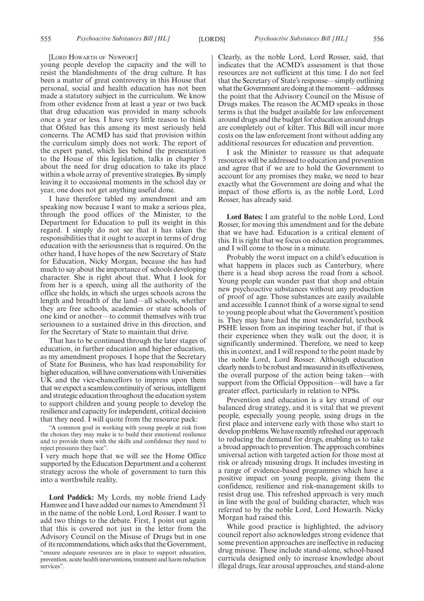#### [LORD HOWARTH OF NEWPORT]

young people develop the capacity and the will to resist the blandishments of the drug culture. It has been a matter of great controversy in this House that personal, social and health education has not been made a statutory subject in the curriculum. We know from other evidence from at least a year or two back that drug education was provided in many schools once a year or less. I have very little reason to think that Ofsted has this among its most seriously held concerns. The ACMD has said that provision within the curriculum simply does not work. The report of the expert panel, which lies behind the presentation to the House of this legislation, talks in chapter 5 about the need for drug education to take its place within a whole array of preventive strategies. By simply leaving it to occasional moments in the school day or year, one does not get anything useful done.

I have therefore tabled my amendment and am speaking now because I want to make a serious plea, through the good offices of the Minister, to the Department for Education to pull its weight in this regard. I simply do not see that it has taken the responsibilities that it ought to accept in terms of drug education with the seriousness that is required. On the other hand, I have hopes of the new Secretary of State for Education, Nicky Morgan, because she has had much to say about the importance of schools developing character. She is right about that. What I look for from her is a speech, using all the authority of the office she holds, in which she urges schools across the length and breadth of the land—all schools, whether they are free schools, academies or state schools of one kind or another—to commit themselves with true seriousness to a sustained drive in this direction, and for the Secretary of State to maintain that drive.

That has to be continued through the later stages of education, in further education and higher education, as my amendment proposes. I hope that the Secretary of State for Business, who has lead responsibility for higher education, will have conversations with Universities UK and the vice-chancellors to impress upon them that we expect a seamless continuity of serious, intelligent and strategic education throughout the education system to support children and young people to develop the resilience and capacity for independent, critical decision that they need. I will quote from the resource pack:

"A common goal in working with young people at risk from the choices they may make is to build their emotional resilience and to provide them with the skills and confidence they need to reject pressures they face".

I very much hope that we will see the Home Office supported by the Education Department and a coherent strategy across the whole of government to turn this into a worthwhile reality.

**Lord Paddick:** My Lords, my noble friend Lady Hamwee and I have added our names to Amendment 51 in the name of the noble Lord, Lord Rosser. I want to add two things to the debate. First, I point out again that this is covered not just in the letter from the Advisory Council on the Misuse of Drugs but in one of its recommendations, which asks that the Government, "ensure adequate resources are in place to support education, prevention, acute health interventions, treatment and harm reduction services".

Clearly, as the noble Lord, Lord Rosser, said, that indicates that the ACMD's assessment is that those resources are not sufficient at this time. I do not feel that the Secretary of State's response—simply outlining what the Government are doing at the moment—addresses the point that the Advisory Council on the Misuse of Drugs makes. The reason the ACMD speaks in those terms is that the budget available for law enforcement around drugs and the budget for education around drugs are completely out of kilter. This Bill will incur more costs on the law enforcement front without adding any additional resources for education and prevention.

I ask the Minister to reassure us that adequate resources will be addressed to education and prevention and agree that if we are to hold the Government to account for any promises they make, we need to hear exactly what the Government are doing and what the impact of those efforts is, as the noble Lord, Lord Rosser, has already said.

**Lord Bates:** I am grateful to the noble Lord, Lord Rosser, for moving this amendment and for the debate that we have had. Education is a critical element of this. It is right that we focus on education programmes, and I will come to those in a minute.

Probably the worst impact on a child's education is what happens in places such as Canterbury, where there is a head shop across the road from a school. Young people can wander past that shop and obtain new psychoactive substances without any production of proof of age. Those substances are easily available and accessible. I cannot think of a worse signal to send to young people about what the Government's position is. They may have had the most wonderful, textbook PSHE lesson from an inspiring teacher but, if that is their experience when they walk out the door, it is significantly undermined. Therefore, we need to keep this in context, and I will respond to the point made by the noble Lord, Lord Rosser. Although education clearly needs to be robust and measured in its effectiveness, the overall purpose of the action being taken—with support from the Official Opposition—will have a far greater effect, particularly in relation to NPSs.

Prevention and education is a key strand of our balanced drug strategy, and it is vital that we prevent people, especially young people, using drugs in the first place and intervene early with those who start to develop problems.We have recently refreshed our approach to reducing the demand for drugs, enabling us to take a broad approach to prevention. The approach combines universal action with targeted action for those most at risk or already misusing drugs. It includes investing in a range of evidence-based programmes which have a positive impact on young people, giving them the confidence, resilience and risk-management skills to resist drug use. This refreshed approach is very much in line with the goal of building character, which was referred to by the noble Lord, Lord Howarth. Nicky Morgan had raised this.

While good practice is highlighted, the advisory council report also acknowledges strong evidence that some prevention approaches are ineffective in reducing drug misuse. These include stand-alone, school-based curricula designed only to increase knowledge about illegal drugs, fear arousal approaches, and stand-alone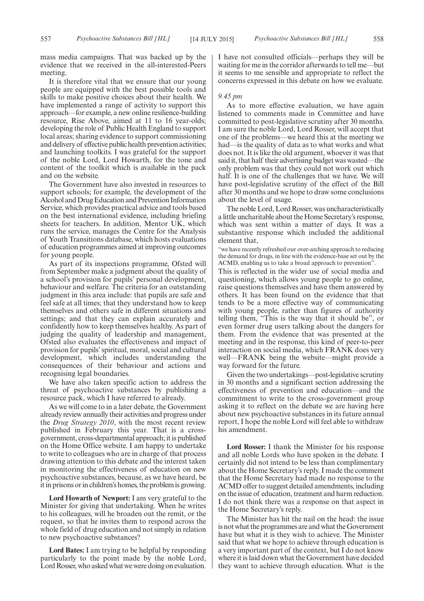mass media campaigns. That was backed up by the evidence that we received in the all-interested-Peers meeting.

It is therefore vital that we ensure that our young people are equipped with the best possible tools and skills to make positive choices about their health. We have implemented a range of activity to support this approach—for example, a new online resilience-building resource, Rise Above, aimed at 11 to 16 year-olds; developing the role of Public Health England to support local areas; sharing evidence to support commissioning and delivery of effective public health prevention activities; and launching toolkits. I was grateful for the support of the noble Lord, Lord Howarth, for the tone and content of the toolkit which is available in the pack and on the website.

The Government have also invested in resources to support schools; for example, the development of the Alcohol and Drug Education and Prevention Information Service, which provides practical advice and tools based on the best international evidence, including briefing sheets for teachers. In addition, Mentor UK, which runs the service, manages the Centre for the Analysis of Youth Transitions database, which hosts evaluations of education programmes aimed at improving outcomes for young people.

As part of its inspections programme, Ofsted will from September make a judgment about the quality of a school's provision for pupils' personal development, behaviour and welfare. The criteria for an outstanding judgment in this area include: that pupils are safe and feel safe at all times; that they understand how to keep themselves and others safe in different situations and settings; and that they can explain accurately and confidently how to keep themselves healthy. As part of judging the quality of leadership and management, Ofsted also evaluates the effectiveness and impact of provision for pupils' spiritual, moral, social and cultural development, which includes understanding the consequences of their behaviour and actions and recognising legal boundaries.

We have also taken specific action to address the threat of psychoactive substances by publishing a resource pack, which I have referred to already.

As we will come to in a later debate, the Government already review annually their activities and progress under the *Drug Strategy 2010*, with the most recent review published in February this year. That is a crossgovernment, cross-departmental approach; it is published on the Home Office website. I am happy to undertake to write to colleagues who are in charge of that process drawing attention to this debate and the interest taken in monitoring the effectiveness of education on new psychoactive substances, because, as we have heard, be it in prisons or in children's homes, the problem is growing.

**Lord Howarth of Newport:** I am very grateful to the Minister for giving that undertaking. When he writes to his colleagues, will he broaden out the remit, or the request, so that he invites them to respond across the whole field of drug education and not simply in relation to new psychoactive substances?

**Lord Bates:** I am trying to be helpful by responding particularly to the point made by the noble Lord, Lord Rosser, who asked what we were doing on evaluation. I have not consulted officials—perhaps they will be waiting for me in the corridor afterwards to tell me—but it seems to me sensible and appropriate to reflect the concerns expressed in this debate on how we evaluate.

#### *9.45 pm*

As to more effective evaluation, we have again listened to comments made in Committee and have committed to post-legislative scrutiny after 30 months. I am sure the noble Lord, Lord Rosser, will accept that one of the problems—we heard this at the meeting we had—is the quality of data as to what works and what does not. It is like the old argument, whoever it was that said it, that half their advertising budget was wasted—the only problem was that they could not work out which half. It is one of the challenges that we have. We will have post-legislative scrutiny of the effect of the Bill after 30 months and we hope to draw some conclusions about the level of usage.

The noble Lord, Lord Rosser, was uncharacteristically a little uncharitable about the Home Secretary's response, which was sent within a matter of days. It was a substantive response which included the additional element that,

'we have recently refreshed our over-arching approach to reducing the demand for drugs, in line with the evidence-base set out by the ACMD, enabling us to take a broad approach to prevention".

This is reflected in the wider use of social media and questioning, which allows young people to go online, raise questions themselves and have them answered by others. It has been found on the evidence that that tends to be a more effective way of communicating with young people, rather than figures of authority telling them, "This is the way that it should be", or even former drug users talking about the dangers for them. From the evidence that was presented at the meeting and in the response, this kind of peer-to-peer interaction on social media, which FRANK does very well—FRANK being the website—might provide a way forward for the future.

Given the two undertakings—post-legislative scrutiny in 30 months and a significant section addressing the effectiveness of prevention and education—and the commitment to write to the cross-government group asking it to reflect on the debate we are having here about new psychoactive substances in its future annual report, I hope the noble Lord will feel able to withdraw his amendment.

**Lord Rosser:** I thank the Minister for his response and all noble Lords who have spoken in the debate. I certainly did not intend to be less than complimentary about the Home Secretary's reply. I made the comment that the Home Secretary had made no response to the ACMD offer to suggest detailed amendments, including on the issue of education, treatment and harm reduction. I do not think there was a response on that aspect in the Home Secretary's reply.

The Minister has hit the nail on the head: the issue is not what the programmes are and what the Government have but what it is they wish to achieve. The Minister said that what we hope to achieve through education is a very important part of the context, but I do not know where it is laid down what the Government have decided they want to achieve through education. What is the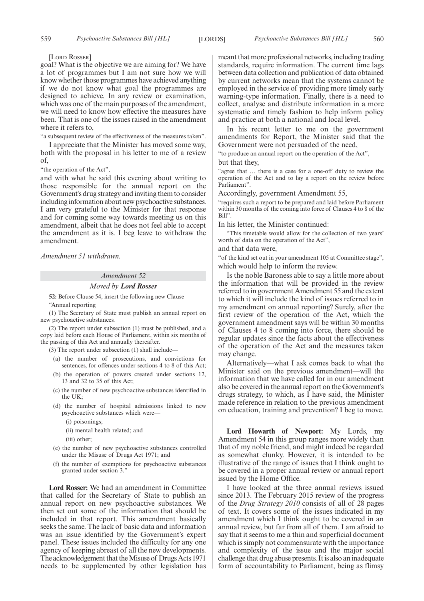[LORD ROSSER]

goal? What is the objective we are aiming for? We have a lot of programmes but I am not sure how we will know whether those programmes have achieved anything if we do not know what goal the programmes are designed to achieve. In any review or examination, which was one of the main purposes of the amendment, we will need to know how effective the measures have been. That is one of the issues raised in the amendment where it refers to,

"a subsequent review of the effectiveness of the measures taken".

I appreciate that the Minister has moved some way, both with the proposal in his letter to me of a review of,

"the operation of the Act",

and with what he said this evening about writing to those responsible for the annual report on the Government's drug strategy and inviting them to consider including information about new psychoactive substances. I am very grateful to the Minister for that response and for coming some way towards meeting us on this amendment, albeit that he does not feel able to accept the amendment as it is. I beg leave to withdraw the amendment.

*Amendment 51 withdrawn.*

### *Amendment 52*

#### *Moved by Lord Rosser*

**52:** Before Clause 54, insert the following new Clause—

"Annual reporting

(1) The Secretary of State must publish an annual report on new psychoactive substances.

(2) The report under subsection (1) must be published, and a copy laid before each House of Parliament, within six months of the passing of this Act and annually thereafter.

(3) The report under subsection (1) shall include—

- (a) the number of prosecutions, and convictions for sentences, for offences under sections 4 to 8 of this Act;
- (b) the operation of powers created under sections 12, 13 and 32 to 35 of this Act;
- (c) the number of new psychoactive substances identified in the UK;
- (d) the number of hospital admissions linked to new psychoactive substances which were—
	- (i) poisonings;
	- (ii) mental health related; and
	- (iii) other;
- (e) the number of new psychoactive substances controlled under the Misuse of Drugs Act 1971; and
- (f) the number of exemptions for psychoactive substances granted under section 3."

**Lord Rosser:** We had an amendment in Committee that called for the Secretary of State to publish an annual report on new psychoactive substances. We then set out some of the information that should be included in that report. This amendment basically seeks the same. The lack of basic data and information was an issue identified by the Government's expert panel. These issues included the difficulty for any one agency of keeping abreast of all the new developments. The acknowledgement that the Misuse of Drugs Acts 1971 needs to be supplemented by other legislation has meant that more professional networks, including trading standards, require information. The current time lags between data collection and publication of data obtained by current networks mean that the systems cannot be employed in the service of providing more timely early warning-type information. Finally, there is a need to collect, analyse and distribute information in a more systematic and timely fashion to help inform policy and practice at both a national and local level.

In his recent letter to me on the government amendments for Report, the Minister said that the Government were not persuaded of the need,

"to produce an annual report on the operation of the Act",

but that they,

"agree that … there is a case for a one-off duty to review the operation of the Act and to lay a report on the review before Parliament".

Accordingly, government Amendment 55,

"requires such a report to be prepared and laid before Parliament within 30 months of the coming into force of Clauses 4 to 8 of the Bill".

In his letter, the Minister continued:

"This timetable would allow for the collection of two years' worth of data on the operation of the Act",

and that data were,

"of the kind set out in your amendment 105 at Committee stage", which would help to inform the review.

Is the noble Baroness able to say a little more about the information that will be provided in the review referred to in government Amendment 55 and the extent to which it will include the kind of issues referred to in my amendment on annual reporting? Surely, after the first review of the operation of the Act, which the government amendment says will be within 30 months of Clauses 4 to 8 coming into force, there should be regular updates since the facts about the effectiveness of the operation of the Act and the measures taken may change.

Alternatively—what I ask comes back to what the Minister said on the previous amendment—will the information that we have called for in our amendment also be covered in the annual report on the Government's drugs strategy, to which, as I have said, the Minister made reference in relation to the previous amendment on education, training and prevention? I beg to move.

**Lord Howarth of Newport:** My Lords, my Amendment 54 in this group ranges more widely than that of my noble friend, and might indeed be regarded as somewhat clunky. However, it is intended to be illustrative of the range of issues that I think ought to be covered in a proper annual review or annual report issued by the Home Office.

I have looked at the three annual reviews issued since 2013. The February 2015 review of the progress of the *Drug Strategy 2010* consists of all of 28 pages of text. It covers some of the issues indicated in my amendment which I think ought to be covered in an annual review, but far from all of them. I am afraid to say that it seems to me a thin and superficial document which is simply not commensurate with the importance and complexity of the issue and the major social challenge that drug abuse presents. It is also an inadequate form of accountability to Parliament, being as flimsy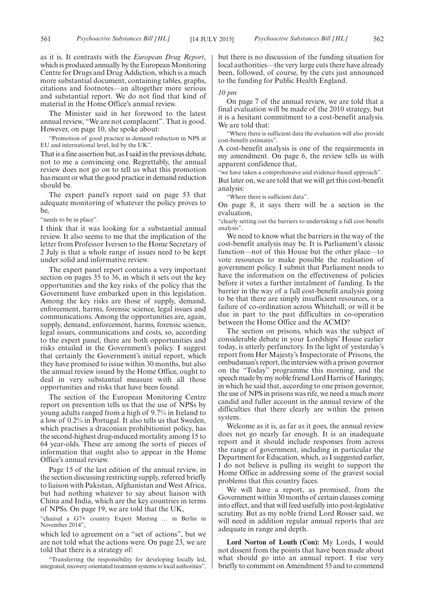as it is. It contrasts with the *European Drug Report*, which is produced annually by the European Monitoring Centre for Drugs and Drug Addiction, which is a much more substantial document, containing tables, graphs, citations and footnotes—an altogether more serious and substantial report. We do not find that kind of material in the Home Office's annual review.

The Minister said in her foreword to the latest annual review, "We are not complacent". That is good. However, on page 10, she spoke about:

"Promotion of good practice in demand reduction in NPS at EU and international level, led by the UK".

That is a fine assertion but, as I said in the previous debate, not to me a convincing one. Regrettably, the annual review does not go on to tell us what this promotion has meant or what the good practice in demand reduction should be.

The expert panel's report said on page 53 that adequate monitoring of whatever the policy proves to be,

"needs to be in place".

I think that it was looking for a substantial annual review. It also seems to me that the implication of the letter from Professor Iversen to the Home Secretary of 2 July is that a whole range of issues need to be kept under solid and informative review.

The expert panel report contains a very important section on pages 35 to 36, in which it sets out the key opportunities and the key risks of the policy that the Government have embarked upon in this legislation. Among the key risks are those of supply, demand, enforcement, harms, forensic science, legal issues and communications. Among the opportunities are, again, supply, demand, enforcement, harms, forensic science, legal issues, communications and costs, so, according to the expert panel, there are both opportunities and risks entailed in the Government's policy. I suggest that certainly the Government's initial report, which they have promised to issue within 30 months, but also the annual review issued by the Home Office, ought to deal in very substantial measure with all those opportunities and risks that have been found.

The section of the European Monitoring Centre report on prevention tells us that the use of NPSs by young adults ranged from a high of 9.7% in Ireland to a low of 0.2% in Portugal. It also tells us that Sweden, which practises a draconian prohibitionist policy, has the second-highest drug-induced mortality among 15 to 64 year-olds. These are among the sorts of pieces of information that ought also to appear in the Home Office's annual review.

Page 15 of the last edition of the annual review, in the section discussing restricting supply, referred briefly to liaison with Pakistan, Afghanistan and West Africa, but had nothing whatever to say about liaison with China and India, which are the key countries in terms of NPSs. On page 19, we are told that the UK,

"chaired a G7+ country Expert Meeting … in Berlin in November 2014",

which led to agreement on a "set of actions", but we are not told what the actions were. On page 23, we are told that there is a strategy of:

"Transferring the responsibility for developing locally led, integrated, recovery orientated treatment systems to local authorities", but there is no discussion of the funding situation for local authorities—the very large cuts there have already been, followed, of course, by the cuts just announced to the funding for Public Health England.

#### *10 pm*

On page 7 of the annual review, we are told that a final evaluation will be made of the 2010 strategy, but it is a hesitant commitment to a cost-benefit analysis. We are told that:

"Where there is sufficient data the evaluation will also provide cost-benefit estimates".

A cost-benefit analysis is one of the requirements in my amendment. On page 6, the review tells us with apparent confidence that,

"we have taken a comprehensive and evidence-based approach". But later on, we are told that we will get this cost-benefit analysis:

"Where there is sufficient data".

On page 8, it says there will be a section in the evaluation,

"clearly setting out the barriers to undertaking a full cost-benefit analysis".

We need to know what the barriers in the way of the cost-benefit analysis may be. It is Parliament's classic function—not of this House but the other place—to vote resources to make possible the realisation of government policy. I submit that Parliament needs to have the information on the effectiveness of policies before it votes a further instalment of funding. Is the barrier in the way of a full cost-benefit analysis going to be that there are simply insufficient resources, or a failure of co-ordination across Whitehall; or will it be due in part to the past difficulties in co-operation between the Home Office and the ACMD?

The section on prisons, which was the subject of considerable debate in your Lordships' House earlier today, is utterly perfunctory. In the light of yesterday's report from Her Majesty's Inspectorate of Prisons, the ombudsman's report, the interview with a prison governor on the "Today" programme this morning, and the speech made by my noble friend Lord Harris of Haringey, in which he said that, according to one prison governor, the use of NPS in prisons was rife, we need a much more candid and fuller account in the annual review of the difficulties that there clearly are within the prison system.

Welcome as it is, as far as it goes, the annual review does not go nearly far enough. It is an inadequate report and it should include responses from across the range of government, including in particular the Department for Education, which, as I suggested earlier, I do not believe is pulling its weight to support the Home Office in addressing some of the gravest social problems that this country faces.

We will have a report, as promised, from the Government within 30 months of certain clauses coming into effect, and that will feed usefully into post-legislative scrutiny. But as my noble friend Lord Rosser said, we will need in addition regular annual reports that are adequate in range and depth.

**Lord Norton of Louth (Con):** My Lords, I would not dissent from the points that have been made about what should go into an annual report. I rise very briefly to comment on Amendment 55 and to commend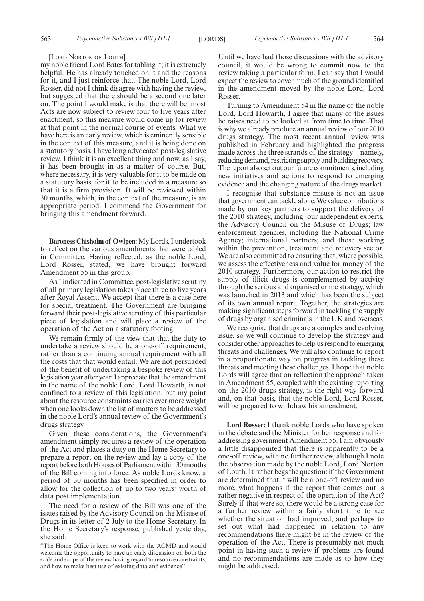[LORD NORTON OF LOUTH]

my noble friend Lord Bates for tabling it; it is extremely helpful. He has already touched on it and the reasons for it, and I just reinforce that. The noble Lord, Lord Rosser, did not I think disagree with having the review, but suggested that there should be a second one later on. The point I would make is that there will be: most Acts are now subject to review four to five years after enactment, so this measure would come up for review at that point in the normal course of events. What we have here is an early review, which is eminently sensible in the context of this measure, and it is being done on a statutory basis. I have long advocated post-legislative review. I think it is an excellent thing and now, as I say, it has been brought in as a matter of course. But, where necessary, it is very valuable for it to be made on a statutory basis, for it to be included in a measure so that it is a firm provision. It will be reviewed within 30 months, which, in the context of the measure, is an appropriate period. I commend the Government for bringing this amendment forward.

**Baroness Chisholm of Owlpen:**My Lords, I undertook to reflect on the various amendments that were tabled in Committee. Having reflected, as the noble Lord, Lord Rosser, stated, we have brought forward Amendment 55 in this group.

As I indicated in Committee, post-legislative scrutiny of all primary legislation takes place three to five years after Royal Assent. We accept that there is a case here for special treatment. The Government are bringing forward their post-legislative scrutiny of this particular piece of legislation and will place a review of the operation of the Act on a statutory footing.

We remain firmly of the view that that the duty to undertake a review should be a one-off requirement, rather than a continuing annual requirement with all the costs that that would entail. We are not persuaded of the benefit of undertaking a bespoke review of this legislation year after year. I appreciate that the amendment in the name of the noble Lord, Lord Howarth, is not confined to a review of this legislation, but my point about the resource constraints carries ever more weight when one looks down the list of matters to be addressed in the noble Lord's annual review of the Government's drugs strategy.

Given these considerations, the Government's amendment simply requires a review of the operation of the Act and places a duty on the Home Secretary to prepare a report on the review and lay a copy of the report before both Houses of Parliament within 30 months of the Bill coming into force. As noble Lords know, a period of 30 months has been specified in order to allow for the collection of up to two years' worth of data post implementation.

The need for a review of the Bill was one of the issues raised by the Advisory Council on the Misuse of Drugs in its letter of 2 July to the Home Secretary. In the Home Secretary's response, published yesterday, she said:

Until we have had those discussions with the advisory council, it would be wrong to commit now to the review taking a particular form. I can say that I would expect the review to cover much of the ground identified in the amendment moved by the noble Lord, Lord Rosser.

Turning to Amendment 54 in the name of the noble Lord, Lord Howarth, I agree that many of the issues he raises need to be looked at from time to time. That is why we already produce an annual review of our 2010 drugs strategy. The most recent annual review was published in February and highlighted the progress made across the three strands of the strategy—namely, reducing demand, restricting supply and building recovery. The report also set out our future commitments, including new initiatives and actions to respond to emerging evidence and the changing nature of the drugs market.

I recognise that substance misuse is not an issue that government can tackle alone.We value contributions made by our key partners to support the delivery of the 2010 strategy, including: our independent experts, the Advisory Council on the Misuse of Drugs; law enforcement agencies, including the National Crime Agency; international partners; and those working within the prevention, treatment and recovery sector. We are also committed to ensuring that, where possible, we assess the effectiveness and value for money of the 2010 strategy. Furthermore, our action to restrict the supply of illicit drugs is complemented by activity through the serious and organised crime strategy, which was launched in 2013 and which has been the subject of its own annual report. Together, the strategies are making significant steps forward in tackling the supply of drugs by organised criminals in the UK and overseas.

We recognise that drugs are a complex and evolving issue, so we will continue to develop the strategy and consider other approaches to help us respond to emerging threats and challenges. We will also continue to report in a proportionate way on progress in tackling these threats and meeting these challenges. I hope that noble Lords will agree that on reflection the approach taken in Amendment 55, coupled with the existing reporting on the 2010 drugs strategy, is the right way forward and, on that basis, that the noble Lord, Lord Rosser, will be prepared to withdraw his amendment.

**Lord Rosser:** I thank noble Lords who have spoken in the debate and the Minister for her response and for addressing government Amendment 55. I am obviously a little disappointed that there is apparently to be a one-off review, with no further review, although I note the observation made by the noble Lord, Lord Norton of Louth. It rather begs the question: if the Government are determined that it will be a one-off review and no more, what happens if the report that comes out is rather negative in respect of the operation of the Act? Surely if that were so, there would be a strong case for a further review within a fairly short time to see whether the situation had improved, and perhaps to set out what had happened in relation to any recommendations there might be in the review of the operation of the Act. There is presumably not much point in having such a review if problems are found and no recommendations are made as to how they might be addressed.

<sup>&</sup>quot;The Home Office is keen to work with the ACMD and would welcome the opportunity to have an early discussion on both the scale and scope of the review having regard to resource constraints, and how to make best use of existing data and evidence".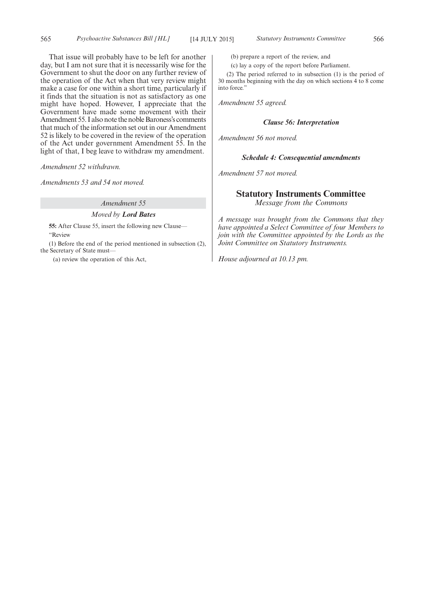That issue will probably have to be left for another day, but I am not sure that it is necessarily wise for the Government to shut the door on any further review of the operation of the Act when that very review might make a case for one within a short time, particularly if it finds that the situation is not as satisfactory as one might have hoped. However, I appreciate that the Government have made some movement with their Amendment 55. I also note the noble Baroness's comments that much of the information set out in our Amendment 52 is likely to be covered in the review of the operation of the Act under government Amendment 55. In the light of that, I beg leave to withdraw my amendment.

*Amendment 52 withdrawn.*

*Amendments 53 and 54 not moved.*

#### *Amendment 55*

#### *Moved by Lord Bates*

**55:** After Clause 55, insert the following new Clause— "Review

(1) Before the end of the period mentioned in subsection (2), the Secretary of State must—

(a) review the operation of this Act,

(b) prepare a report of the review, and

(c) lay a copy of the report before Parliament.

(2) The period referred to in subsection (1) is the period of 30 months beginning with the day on which sections 4 to 8 come into force."

*Amendment 55 agreed.*

#### *Clause 56: Interpretation*

*Amendment 56 not moved.*

#### *Schedule 4: Consequential amendments*

*Amendment 57 not moved.*

#### **Statutory Instruments Committee**

*Message from the Commons*

*A message was brought from the Commons that they have appointed a Select Committee of four Members to join with the Committee appointed by the Lords as the Joint Committee on Statutory Instruments.*

*House adjourned at 10.13 pm.*